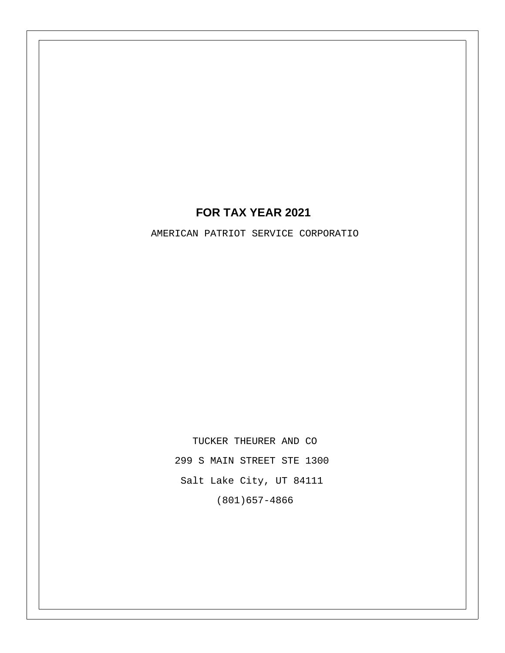## **FOR TAX YEAR 2021**

AMERICAN PATRIOT SERVICE CORPORATIO

TUCKER THEURER AND CO 299 S MAIN STREET STE 1300 Salt Lake City, UT 84111 (801)657-4866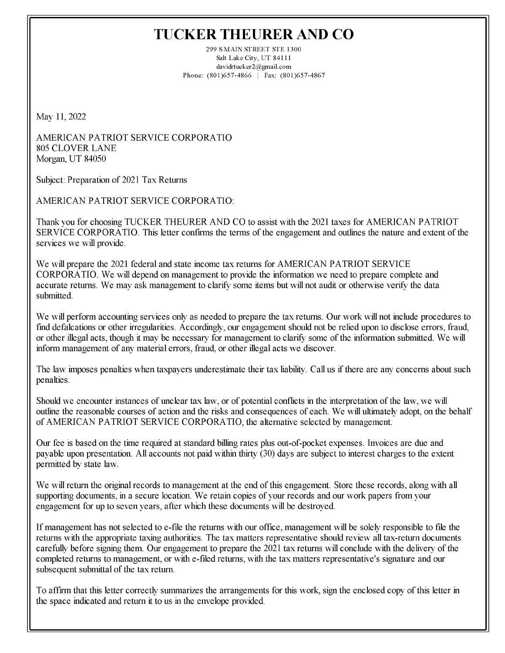## **TUCKER THEURER AND CO**

299 SMAIN STREET STE 1300 Salt Lake City, UT 84111 davidrtucker2@gmail.com Phone: (801)657-4866 | Fax: (801)657-4867

May 11, 2022

AMERICAN PATRIOT SERVICE CORPORATIO **805 CLOVER LANE** Morgan, UT 84050

Subject: Preparation of 2021 Tax Returns

**AMERICAN PATRIOT SERVICE CORPORATIO:** 

Thank you for choosing TUCKER THEURER AND CO to assist with the 2021 taxes for AMERICAN PATRIOT SERVICE CORPORATIO. This letter confirms the terms of the engagement and outlines the nature and extent of the services we will provide.

We will prepare the 2021 federal and state income tax returns for AMERICAN PATRIOT SERVICE CORPORATIO. We will depend on management to provide the information we need to prepare complete and accurate returns. We may ask management to clarify some items but will not audit or otherwise verify the data submitted.

We will perform accounting services only as needed to prepare the tax returns. Our work will not include procedures to find defalcations or other irregularities. Accordingly, our engagement should not be relied upon to disclose errors, fraud, or other illegal acts, though it may be necessary for management to clarify some of the information submitted. We will inform management of any material errors, fraud, or other illegal acts we discover.

The law imposes penalties when taxpayers underestimate their tax liability. Call us if there are any concerns about such penalties.

Should we encounter instances of unclear tax law, or of potential conflicts in the interpretation of the law, we will outline the reasonable courses of action and the risks and consequences of each. We will ultimately adopt, on the behalf of AMERICAN PATRIOT SERVICE CORPORATIO, the alternative selected by management.

Our fee is based on the time required at standard billing rates plus out-of-pocket expenses. Invoices are due and payable upon presentation. All accounts not paid within thirty (30) days are subject to interest charges to the extent permitted by state law.

We will return the original records to management at the end of this engagement. Store these records, along with all supporting documents, in a secure location. We retain copies of your records and our work papers from your engagement for up to seven years, after which these documents will be destroyed.

If management has not selected to e-file the returns with our office, management will be solely responsible to file the returns with the appropriate taxing authorities. The tax matters representative should review all tax-return documents carefully before signing them. Our engagement to prepare the 2021 tax returns will conclude with the delivery of the completed returns to management, or with e-filed returns, with the tax matters representative's signature and our subsequent submittal of the tax return.

To affirm that this letter correctly summarizes the arrangements for this work, sign the enclosed copy of this letter in the space indicated and return it to us in the envelope provided.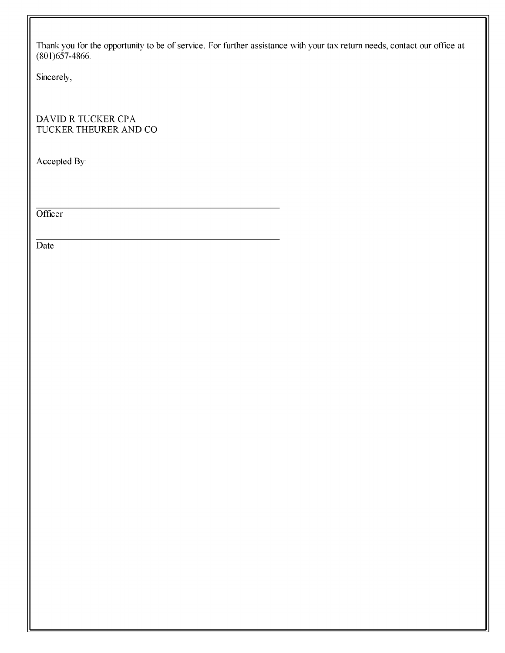Thank you for the opportunity to be of service. For further assistance with your tax return needs, contact our office at (801)657-4866.

Sincerely,

DAVID R TUCKER CPA TUCKER THEURER AND CO

Accepted By:

Officer

Date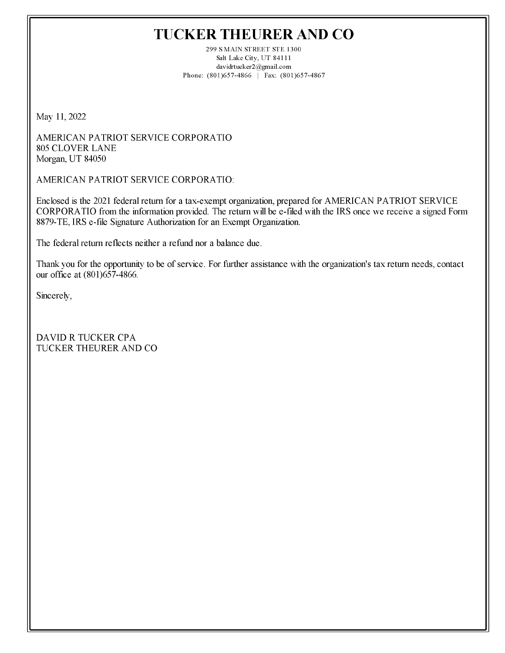## **TUCKER THEURER AND CO**

299 SMAIN STREET STE 1300 Salt Lake City, UT 84111 davidrtucker2@gmail.com Phone: (801)657-4866 | Fax: (801)657-4867

May 11, 2022

AMERICAN PATRIOT SERVICE CORPORATIO **805 CLOVER LANE** Morgan, UT 84050

AMERICAN PATRIOT SERVICE CORPORATIO:

Enclosed is the 2021 federal return for a tax-exempt organization, prepared for AMERICAN PATRIOT SERVICE CORPORATIO from the information provided. The return will be e-filed with the IRS once we receive a signed Form 8879-TE, IRS e-file Signature Authorization for an Exempt Organization.

The federal return reflects neither a refund nor a balance due.

Thank you for the opportunity to be of service. For further assistance with the organization's tax return needs, contact our office at (801)657-4866.

Sincerely.

**DAVID R TUCKER CPA** TUCKER THEURER AND CO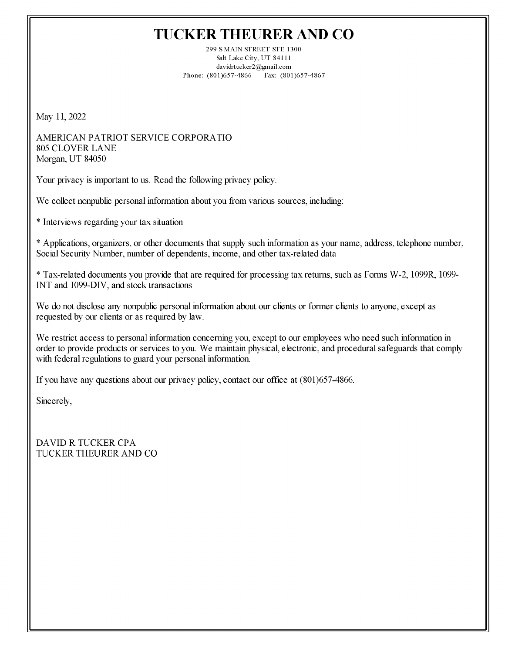## **TUCKER THEURER AND CO**

299 SMAIN STREET STE 1300 Salt Lake City, UT 84111 davidrtucker2@gmail.com Phone: (801)657-4866 | Fax: (801)657-4867

May 11, 2022

AMERICAN PATRIOT SERVICE CORPORATIO **805 CLOVER LANE** Morgan, UT 84050

Your privacy is important to us. Read the following privacy policy.

We collect nonpublic personal information about you from various sources, including:

\* Interviews regarding your tax situation

\* Applications, organizers, or other documents that supply such information as your name, address, telephone number, Social Security Number, number of dependents, income, and other tax-related data

\* Tax-related documents you provide that are required for processing tax returns, such as Forms W-2, 1099R, 1099-INT and 1099-DIV, and stock transactions

We do not disclose any nonpublic personal information about our clients or former clients to anyone, except as requested by our clients or as required by law.

We restrict access to personal information concerning you, except to our employees who need such information in order to provide products or services to you. We maintain physical, electronic, and procedural safeguards that comply with federal regulations to guard your personal information.

If you have any questions about our privacy policy, contact our office at (801)657-4866.

Sincerely,

**DAVID R TUCKER CPA** TUCKER THEURER AND CO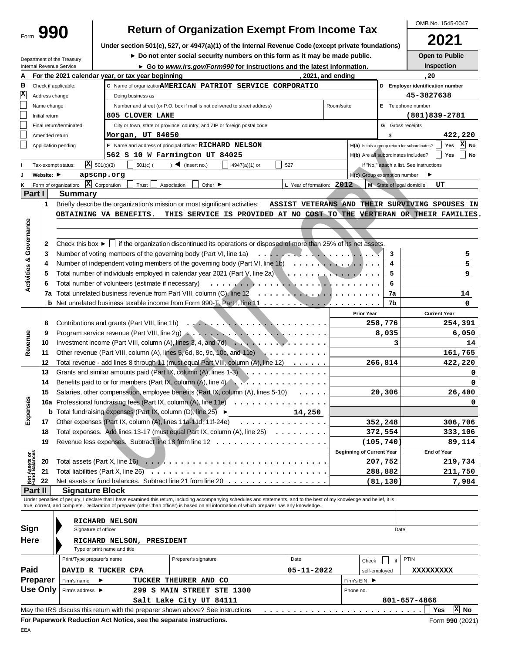|                                                                                                                                                                            |                                                             |                                                        |                                      |                                                    |                                                                                |                                                                                                                                        |                           |                          |                                     |                         |                                               | OMB No. 1545-0047                |
|----------------------------------------------------------------------------------------------------------------------------------------------------------------------------|-------------------------------------------------------------|--------------------------------------------------------|--------------------------------------|----------------------------------------------------|--------------------------------------------------------------------------------|----------------------------------------------------------------------------------------------------------------------------------------|---------------------------|--------------------------|-------------------------------------|-------------------------|-----------------------------------------------|----------------------------------|
|                                                                                                                                                                            | <b>Return of Organization Exempt From Income Tax</b><br>990 |                                                        |                                      |                                                    |                                                                                |                                                                                                                                        |                           |                          |                                     |                         |                                               |                                  |
|                                                                                                                                                                            |                                                             |                                                        |                                      |                                                    |                                                                                | Under section 501(c), 527, or 4947(a)(1) of the Internal Revenue Code (except private foundations)                                     |                           |                          |                                     |                         |                                               | 2021                             |
|                                                                                                                                                                            |                                                             |                                                        |                                      |                                                    |                                                                                | Do not enter social security numbers on this form as it may be made public.                                                            |                           |                          |                                     |                         |                                               | Open to Public                   |
|                                                                                                                                                                            |                                                             | Department of the Treasury<br>Internal Revenue Service |                                      |                                                    |                                                                                | ► Go to www.irs.gov/Form990 for instructions and the latest information.                                                               |                           |                          |                                     |                         |                                               | Inspection                       |
| А                                                                                                                                                                          |                                                             |                                                        |                                      | For the 2021 calendar year, or tax year beginning  |                                                                                |                                                                                                                                        |                           | , 2021, and ending       |                                     |                         | . 20                                          |                                  |
| в                                                                                                                                                                          |                                                             | Check if applicable:                                   |                                      |                                                    |                                                                                | C Name of organization AMERICAN PATRIOT SERVICE CORPORATIO                                                                             |                           |                          |                                     |                         |                                               | D Employer identification number |
| $\mathbf{x}$                                                                                                                                                               | Address change                                              |                                                        |                                      | Doing business as                                  |                                                                                |                                                                                                                                        |                           |                          |                                     |                         | 45-3827638                                    |                                  |
|                                                                                                                                                                            | Name change                                                 |                                                        |                                      |                                                    | Number and street (or P.O. box if mail is not delivered to street address)     |                                                                                                                                        |                           | Room/suite               |                                     |                         | E Telephone number                            |                                  |
|                                                                                                                                                                            | Initial return                                              |                                                        |                                      | 805 CLOVER LANE                                    |                                                                                |                                                                                                                                        |                           |                          |                                     |                         |                                               | $(801)839 - 2781$                |
|                                                                                                                                                                            |                                                             | Final return/terminated                                |                                      |                                                    | City or town, state or province, country, and ZIP or foreign postal code       |                                                                                                                                        |                           |                          |                                     | <b>G</b> Gross receipts |                                               |                                  |
|                                                                                                                                                                            | Amended return                                              |                                                        |                                      | Morgan, UT 84050                                   |                                                                                |                                                                                                                                        |                           |                          |                                     | \$                      |                                               | 422,220                          |
|                                                                                                                                                                            |                                                             | Application pending                                    |                                      |                                                    | F Name and address of principal officer: RICHARD NELSON                        |                                                                                                                                        |                           |                          |                                     |                         | H(a) Is this a group return for subordinates? | $\vert x \vert$<br>Yes<br>No     |
|                                                                                                                                                                            |                                                             |                                                        |                                      |                                                    | 562 S 10 W Farmington UT 84025                                                 |                                                                                                                                        |                           |                          | H(b) Are all subordinates included? |                         |                                               | No<br>Yes                        |
|                                                                                                                                                                            |                                                             | Tax-exempt status:                                     | $\overline{X}$ 501(c)(3)             | $501(c)$ (                                         | $\sum$ (insert no.)                                                            | 4947(a)(1) or                                                                                                                          | 527                       |                          |                                     |                         | If "No," attach a list. See instructions      |                                  |
|                                                                                                                                                                            | Website: ▶                                                  |                                                        | apscnp.org                           |                                                    |                                                                                |                                                                                                                                        |                           |                          | H(c) Group exemption number         |                         | ▶                                             |                                  |
|                                                                                                                                                                            |                                                             | Form of organization:                                  | $\vert \mathbf{X} \vert$ Corporation | Trust                                              | Other $\blacktriangleright$<br>Association                                     |                                                                                                                                        | L Year of formation: 2012 |                          |                                     |                         | M State of legal domicile:                    | UT                               |
| Part I                                                                                                                                                                     |                                                             | Summary                                                |                                      |                                                    |                                                                                |                                                                                                                                        |                           |                          |                                     |                         |                                               |                                  |
|                                                                                                                                                                            | 1.                                                          |                                                        |                                      |                                                    | Briefly describe the organization's mission or most significant activities:    |                                                                                                                                        | ASSIST VETERANS AND       |                          |                                     |                         |                                               | THEIR SURVIVING SPOUSES IN       |
|                                                                                                                                                                            |                                                             |                                                        |                                      |                                                    |                                                                                |                                                                                                                                        |                           |                          |                                     |                         |                                               |                                  |
|                                                                                                                                                                            |                                                             | OBTAINING VA BENEFITS.                                 |                                      |                                                    |                                                                                | THIS SERVICE IS PROVIDED AT NO COST TO THE VERTERAN OR THEIR FAMILIES.                                                                 |                           |                          |                                     |                         |                                               |                                  |
|                                                                                                                                                                            |                                                             |                                                        |                                      |                                                    |                                                                                |                                                                                                                                        |                           |                          |                                     |                         |                                               |                                  |
| Governance                                                                                                                                                                 |                                                             |                                                        |                                      |                                                    |                                                                                |                                                                                                                                        |                           |                          |                                     |                         |                                               |                                  |
|                                                                                                                                                                            | 2                                                           |                                                        |                                      |                                                    |                                                                                | Check this box $\blacktriangleright$   if the organization discontinued its operations or disposed of more than 25% of its net assets. |                           |                          |                                     |                         |                                               |                                  |
|                                                                                                                                                                            | 3                                                           |                                                        |                                      |                                                    | Number of voting members of the governing body (Part VI, line 1a)              |                                                                                                                                        |                           |                          |                                     | 3                       |                                               | 5                                |
| <b>Activities &amp;</b>                                                                                                                                                    | 4                                                           |                                                        |                                      |                                                    |                                                                                | Number of independent voting members of the governing body (Part VI, line 1b) $\ldots \ldots \ldots \ldots$                            |                           |                          |                                     | 4                       |                                               | 5                                |
|                                                                                                                                                                            | 5                                                           |                                                        |                                      |                                                    |                                                                                | Total number of individuals employed in calendar year 2021 (Part V, line 2a)                                                           | أوالمستوار والوارق        | $\sim$                   |                                     | 5                       |                                               | 9                                |
|                                                                                                                                                                            | 6                                                           |                                                        |                                      | Total number of volunteers (estimate if necessary) |                                                                                |                                                                                                                                        |                           |                          |                                     | 6                       |                                               |                                  |
|                                                                                                                                                                            | 7a                                                          |                                                        |                                      |                                                    |                                                                                | Total unrelated business revenue from Part VIII, column $(C)$ , line 12 $\ldots \ldots \ldots$                                         |                           | $\overline{\phantom{a}}$ |                                     | 7a                      |                                               | 14                               |
|                                                                                                                                                                            |                                                             |                                                        |                                      |                                                    |                                                                                | <b>b</b> Net unrelated business taxable income from Form 990-T, Part I, line 11 $\dots \dots \dots$                                    |                           |                          |                                     | 7b                      |                                               | 0                                |
|                                                                                                                                                                            |                                                             |                                                        |                                      |                                                    |                                                                                |                                                                                                                                        |                           |                          | <b>Prior Year</b>                   |                         |                                               | <b>Current Year</b>              |
|                                                                                                                                                                            | 8                                                           |                                                        |                                      |                                                    |                                                                                | Contributions and grants (Part VIII, line 1h)                                                                                          |                           |                          |                                     | 258,776                 |                                               | 254,391                          |
|                                                                                                                                                                            | 9                                                           |                                                        |                                      |                                                    |                                                                                |                                                                                                                                        |                           |                          |                                     | 8,035                   |                                               | 6,050                            |
| Revenue                                                                                                                                                                    | 10                                                          |                                                        |                                      |                                                    |                                                                                | Investment income (Part VIII, column (A), lines 3, 4, and 7d) $\ldots$ , $\ldots$ , $\ldots$ , $\ldots$                                |                           |                          |                                     | 3                       |                                               | 14                               |
|                                                                                                                                                                            | 11                                                          |                                                        |                                      |                                                    | Other revenue (Part VIII, column (A), lines 5, 6d, 8c, 9c, 10c, and 11e)       |                                                                                                                                        | .                         |                          |                                     |                         |                                               | 161,765                          |
|                                                                                                                                                                            | 12                                                          |                                                        |                                      |                                                    |                                                                                | Total revenue - add lines 8 through 11 (must equal Part VIII, column (A), line 12)                                                     |                           |                          |                                     | 266,814                 |                                               | 422,220                          |
|                                                                                                                                                                            | 13                                                          |                                                        |                                      |                                                    |                                                                                |                                                                                                                                        |                           |                          |                                     |                         |                                               | 0                                |
|                                                                                                                                                                            | 14                                                          |                                                        |                                      |                                                    |                                                                                | Benefits paid to or for members (Part IX, column $(A)$ , line 4)                                                                       |                           |                          |                                     |                         |                                               | 0                                |
|                                                                                                                                                                            | 15                                                          |                                                        |                                      |                                                    |                                                                                | Salaries, other compensation, employee benefits (Part IX, column (A), lines 5-10)                                                      |                           |                          |                                     | 20,306                  |                                               | 26,400                           |
| Expenses                                                                                                                                                                   |                                                             |                                                        |                                      |                                                    |                                                                                | 16a Professional fundraising fees (Part IX, column (A), line 11e)                                                                      |                           |                          |                                     |                         |                                               | 0                                |
|                                                                                                                                                                            |                                                             |                                                        |                                      |                                                    |                                                                                | <b>b</b> Total fundraising expenses (Part IX, column (D), line $25$ $\rightarrow$ 14, 250                                              |                           |                          |                                     |                         |                                               |                                  |
|                                                                                                                                                                            | 17                                                          |                                                        |                                      |                                                    | Other expenses (Part IX, column (A), lines 11a-11d, 11f-24e)                   | .                                                                                                                                      |                           |                          |                                     | 352,248                 |                                               | 306,706                          |
|                                                                                                                                                                            | 18                                                          |                                                        |                                      |                                                    |                                                                                | Total expenses. Add lines 13-17 (must equal Part IX, column (A), line 25)                                                              |                           |                          |                                     | 372,554                 |                                               | 333,106                          |
|                                                                                                                                                                            | 19                                                          |                                                        |                                      |                                                    |                                                                                |                                                                                                                                        |                           |                          |                                     | (105, 740)              |                                               | 89,114                           |
|                                                                                                                                                                            |                                                             |                                                        |                                      |                                                    |                                                                                |                                                                                                                                        |                           |                          | <b>Beginning of Current Year</b>    |                         |                                               | End of Year                      |
| Net Assets or<br>Fund Balances                                                                                                                                             | 20                                                          |                                                        |                                      |                                                    |                                                                                |                                                                                                                                        |                           |                          |                                     | 207,752                 |                                               | 219,734                          |
|                                                                                                                                                                            | 21                                                          |                                                        |                                      |                                                    |                                                                                |                                                                                                                                        |                           |                          |                                     | 288,882                 |                                               | 211,750                          |
|                                                                                                                                                                            | 22                                                          |                                                        |                                      |                                                    |                                                                                | Net assets or fund balances. Subtract line 21 from line 20                                                                             |                           |                          |                                     | (81, 130)               |                                               | 7,984                            |
| Part II                                                                                                                                                                    |                                                             | <b>Signature Block</b>                                 |                                      |                                                    |                                                                                |                                                                                                                                        |                           |                          |                                     |                         |                                               |                                  |
| Under penalties of perjury, I declare that I have examined this return, including accompanying schedules and statements, and to the best of my knowledge and belief, it is |                                                             |                                                        |                                      |                                                    |                                                                                |                                                                                                                                        |                           |                          |                                     |                         |                                               |                                  |
| true, correct, and complete. Declaration of preparer (other than officer) is based on all information of which preparer has any knowledge.                                 |                                                             |                                                        |                                      |                                                    |                                                                                |                                                                                                                                        |                           |                          |                                     |                         |                                               |                                  |
|                                                                                                                                                                            |                                                             |                                                        | <b>RICHARD NELSON</b>                |                                                    |                                                                                |                                                                                                                                        |                           |                          |                                     |                         |                                               |                                  |
| Sign                                                                                                                                                                       |                                                             |                                                        | Signature of officer                 |                                                    |                                                                                |                                                                                                                                        |                           |                          |                                     | Date                    |                                               |                                  |
| Here                                                                                                                                                                       |                                                             |                                                        |                                      | RICHARD NELSON, PRESIDENT                          |                                                                                |                                                                                                                                        |                           |                          |                                     |                         |                                               |                                  |
|                                                                                                                                                                            |                                                             |                                                        | Type or print name and title         |                                                    |                                                                                |                                                                                                                                        |                           |                          |                                     |                         |                                               |                                  |
|                                                                                                                                                                            |                                                             | Print/Type preparer's name                             |                                      |                                                    | Preparer's signature                                                           |                                                                                                                                        | Date                      |                          | Check                               | if                      | PTIN                                          |                                  |
| Paid                                                                                                                                                                       |                                                             |                                                        |                                      |                                                    |                                                                                |                                                                                                                                        |                           |                          |                                     |                         | xxxxxxxxx                                     |                                  |
| 05-11-2022<br>DAVID R TUCKER CPA<br>self-employed<br><b>Preparer</b><br>▶                                                                                                  |                                                             |                                                        |                                      |                                                    |                                                                                |                                                                                                                                        |                           |                          |                                     |                         |                                               |                                  |
| Firm's name<br>TUCKER THEURER AND CO<br>Firm's EIN ▶<br><b>Use Only</b><br>299 S MAIN STREET STE 1300                                                                      |                                                             |                                                        |                                      |                                                    |                                                                                |                                                                                                                                        |                           |                          |                                     |                         |                                               |                                  |
|                                                                                                                                                                            |                                                             | Firm's address ▶                                       |                                      |                                                    |                                                                                |                                                                                                                                        |                           |                          | Phone no.                           |                         |                                               |                                  |
|                                                                                                                                                                            |                                                             |                                                        |                                      |                                                    | Salt Lake City UT 84111                                                        |                                                                                                                                        |                           |                          |                                     |                         | 801-657-4866                                  |                                  |
|                                                                                                                                                                            |                                                             |                                                        |                                      |                                                    | May the IRS discuss this retum with the preparer shown above? See instructions |                                                                                                                                        |                           |                          |                                     |                         |                                               | X No<br>Yes                      |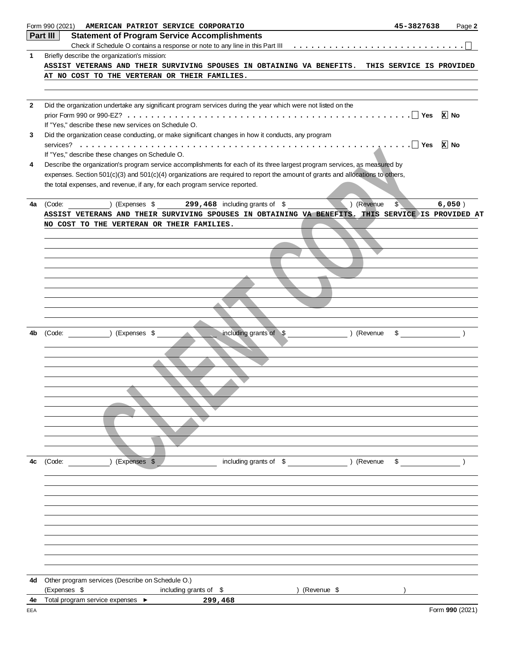|                | Form 990 (2021)<br>AMERICAN PATRIOT SERVICE CORPORATIO                                                                         | 45-3827638     | Page 2          |
|----------------|--------------------------------------------------------------------------------------------------------------------------------|----------------|-----------------|
|                | Part III<br><b>Statement of Program Service Accomplishments</b>                                                                |                |                 |
|                |                                                                                                                                |                |                 |
| 1              | Briefly describe the organization's mission:                                                                                   |                |                 |
|                | ASSIST VETERANS AND THEIR SURVIVING SPOUSES IN OBTAINING VA BENEFITS. THIS SERVICE IS PROVIDED                                 |                |                 |
|                | AT NO COST TO THE VERTERAN OR THEIR FAMILIES.                                                                                  |                |                 |
|                |                                                                                                                                |                |                 |
|                |                                                                                                                                |                |                 |
| $\overline{2}$ | Did the organization undertake any significant program services during the year which were not listed on the                   |                |                 |
|                |                                                                                                                                |                | $x$ No          |
|                | If "Yes," describe these new services on Schedule O.                                                                           |                |                 |
| 3              | Did the organization cease conducting, or make significant changes in how it conducts, any program                             |                |                 |
|                |                                                                                                                                |                | <b>x</b> No     |
|                | If "Yes," describe these changes on Schedule O.                                                                                |                |                 |
| 4              | Describe the organization's program service accomplishments for each of its three largest program services, as measured by     |                |                 |
|                | expenses. Section 501(c)(3) and 501(c)(4) organizations are required to report the amount of grants and allocations to others, |                |                 |
|                | the total expenses, and revenue, if any, for each program service reported.                                                    |                |                 |
|                |                                                                                                                                |                |                 |
| 4a             | $\hskip1cm$ (Expenses \$ $\hskip1cm$ 299,468 including grants of \$<br>) (Revenue<br>(Code:                                    | $$^{\circ}$    | 6,050)          |
|                | ASSIST VETERANS AND THEIR SURVIVING SPOUSES IN OBTAINING VA BENEFITS. THIS SERVICE IS PROVIDED AT                              |                |                 |
|                | NO COST TO THE VERTERAN OR THEIR FAMILIES.                                                                                     |                |                 |
|                |                                                                                                                                |                |                 |
|                |                                                                                                                                |                |                 |
|                |                                                                                                                                |                |                 |
|                |                                                                                                                                |                |                 |
|                |                                                                                                                                |                |                 |
|                |                                                                                                                                |                |                 |
|                |                                                                                                                                |                |                 |
|                |                                                                                                                                |                |                 |
|                |                                                                                                                                |                |                 |
|                |                                                                                                                                |                |                 |
|                |                                                                                                                                |                |                 |
| 4b             | including grants of \$<br>(Code: ) (Expenses \$<br>) (Revenue                                                                  | $\mathfrak{S}$ |                 |
|                |                                                                                                                                |                |                 |
|                |                                                                                                                                |                |                 |
|                |                                                                                                                                |                |                 |
|                |                                                                                                                                |                |                 |
|                |                                                                                                                                |                |                 |
|                |                                                                                                                                |                |                 |
|                |                                                                                                                                |                |                 |
|                |                                                                                                                                |                |                 |
|                |                                                                                                                                |                |                 |
|                |                                                                                                                                |                |                 |
|                |                                                                                                                                |                |                 |
|                |                                                                                                                                |                |                 |
| 4c             | ) (Expenses \$<br>including grants of \$ (Revenue)<br>(Code:                                                                   | \$             |                 |
|                |                                                                                                                                |                |                 |
|                |                                                                                                                                |                |                 |
|                |                                                                                                                                |                |                 |
|                |                                                                                                                                |                |                 |
|                |                                                                                                                                |                |                 |
|                |                                                                                                                                |                |                 |
|                |                                                                                                                                |                |                 |
|                |                                                                                                                                |                |                 |
|                |                                                                                                                                |                |                 |
|                |                                                                                                                                |                |                 |
|                |                                                                                                                                |                |                 |
| 4d             | Other program services (Describe on Schedule O.)                                                                               |                |                 |
|                | (Expenses \$<br>) (Revenue \$                                                                                                  |                |                 |
|                | including grants of \$<br>Total program service expenses ▶                                                                     |                |                 |
| 4e             | 299,468                                                                                                                        |                | Form 990 (2021) |
| EEA            |                                                                                                                                |                |                 |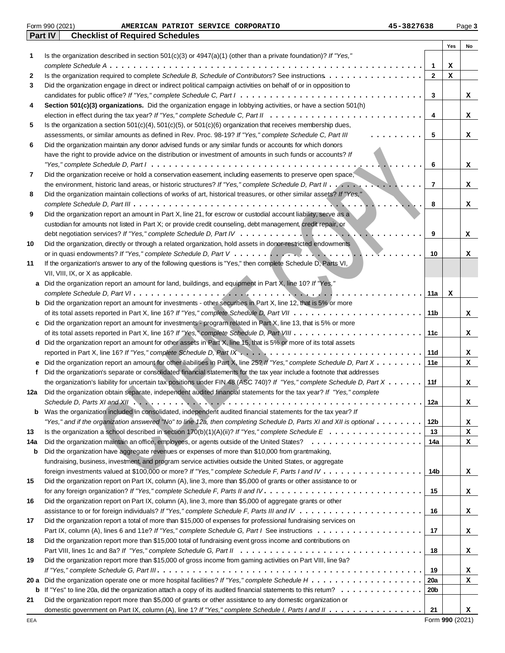|      | Part IV | <b>Checklist of Required Schedules</b>                                                                                                        |              |     |    |
|------|---------|-----------------------------------------------------------------------------------------------------------------------------------------------|--------------|-----|----|
|      |         |                                                                                                                                               |              | Yes | No |
| 1    |         | Is the organization described in section $501(c)(3)$ or $4947(a)(1)$ (other than a private foundation)? If "Yes,"                             |              |     |    |
|      |         |                                                                                                                                               | $\mathbf{1}$ | х   |    |
| 2    |         | Is the organization required to complete Schedule B, Schedule of Contributors? See instructions                                               | $\mathbf{2}$ | x   |    |
| 3    |         | Did the organization engage in direct or indirect political campaign activities on behalf of or in opposition to                              |              |     |    |
|      |         |                                                                                                                                               | 3            |     | x  |
| 4    |         | Section 501(c)(3) organizations. Did the organization engage in lobbying activities, or have a section 501(h)                                 |              |     |    |
|      |         |                                                                                                                                               | 4            |     | x  |
| 5    |         | Is the organization a section $501(c)(4)$ , $501(c)(5)$ , or $501(c)(6)$ organization that receives membership dues,                          |              |     |    |
|      |         | assessments, or similar amounts as defined in Rev. Proc. 98-19? If "Yes," complete Schedule C, Part III<br>.                                  | 5            |     | x  |
| 6    |         | Did the organization maintain any donor advised funds or any similar funds or accounts for which donors                                       |              |     |    |
|      |         | have the right to provide advice on the distribution or investment of amounts in such funds or accounts? If                                   |              |     |    |
|      |         | "Yes," complete Schedule D, Part $1 \ldots \ldots \ldots \ldots \ldots \ldots \ldots \ldots \ldots \ldots \ldots \ldots \ldots$               | 6            |     | x  |
| 7    |         | Did the organization receive or hold a conservation easement, including easements to preserve open space,                                     |              |     |    |
|      |         |                                                                                                                                               | 7            |     | x  |
| 8    |         | Did the organization maintain collections of works of art, historical treasures, or other similar assets? If "Yes,"                           |              |     |    |
|      |         |                                                                                                                                               | 8            |     | x  |
| 9    |         | Did the organization report an amount in Part X, line 21, for escrow or custodial account liability, serve as a                               |              |     |    |
|      |         | custodian for amounts not listed in Part X; or provide credit counseling, debt management, credit repair, or                                  |              |     |    |
|      |         |                                                                                                                                               | 9            |     | х  |
| 10   |         | Did the organization, directly or through a related organization, hold assets in donor-restricted endowments                                  |              |     |    |
|      |         |                                                                                                                                               | 10           |     | x  |
| 11   |         | If the organization's answer to any of the following questions is "Yes," then complete Schedule D, Parts VI,                                  |              |     |    |
|      |         | VII, VIII, IX, or X as applicable.                                                                                                            |              |     |    |
|      | а       | Did the organization report an amount for land, buildings, and equipment in Part X, line 10? If "Yes,"                                        |              |     |    |
|      |         |                                                                                                                                               | 11a          | х   |    |
|      | b       | Did the organization report an amount for investments - other securities in Part X, line 12, that is 5% or more                               |              |     |    |
|      |         |                                                                                                                                               | 11b          |     | x  |
|      | c       | Did the organization report an amount for investments - program related in Part X, line 13, that is 5% or more                                |              |     |    |
|      |         |                                                                                                                                               | 11c          |     | x  |
|      | d       | Did the organization report an amount for other assets in Part X, line 15, that is 5% or more of its total assets                             |              |     |    |
|      |         |                                                                                                                                               | 11d          |     | x  |
|      | е       | Did the organization report an amount for other liabilities in Part X, line 25? If "Yes," complete Schedule D, Part X                         | 11e          |     | x  |
| f    |         | Did the organization's separate or consolidated financial statements for the tax year include a footnote that addresses                       |              |     |    |
|      |         | the organization's liability for uncertain tax positions under FIN 48 (ASC 740)? If "Yes," complete Schedule D, Part X                        | 11f          |     | x  |
| 12a  |         | Did the organization obtain separate, independent audited financial statements for the tax year? If "Yes," complete                           |              |     |    |
|      |         | Schedule D, Parts XI and XII $\ldots \ldots \ldots \ldots \ldots \ldots \ldots \ldots \ldots \ldots \ldots \ldots \ldots$                     | 12a          |     | х  |
| b    |         | Was the organization included in consolidated, independent audited financial statements for the tax year? If                                  |              |     |    |
|      |         | "Yes," and if the organization answered "No" to line 12a, then completing Schedule D, Parts XI and XII is optional $\ldots \ldots \ldots$     | 12b          |     | x  |
| 13   |         | Is the organization a school described in section 170(b)(1)(A)(ii)? If "Yes," complete Schedule $E_1, \ldots, \ldots, \ldots, \ldots, \ldots$ | 13           |     | x  |
| 14a  |         | .<br>Did the organization maintain an office, employees, or agents outside of the United States?                                              | 14a          |     | x  |
| b    |         | Did the organization have aggregate revenues or expenses of more than \$10,000 from grantmaking,                                              |              |     |    |
|      |         | fundraising, business, investment, and program service activities outside the United States, or aggregate                                     |              |     |    |
|      |         |                                                                                                                                               | 14b          |     | x  |
| 15   |         | Did the organization report on Part IX, column (A), line 3, more than \$5,000 of grants or other assistance to or                             |              |     |    |
|      |         |                                                                                                                                               | 15           |     | x  |
| 16   |         | Did the organization report on Part IX, column (A), line 3, more than \$5,000 of aggregate grants or other                                    |              |     |    |
|      |         |                                                                                                                                               | 16           |     | x  |
| 17   |         | Did the organization report a total of more than \$15,000 of expenses for professional fundraising services on                                |              |     |    |
|      |         |                                                                                                                                               | 17           |     | x  |
| 18   |         | Did the organization report more than \$15,000 total of fundraising event gross income and contributions on                                   |              |     |    |
|      |         |                                                                                                                                               | 18           |     | x  |
| 19   |         | Did the organization report more than \$15,000 of gross income from gaming activities on Part VIII, line 9a?                                  |              |     |    |
|      |         |                                                                                                                                               | 19           |     | x  |
| 20 a |         |                                                                                                                                               | 20a          |     | х  |
|      | b       |                                                                                                                                               | 20b          |     |    |
| 21   |         | Did the organization report more than \$5,000 of grants or other assistance to any domestic organization or                                   |              |     |    |
|      |         | domestic government on Part IX, column (A), line 1? If "Yes," complete Schedule I, Parts I and II                                             | 21           |     | x  |

Form 990 (2021) **32 AMERICAN PATRIOT SERVICE CORPORATIO 15-3827638** Page 3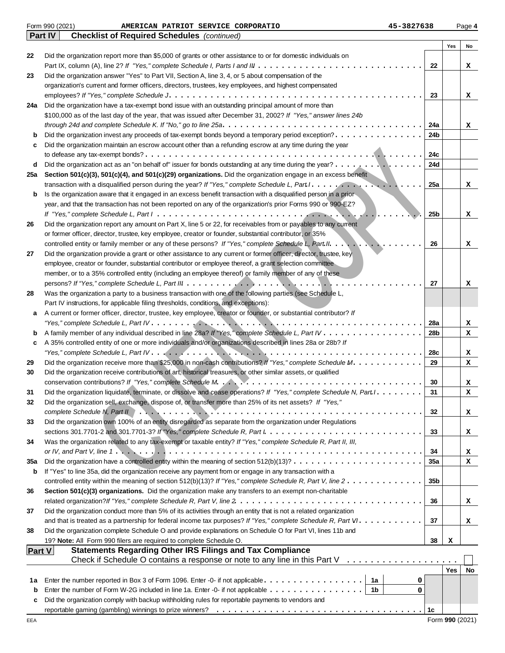|               | Form 990 (2021)<br>45-3827638<br>AMERICAN PATRIOT SERVICE CORPORATIO                                                                                                                     |                 |            | Page 4 |
|---------------|------------------------------------------------------------------------------------------------------------------------------------------------------------------------------------------|-----------------|------------|--------|
|               | <b>Checklist of Required Schedules</b> (continued)<br><b>Part IV</b>                                                                                                                     |                 |            |        |
|               |                                                                                                                                                                                          |                 | Yes        | No     |
| 22            | Did the organization report more than \$5,000 of grants or other assistance to or for domestic individuals on                                                                            |                 |            |        |
|               |                                                                                                                                                                                          | 22              |            | x      |
| 23            | Did the organization answer "Yes" to Part VII, Section A, line 3, 4, or 5 about compensation of the                                                                                      |                 |            |        |
|               | organization's current and former officers, directors, trustees, key employees, and highest compensated                                                                                  |                 |            |        |
| 24a           | Did the organization have a tax-exempt bond issue with an outstanding principal amount of more than                                                                                      | 23              |            | x      |
|               | \$100,000 as of the last day of the year, that was issued after December 31, 2002? If "Yes," answer lines 24b                                                                            |                 |            |        |
|               |                                                                                                                                                                                          | 24a             |            | x      |
| b             | Did the organization invest any proceeds of tax-exempt bonds beyond a temporary period exception?                                                                                        | 24b             |            |        |
| c             | Did the organization maintain an escrow account other than a refunding escrow at any time during the year                                                                                |                 |            |        |
|               |                                                                                                                                                                                          | 24c             |            |        |
| d             | Did the organization act as an "on behalf of" issuer for bonds outstanding at any time during the year? ,                                                                                | 24d             |            |        |
| 25a           | Section 501(c)(3), 501(c)(4), and 501(c)(29) organizations. Did the organization engage in an excess benefit                                                                             |                 |            |        |
|               |                                                                                                                                                                                          | 25a             |            | x      |
| b             | Is the organization aware that it engaged in an excess benefit transaction with a disqualified person in a prior                                                                         |                 |            |        |
|               | year, and that the transaction has not been reported on any of the organization's prior Forms 990 or 990-EZ?                                                                             |                 |            |        |
|               |                                                                                                                                                                                          | 25b             |            | x      |
| 26            | Did the organization report any amount on Part X, line 5 or 22, for receivables from or payables to any current                                                                          |                 |            |        |
|               | or former officer, director, trustee, key employee, creator or founder, substantial contributor, or 35%                                                                                  |                 |            |        |
|               | controlled entity or family member or any of these persons? If "Yes," complete Schedule L, Part II.<br>$\mathcal{L}$                                                                     | 26              |            | x      |
| 27            | Did the organization provide a grant or other assistance to any current or former officer, director, trustee, key                                                                        |                 |            |        |
|               | employee, creator or founder, substantial contributor or employee thereof, a grant selection committee                                                                                   |                 |            |        |
|               | member, or to a 35% controlled entity (including an employee thereof) or family member of any of these                                                                                   |                 |            |        |
|               |                                                                                                                                                                                          | 27              |            | x      |
| 28            | Was the organization a party to a business transaction with one of the following parties (see Schedule L,                                                                                |                 |            |        |
|               | Part IV instructions, for applicable filing thresholds, conditions, and exceptions):                                                                                                     |                 |            |        |
| а             | A current or former officer, director, trustee, key employee, creator or founder, or substantial contributor? If                                                                         |                 |            |        |
|               |                                                                                                                                                                                          | 28a             |            | x      |
| b             | A family member of any individual described in line 28a? If "Yes," complete Schedule L, Part IV                                                                                          | 28b             |            | x      |
| c             | A 35% controlled entity of one or more individuals and/or organizations described in lines 28a or 28b? If                                                                                |                 |            |        |
|               |                                                                                                                                                                                          | 28c             |            | x      |
| 29            | Did the organization receive more than \$25,000 in non-cash contributions? If "Yes," complete Schedule M.                                                                                | 29              |            | x      |
| 30            | Did the organization receive contributions of art, historical treasures, or other similar assets, or qualified                                                                           |                 |            |        |
|               |                                                                                                                                                                                          | 30              |            | x      |
| 31            | Did the organization liquidate, terminate, or dissolve and cease operations? If "Yes," complete Schedule N, Part I.                                                                      | 31              |            | x      |
| 32            | Did the organization sell, exchange, dispose of, or transfer more than 25% of its net assets? If "Yes,"                                                                                  |                 |            |        |
| 33            | Did the organization own 100% of an entity disregarded as separate from the organization under Regulations                                                                               | 32              |            | x      |
|               |                                                                                                                                                                                          | 33              |            |        |
| 34            | Was the organization related to any tax-exempt or taxable entity? If "Yes," complete Schedule R, Part II, III,                                                                           |                 |            | x      |
|               | or IV, and Part V, line 1. $\dots$ , $\dots$ , $\dots$ , $\dots$ , $\dots$ , $\dots$ , $\dots$ , $\dots$ , $\dots$ , $\dots$ , $\dots$ , $\dots$ , $\dots$ , $\dots$ , $\dots$ , $\dots$ | 34              |            | x      |
| 35a           | Did the organization have a controlled entity within the meaning of section $512(b)(13)? \ldots \ldots \ldots \ldots \ldots \ldots \ldots$                                               | 35a             |            | x      |
| b             | If "Yes" to line 35a, did the organization receive any payment from or engage in any transaction with a                                                                                  |                 |            |        |
|               | controlled entity within the meaning of section 512(b)(13)? If "Yes," complete Schedule R, Part V, line $2 \ldots \ldots \ldots \ldots$                                                  | 35 <sub>b</sub> |            |        |
| 36            | Section 501(c)(3) organizations. Did the organization make any transfers to an exempt non-charitable                                                                                     |                 |            |        |
|               |                                                                                                                                                                                          | 36              |            | x      |
| 37            | Did the organization conduct more than 5% of its activities through an entity that is not a related organization                                                                         |                 |            |        |
|               |                                                                                                                                                                                          | 37              |            | x      |
| 38            | Did the organization complete Schedule O and provide explanations on Schedule O for Part VI, lines 11b and                                                                               |                 |            |        |
|               | 19? Note: All Form 990 filers are required to complete Schedule O.                                                                                                                       | 38              | х          |        |
| <b>Part V</b> | <b>Statements Regarding Other IRS Filings and Tax Compliance</b>                                                                                                                         |                 |            |        |
|               | Check if Schedule O contains a response or note to any line in this Part V $\ldots \ldots \ldots \ldots \ldots$                                                                          |                 |            |        |
|               |                                                                                                                                                                                          |                 | <b>Yes</b> | No     |
| 1a            | 1a<br>Enter the number reported in Box 3 of Form 1096. Enter -0- if not applicable<br>0                                                                                                  |                 |            |        |
| b             | Enter the number of Form W-2G included in line 1a. Enter -0- if not applicable $\dots \dots \dots \dots \dots$<br>0                                                                      |                 |            |        |
| c             | Did the organization comply with backup withholding rules for reportable payments to vendors and                                                                                         |                 |            |        |
|               |                                                                                                                                                                                          | 1c              |            |        |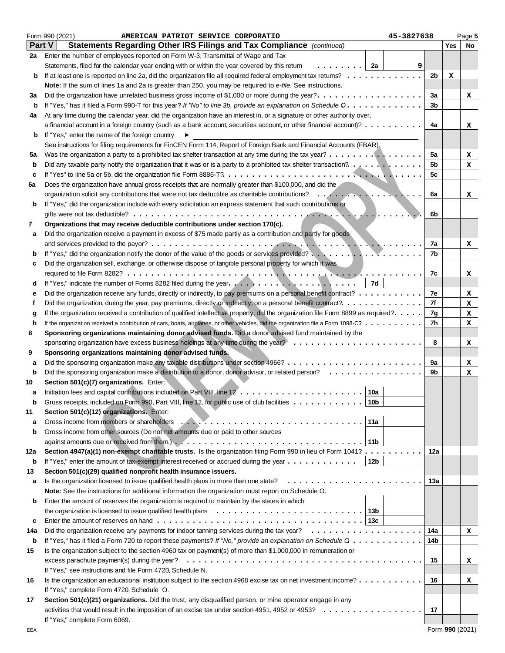|     | Form 990 (2021)<br>45-3827638<br>AMERICAN PATRIOT SERVICE CORPORATIO                                                               |                |     | Page 5 |
|-----|------------------------------------------------------------------------------------------------------------------------------------|----------------|-----|--------|
|     | <b>Part V</b><br>Statements Regarding Other IRS Filings and Tax Compliance (continued)                                             |                | Yes | No     |
| 2a  | Enter the number of employees reported on Form W-3, Transmittal of Wage and Tax                                                    |                |     |        |
|     | Statements, filed for the calendar year ending with or within the year covered by this retum<br>. 1<br>2a                          | 9              |     |        |
| b   | If at least one is reported on line 2a, did the organization file all required federal employment tax returns?                     | 2b             | х   |        |
|     | Note: If the sum of lines 1a and 2a is greater than 250, you may be required to e-file. See instructions.                          |                |     |        |
| За  | Did the organization have unrelated business gross income of \$1,000 or more during the year?                                      | За             |     | x      |
| b   | If "Yes," has it filed a Form 990-T for this year? If "No" to line 3b, provide an explanation on Schedule O.                       | 3 <sub>b</sub> |     |        |
| 4a  | At any time during the calendar year, did the organization have an interest in, or a signature or other authority over,            |                |     |        |
|     | a financial account in a foreign country (such as a bank account, securities account, or other financial account)?                 | 4a             |     | x      |
| b   | If "Yes," enter the name of the foreign country<br>▶                                                                               |                |     |        |
|     | See instructions for filing requirements for FinCEN Form 114, Report of Foreign Bank and Financial Accounts (FBAR).                |                |     |        |
| 5a  | Was the organization a party to a prohibited tax shelter transaction at any time during the tax year?                              | 5a             |     | x      |
| b   | Did any taxable party notify the organization that it was or is a party to a prohibited tax shelter transaction? $\ldots \ldots$   | 5b             |     | x      |
| c   |                                                                                                                                    | 5c             |     |        |
| 6а  | Does the organization have annual gross receipts that are normally greater than \$100,000, and did the                             |                |     |        |
|     |                                                                                                                                    | 6a             |     | x      |
| b   | If "Yes," did the organization include with every solicitation an express statement that such contributions or                     |                |     |        |
|     |                                                                                                                                    | 6b             |     |        |
| 7   | Organizations that may receive deductible contributions under section 170(c).                                                      |                |     |        |
|     |                                                                                                                                    |                |     |        |
| а   | Did the organization receive a payment in excess of \$75 made partly as a contribution and partly for goods                        |                |     |        |
|     |                                                                                                                                    | 7a<br>7b       |     | x      |
| b   |                                                                                                                                    |                |     |        |
| c   | Did the organization sell, exchange, or otherwise dispose of tangible personal property for which it was                           |                |     |        |
|     | 7d                                                                                                                                 | 7c             |     | x      |
| d   | If "Yes," indicate the number of Forms 8282 filed during the year                                                                  |                |     |        |
| е   | Did the organization receive any funds, directly or indirectly, to pay premiums on a personal benefit contract?                    | 7e<br>7f       |     | x      |
| f   |                                                                                                                                    |                |     | x      |
| g   | If the organization received a contribution of qualified intellectual property, did the organization file Form 8899 as required?.  | 7g<br>7h       |     | x      |
| h   | If the organization received a contribution of cars, boats, airplanes, or other vehicles, did the organization file a Form 1098-C? |                |     | x      |
| 8   | Sponsoring organizations maintaining donor advised funds. Did a donor advised fund maintained by the                               |                |     |        |
|     |                                                                                                                                    | 8              |     | x      |
| 9   | Sponsoring organizations maintaining donor advised funds.                                                                          |                |     |        |
| а   |                                                                                                                                    | 9a             |     | x      |
| b   | Did the sponsoring organization make a distribution to a donor, donor advisor, or related person?                                  | 9b             |     | x      |
| 10  | Section 501(c)(7) organizations. Enter:                                                                                            |                |     |        |
| а   | 10a                                                                                                                                |                |     |        |
|     | Gross receipts, included on Form 990, Part VIII, line 12, for public use of club facilities<br>10 <sub>b</sub>                     |                |     |        |
| 11  | Section 501(c)(12) organizations. Enter:                                                                                           |                |     |        |
| а   | 11a                                                                                                                                |                |     |        |
| b   | Gross income from other sources (Do not net amounts due or paid to other sources                                                   |                |     |        |
|     |                                                                                                                                    |                |     |        |
| 12a | Section 4947(a)(1) non-exempt charitable trusts. Is the organization filing Form 990 in lieu of Form 1041?                         | 12a            |     |        |
| b   | 12b<br>If "Yes," enter the amount of tax-exempt interest received or accrued during the year $\dots \dots \dots \dots$             |                |     |        |
| 13  | Section 501(c)(29) qualified nonprofit health insurance issuers.                                                                   |                |     |        |
| а   | Is the organization licensed to issue qualified health plans in more than one state?                                               | 13a            |     |        |
|     | <b>Note:</b> See the instructions for additional information the organization must report on Schedule O.                           |                |     |        |
| b   | Enter the amount of reserves the organization is required to maintain by the states in which                                       |                |     |        |
|     |                                                                                                                                    |                |     |        |
| c   |                                                                                                                                    |                |     |        |
| 14a |                                                                                                                                    | 14a            |     | x      |
| b   | If "Yes," has it filed a Form 720 to report these payments? If "No," provide an explanation on Schedule Q                          | 14b            |     |        |
| 15  | Is the organization subject to the section 4960 tax on payment(s) of more than \$1,000,000 in remuneration or                      |                |     |        |
|     |                                                                                                                                    | 15             |     | x      |
|     | If "Yes," see instructions and file Form 4720, Schedule N.                                                                         |                |     |        |
| 16  | Is the organization an educational institution subject to the section 4968 excise tax on net investment income?                    | 16             |     | x      |
|     | If "Yes," complete Form 4720, Schedule O.                                                                                          |                |     |        |
| 17  | Section 501(c)(21) organizations. Did the trust, any disqualified person, or mine operator engage in any                           |                |     |        |
|     |                                                                                                                                    | 17             |     |        |
|     | If "Yes," complete Form 6069.                                                                                                      |                |     |        |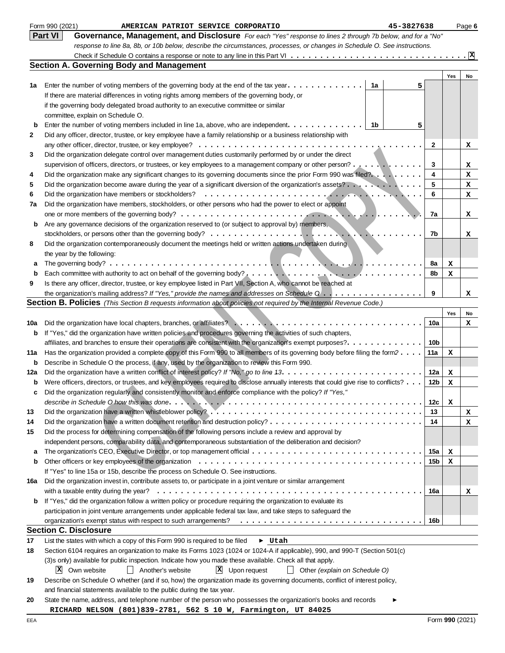|              | Form 990 (2021)<br>45-3827638<br>AMERICAN PATRIOT SERVICE CORPORATIO                                                                                                                                                        |                 |     | Page 6                          |
|--------------|-----------------------------------------------------------------------------------------------------------------------------------------------------------------------------------------------------------------------------|-----------------|-----|---------------------------------|
|              | <b>Part VI</b><br>Governance, Management, and Disclosure For each "Yes" response to lines 2 through 7b below, and for a "No"                                                                                                |                 |     |                                 |
|              | response to line 8a, 8b, or 10b below, describe the circumstances, processes, or changes in Schedule O. See instructions.                                                                                                   |                 |     |                                 |
|              |                                                                                                                                                                                                                             |                 |     | $\cdot$ $\overline{\mathbf{x}}$ |
|              | <b>Section A. Governing Body and Management</b>                                                                                                                                                                             |                 |     |                                 |
|              |                                                                                                                                                                                                                             |                 | Yes | No                              |
| 1a           | Enter the number of voting members of the governing body at the end of the tax year. $\dots \dots \dots \dots$<br>1a                                                                                                        | 5               |     |                                 |
|              | If there are material differences in voting rights among members of the governing body, or                                                                                                                                  |                 |     |                                 |
|              | if the governing body delegated broad authority to an executive committee or similar                                                                                                                                        |                 |     |                                 |
|              | committee, explain on Schedule O.                                                                                                                                                                                           |                 |     |                                 |
| b            | Enter the number of voting members included in line 1a, above, who are independent.<br>- 1b                                                                                                                                 | 5               |     |                                 |
| $\mathbf{2}$ | Did any officer, director, trustee, or key employee have a family relationship or a business relationship with                                                                                                              |                 |     |                                 |
|              |                                                                                                                                                                                                                             | $\mathbf{2}$    |     | x                               |
| 3            | Did the organization delegate control over management duties customarily performed by or under the direct                                                                                                                   |                 |     |                                 |
|              | supervision of officers, directors, or trustees, or key employees to a management company or other person?                                                                                                                  | 3               |     | x                               |
| 4            | Did the organization make any significant changes to its governing documents since the prior Form 990 was filed?                                                                                                            | 4               |     | x                               |
| 5            | Did the organization become aware during the year of a significant diversion of the organization's assets?                                                                                                                  | 5               |     | x                               |
| 6            | Did the organization have members or stockholders?                                                                                                                                                                          | 6               |     | x                               |
| 7a           | Did the organization have members, stockholders, or other persons who had the power to elect or appoint                                                                                                                     |                 |     |                                 |
|              |                                                                                                                                                                                                                             | 7a              |     | x                               |
| b            | Are any governance decisions of the organization reserved to (or subject to approval by) members,                                                                                                                           |                 |     |                                 |
|              |                                                                                                                                                                                                                             | 7b              |     | x                               |
| 8            | Did the organization contemporaneously document the meetings held or written actions undertaken during                                                                                                                      |                 |     |                                 |
|              | the year by the following:                                                                                                                                                                                                  |                 |     |                                 |
| а            |                                                                                                                                                                                                                             | 8a              | x   |                                 |
| b            |                                                                                                                                                                                                                             | 8b              | x   |                                 |
| 9            | Is there any officer, director, trustee, or key employee listed in Part VII, Section A, who cannot be reached at                                                                                                            | 9               |     |                                 |
|              | the organization's mailing address? If "Yes," provide the names and addresses on Schedule $0$<br><b>Section B. Policies</b> (This Section B requests information about policies not required by the Internal Revenue Code.) |                 |     | x                               |
|              |                                                                                                                                                                                                                             |                 |     |                                 |
|              |                                                                                                                                                                                                                             | 10a             | Yes | No                              |
| 10a          | If "Yes," did the organization have written policies and procedures governing the activities of such chapters,                                                                                                              |                 |     | x                               |
| b            | affiliates, and branches to ensure their operations are consistent with the organization's exempt purposes?.                                                                                                                | 10 <sub>b</sub> |     |                                 |
| 11a          | Has the organization provided a complete copy of this Form 990 to all members of its governing body before filing the form?                                                                                                 | 11a             |     |                                 |
| b            | Describe in Schedule O the process, if any, used by the organization to review this Form 990.                                                                                                                               |                 | х   |                                 |
| 12a          |                                                                                                                                                                                                                             | 12a             | x   |                                 |
| b            | Were officers, directors, or trustees, and key employees required to disclose annually interests that could give rise to conflicts?                                                                                         | 12b             | x   |                                 |
|              | Did the organization regularly and consistently monitor and enforce compliance with the policy? If "Yes,"                                                                                                                   |                 |     |                                 |
|              |                                                                                                                                                                                                                             | 12c             | х   |                                 |
| 13           |                                                                                                                                                                                                                             | 13              |     | x                               |
| 14           |                                                                                                                                                                                                                             | 14              |     | x                               |
| 15           | Did the process for determining compensation of the following persons include a review and approval by                                                                                                                      |                 |     |                                 |
|              | independent persons, comparability data, and contemporaneous substantiation of the deliberation and decision?                                                                                                               |                 |     |                                 |
| а            |                                                                                                                                                                                                                             | 15a             | x   |                                 |
| b            |                                                                                                                                                                                                                             | 15b             | x   |                                 |
|              | If "Yes" to line 15a or 15b, describe the process on Schedule O. See instructions.                                                                                                                                          |                 |     |                                 |
| 16a          | Did the organization invest in, contribute assets to, or participate in a joint venture or similar arrangement                                                                                                              |                 |     |                                 |
|              |                                                                                                                                                                                                                             | 16a             |     | x                               |
| b            | If "Yes," did the organization follow a written policy or procedure requiring the organization to evaluate its                                                                                                              |                 |     |                                 |
|              | participation in joint venture arrangements under applicable federal tax law, and take steps to safeguard the                                                                                                               |                 |     |                                 |
|              |                                                                                                                                                                                                                             | 16b             |     |                                 |
|              | <b>Section C. Disclosure</b>                                                                                                                                                                                                |                 |     |                                 |
| 17           | List the states with which a copy of this Form 990 is required to be filed<br>$\blacktriangleright$ Utah                                                                                                                    |                 |     |                                 |
| 18           | Section 6104 requires an organization to make its Forms 1023 (1024 or 1024-A if applicable), 990, and 990-T (Section 501(c)                                                                                                 |                 |     |                                 |
|              | (3)s only) available for public inspection. Indicate how you made these available. Check all that apply.                                                                                                                    |                 |     |                                 |
|              | X Upon request<br>X Own website<br>    Another's website<br>$\Box$ Other (explain on Schedule O)                                                                                                                            |                 |     |                                 |
| 19           | Describe on Schedule O whether (and if so, how) the organization made its governing documents, conflict of interest policy,                                                                                                 |                 |     |                                 |
|              | and financial statements available to the public during the tax year.                                                                                                                                                       |                 |     |                                 |
| 20           | State the name, address, and telephone number of the person who possesses the organization's books and records                                                                                                              |                 |     |                                 |
|              | RICHARD NELSON (801)839-2781, 562 S 10 W, Farmington, UT 84025                                                                                                                                                              |                 |     |                                 |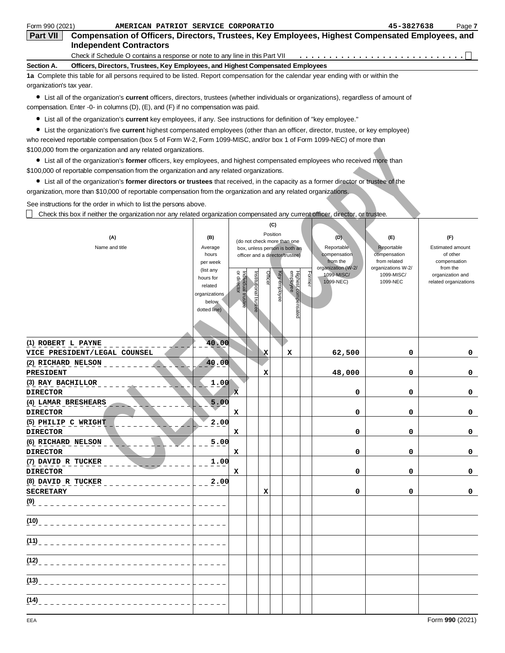| <b>Independent Contractors</b><br>Check if Schedule O contains a response or note to any line in this Part VII<br>Section A.<br>Officers, Directors, Trustees, Key Employees, and Highest Compensated Employees<br>1a Complete this table for all persons required to be listed. Report compensation for the calendar year ending with or within the<br>organization's tax year.<br>• List all of the organization's <b>current</b> officers, directors, trustees (whether individuals or organizations), regardless of amount of<br>compensation. Enter -0- in columns $(D)$ , $(E)$ , and $(F)$ if no compensation was paid.<br>• List all of the organization's current key employees, if any. See instructions for definition of "key employee."<br>• List the organization's five current highest compensated employees (other than an officer, director, trustee, or key employee)<br>who received reportable compensation (box 5 of Form W-2, Form 1099-MISC, and/or box 1 of Form 1099-NEC) of more than<br>\$100,000 from the organization and any related organizations.<br>• List all of the organization's former officers, key employees, and highest compensated employees who received more than<br>\$100,000 of reportable compensation from the organization and any related organizations.<br>• List all of the organization's former directors or trustees that received, in the capacity as a former director or trustee of the<br>organization, more than \$10,000 of reportable compensation from the organization and any related organizations.<br>See instructions for the order in which to list the persons above.<br>Check this box if neither the organization nor any related organization compensated any current officer, director, or trustee.<br>(C)<br>Position<br>(D)<br>(A)<br>(B)<br>(E)<br>(F)<br>(do not check more than one<br>Name and title<br>Reportable<br>Reportable<br><b>Estimated amount</b><br>Average<br>box, unless person is both an<br>compensation<br>compensation<br>of other<br>hours<br>officer and a director/trustee)<br>from the<br>from related<br>compensation<br>per week<br>organization (W-2/<br>organizations W-2/<br>from the<br>(list any<br>Highest compensated<br>employee<br>or director<br>Officer<br>Key employee<br>Former<br>Institutional trustee<br>ndividual trustee<br>1099-MISC/<br>1099-MISC/<br>organization and<br>hours for<br>1099-NEC)<br>1099-NEC<br>related organizations<br>related<br>organizations<br>below<br>dotted line)<br>40.00<br>(1) ROBERT L PAYNE<br>0<br>VICE PRESIDENT/LEGAL COUNSEL<br>х<br>62,500<br>0<br>х<br>40.00<br>(2) RICHARD NELSON<br>48,000<br>0<br><b>PRESIDENT</b><br>0<br>x<br>1.00<br>(3) RAY BACHILLOR<br><b>DIRECTOR</b><br>O.<br>O<br>0<br>(4) LAMAR BRESHEARS<br>5.00<br><b>DIRECTOR</b><br>0<br>0<br>0<br>x<br>2.00<br>(5) PHILIP C WRIGHT<br><b>DIRECTOR</b><br>0<br>0<br>0<br>x<br>(6) RICHARD NELSON<br>5.00<br><b>DIRECTOR</b><br>0<br>0<br>х<br>0<br>(7) DAVID R TUCKER<br>1.00<br><b>DIRECTOR</b><br>0<br>0<br>х<br>0<br>(8) DAVID R TUCKER<br>2.00<br><b>SECRETARY</b><br>0<br>0<br>x<br>$\mathbf{0}$<br>$(9)$ $-$<br>(10)<br>(11)<br>(12) | Form 990 (2021)<br>AMERICAN PATRIOT SERVICE CORPORATIO                                                              |  |  |  |  |  |  |  | 45-3827638 | Page 7 |
|------------------------------------------------------------------------------------------------------------------------------------------------------------------------------------------------------------------------------------------------------------------------------------------------------------------------------------------------------------------------------------------------------------------------------------------------------------------------------------------------------------------------------------------------------------------------------------------------------------------------------------------------------------------------------------------------------------------------------------------------------------------------------------------------------------------------------------------------------------------------------------------------------------------------------------------------------------------------------------------------------------------------------------------------------------------------------------------------------------------------------------------------------------------------------------------------------------------------------------------------------------------------------------------------------------------------------------------------------------------------------------------------------------------------------------------------------------------------------------------------------------------------------------------------------------------------------------------------------------------------------------------------------------------------------------------------------------------------------------------------------------------------------------------------------------------------------------------------------------------------------------------------------------------------------------------------------------------------------------------------------------------------------------------------------------------------------------------------------------------------------------------------------------------------------------------------------------------------------------------------------------------------------------------------------------------------------------------------------------------------------------------------------------------------------------------------------------------------------------------------------------------------------------------------------------------------------------------------------------------------------------------------------------------------------------------------------------------------------------------------------------------------------------------------------------------------------------------------------------------------------------------------------------------------------------------------------------------------------------------------------------------------------------------------------------------------------------------------------------------------------------------------------------------------------|---------------------------------------------------------------------------------------------------------------------|--|--|--|--|--|--|--|------------|--------|
|                                                                                                                                                                                                                                                                                                                                                                                                                                                                                                                                                                                                                                                                                                                                                                                                                                                                                                                                                                                                                                                                                                                                                                                                                                                                                                                                                                                                                                                                                                                                                                                                                                                                                                                                                                                                                                                                                                                                                                                                                                                                                                                                                                                                                                                                                                                                                                                                                                                                                                                                                                                                                                                                                                                                                                                                                                                                                                                                                                                                                                                                                                                                                                              | Compensation of Officers, Directors, Trustees, Key Employees, Highest Compensated Employees, and<br><b>Part VII</b> |  |  |  |  |  |  |  |            |        |
|                                                                                                                                                                                                                                                                                                                                                                                                                                                                                                                                                                                                                                                                                                                                                                                                                                                                                                                                                                                                                                                                                                                                                                                                                                                                                                                                                                                                                                                                                                                                                                                                                                                                                                                                                                                                                                                                                                                                                                                                                                                                                                                                                                                                                                                                                                                                                                                                                                                                                                                                                                                                                                                                                                                                                                                                                                                                                                                                                                                                                                                                                                                                                                              |                                                                                                                     |  |  |  |  |  |  |  |            |        |
|                                                                                                                                                                                                                                                                                                                                                                                                                                                                                                                                                                                                                                                                                                                                                                                                                                                                                                                                                                                                                                                                                                                                                                                                                                                                                                                                                                                                                                                                                                                                                                                                                                                                                                                                                                                                                                                                                                                                                                                                                                                                                                                                                                                                                                                                                                                                                                                                                                                                                                                                                                                                                                                                                                                                                                                                                                                                                                                                                                                                                                                                                                                                                                              |                                                                                                                     |  |  |  |  |  |  |  |            |        |
|                                                                                                                                                                                                                                                                                                                                                                                                                                                                                                                                                                                                                                                                                                                                                                                                                                                                                                                                                                                                                                                                                                                                                                                                                                                                                                                                                                                                                                                                                                                                                                                                                                                                                                                                                                                                                                                                                                                                                                                                                                                                                                                                                                                                                                                                                                                                                                                                                                                                                                                                                                                                                                                                                                                                                                                                                                                                                                                                                                                                                                                                                                                                                                              |                                                                                                                     |  |  |  |  |  |  |  |            |        |
|                                                                                                                                                                                                                                                                                                                                                                                                                                                                                                                                                                                                                                                                                                                                                                                                                                                                                                                                                                                                                                                                                                                                                                                                                                                                                                                                                                                                                                                                                                                                                                                                                                                                                                                                                                                                                                                                                                                                                                                                                                                                                                                                                                                                                                                                                                                                                                                                                                                                                                                                                                                                                                                                                                                                                                                                                                                                                                                                                                                                                                                                                                                                                                              |                                                                                                                     |  |  |  |  |  |  |  |            |        |
|                                                                                                                                                                                                                                                                                                                                                                                                                                                                                                                                                                                                                                                                                                                                                                                                                                                                                                                                                                                                                                                                                                                                                                                                                                                                                                                                                                                                                                                                                                                                                                                                                                                                                                                                                                                                                                                                                                                                                                                                                                                                                                                                                                                                                                                                                                                                                                                                                                                                                                                                                                                                                                                                                                                                                                                                                                                                                                                                                                                                                                                                                                                                                                              |                                                                                                                     |  |  |  |  |  |  |  |            |        |
|                                                                                                                                                                                                                                                                                                                                                                                                                                                                                                                                                                                                                                                                                                                                                                                                                                                                                                                                                                                                                                                                                                                                                                                                                                                                                                                                                                                                                                                                                                                                                                                                                                                                                                                                                                                                                                                                                                                                                                                                                                                                                                                                                                                                                                                                                                                                                                                                                                                                                                                                                                                                                                                                                                                                                                                                                                                                                                                                                                                                                                                                                                                                                                              |                                                                                                                     |  |  |  |  |  |  |  |            |        |
|                                                                                                                                                                                                                                                                                                                                                                                                                                                                                                                                                                                                                                                                                                                                                                                                                                                                                                                                                                                                                                                                                                                                                                                                                                                                                                                                                                                                                                                                                                                                                                                                                                                                                                                                                                                                                                                                                                                                                                                                                                                                                                                                                                                                                                                                                                                                                                                                                                                                                                                                                                                                                                                                                                                                                                                                                                                                                                                                                                                                                                                                                                                                                                              |                                                                                                                     |  |  |  |  |  |  |  |            |        |
|                                                                                                                                                                                                                                                                                                                                                                                                                                                                                                                                                                                                                                                                                                                                                                                                                                                                                                                                                                                                                                                                                                                                                                                                                                                                                                                                                                                                                                                                                                                                                                                                                                                                                                                                                                                                                                                                                                                                                                                                                                                                                                                                                                                                                                                                                                                                                                                                                                                                                                                                                                                                                                                                                                                                                                                                                                                                                                                                                                                                                                                                                                                                                                              |                                                                                                                     |  |  |  |  |  |  |  |            |        |
|                                                                                                                                                                                                                                                                                                                                                                                                                                                                                                                                                                                                                                                                                                                                                                                                                                                                                                                                                                                                                                                                                                                                                                                                                                                                                                                                                                                                                                                                                                                                                                                                                                                                                                                                                                                                                                                                                                                                                                                                                                                                                                                                                                                                                                                                                                                                                                                                                                                                                                                                                                                                                                                                                                                                                                                                                                                                                                                                                                                                                                                                                                                                                                              |                                                                                                                     |  |  |  |  |  |  |  |            |        |
|                                                                                                                                                                                                                                                                                                                                                                                                                                                                                                                                                                                                                                                                                                                                                                                                                                                                                                                                                                                                                                                                                                                                                                                                                                                                                                                                                                                                                                                                                                                                                                                                                                                                                                                                                                                                                                                                                                                                                                                                                                                                                                                                                                                                                                                                                                                                                                                                                                                                                                                                                                                                                                                                                                                                                                                                                                                                                                                                                                                                                                                                                                                                                                              |                                                                                                                     |  |  |  |  |  |  |  |            |        |
|                                                                                                                                                                                                                                                                                                                                                                                                                                                                                                                                                                                                                                                                                                                                                                                                                                                                                                                                                                                                                                                                                                                                                                                                                                                                                                                                                                                                                                                                                                                                                                                                                                                                                                                                                                                                                                                                                                                                                                                                                                                                                                                                                                                                                                                                                                                                                                                                                                                                                                                                                                                                                                                                                                                                                                                                                                                                                                                                                                                                                                                                                                                                                                              |                                                                                                                     |  |  |  |  |  |  |  |            |        |
|                                                                                                                                                                                                                                                                                                                                                                                                                                                                                                                                                                                                                                                                                                                                                                                                                                                                                                                                                                                                                                                                                                                                                                                                                                                                                                                                                                                                                                                                                                                                                                                                                                                                                                                                                                                                                                                                                                                                                                                                                                                                                                                                                                                                                                                                                                                                                                                                                                                                                                                                                                                                                                                                                                                                                                                                                                                                                                                                                                                                                                                                                                                                                                              |                                                                                                                     |  |  |  |  |  |  |  |            |        |
|                                                                                                                                                                                                                                                                                                                                                                                                                                                                                                                                                                                                                                                                                                                                                                                                                                                                                                                                                                                                                                                                                                                                                                                                                                                                                                                                                                                                                                                                                                                                                                                                                                                                                                                                                                                                                                                                                                                                                                                                                                                                                                                                                                                                                                                                                                                                                                                                                                                                                                                                                                                                                                                                                                                                                                                                                                                                                                                                                                                                                                                                                                                                                                              |                                                                                                                     |  |  |  |  |  |  |  |            |        |
|                                                                                                                                                                                                                                                                                                                                                                                                                                                                                                                                                                                                                                                                                                                                                                                                                                                                                                                                                                                                                                                                                                                                                                                                                                                                                                                                                                                                                                                                                                                                                                                                                                                                                                                                                                                                                                                                                                                                                                                                                                                                                                                                                                                                                                                                                                                                                                                                                                                                                                                                                                                                                                                                                                                                                                                                                                                                                                                                                                                                                                                                                                                                                                              |                                                                                                                     |  |  |  |  |  |  |  |            |        |
|                                                                                                                                                                                                                                                                                                                                                                                                                                                                                                                                                                                                                                                                                                                                                                                                                                                                                                                                                                                                                                                                                                                                                                                                                                                                                                                                                                                                                                                                                                                                                                                                                                                                                                                                                                                                                                                                                                                                                                                                                                                                                                                                                                                                                                                                                                                                                                                                                                                                                                                                                                                                                                                                                                                                                                                                                                                                                                                                                                                                                                                                                                                                                                              |                                                                                                                     |  |  |  |  |  |  |  |            |        |
|                                                                                                                                                                                                                                                                                                                                                                                                                                                                                                                                                                                                                                                                                                                                                                                                                                                                                                                                                                                                                                                                                                                                                                                                                                                                                                                                                                                                                                                                                                                                                                                                                                                                                                                                                                                                                                                                                                                                                                                                                                                                                                                                                                                                                                                                                                                                                                                                                                                                                                                                                                                                                                                                                                                                                                                                                                                                                                                                                                                                                                                                                                                                                                              |                                                                                                                     |  |  |  |  |  |  |  |            |        |
|                                                                                                                                                                                                                                                                                                                                                                                                                                                                                                                                                                                                                                                                                                                                                                                                                                                                                                                                                                                                                                                                                                                                                                                                                                                                                                                                                                                                                                                                                                                                                                                                                                                                                                                                                                                                                                                                                                                                                                                                                                                                                                                                                                                                                                                                                                                                                                                                                                                                                                                                                                                                                                                                                                                                                                                                                                                                                                                                                                                                                                                                                                                                                                              |                                                                                                                     |  |  |  |  |  |  |  |            |        |
|                                                                                                                                                                                                                                                                                                                                                                                                                                                                                                                                                                                                                                                                                                                                                                                                                                                                                                                                                                                                                                                                                                                                                                                                                                                                                                                                                                                                                                                                                                                                                                                                                                                                                                                                                                                                                                                                                                                                                                                                                                                                                                                                                                                                                                                                                                                                                                                                                                                                                                                                                                                                                                                                                                                                                                                                                                                                                                                                                                                                                                                                                                                                                                              |                                                                                                                     |  |  |  |  |  |  |  |            |        |
|                                                                                                                                                                                                                                                                                                                                                                                                                                                                                                                                                                                                                                                                                                                                                                                                                                                                                                                                                                                                                                                                                                                                                                                                                                                                                                                                                                                                                                                                                                                                                                                                                                                                                                                                                                                                                                                                                                                                                                                                                                                                                                                                                                                                                                                                                                                                                                                                                                                                                                                                                                                                                                                                                                                                                                                                                                                                                                                                                                                                                                                                                                                                                                              |                                                                                                                     |  |  |  |  |  |  |  |            |        |
|                                                                                                                                                                                                                                                                                                                                                                                                                                                                                                                                                                                                                                                                                                                                                                                                                                                                                                                                                                                                                                                                                                                                                                                                                                                                                                                                                                                                                                                                                                                                                                                                                                                                                                                                                                                                                                                                                                                                                                                                                                                                                                                                                                                                                                                                                                                                                                                                                                                                                                                                                                                                                                                                                                                                                                                                                                                                                                                                                                                                                                                                                                                                                                              |                                                                                                                     |  |  |  |  |  |  |  |            |        |
|                                                                                                                                                                                                                                                                                                                                                                                                                                                                                                                                                                                                                                                                                                                                                                                                                                                                                                                                                                                                                                                                                                                                                                                                                                                                                                                                                                                                                                                                                                                                                                                                                                                                                                                                                                                                                                                                                                                                                                                                                                                                                                                                                                                                                                                                                                                                                                                                                                                                                                                                                                                                                                                                                                                                                                                                                                                                                                                                                                                                                                                                                                                                                                              |                                                                                                                     |  |  |  |  |  |  |  |            |        |
|                                                                                                                                                                                                                                                                                                                                                                                                                                                                                                                                                                                                                                                                                                                                                                                                                                                                                                                                                                                                                                                                                                                                                                                                                                                                                                                                                                                                                                                                                                                                                                                                                                                                                                                                                                                                                                                                                                                                                                                                                                                                                                                                                                                                                                                                                                                                                                                                                                                                                                                                                                                                                                                                                                                                                                                                                                                                                                                                                                                                                                                                                                                                                                              |                                                                                                                     |  |  |  |  |  |  |  |            |        |
|                                                                                                                                                                                                                                                                                                                                                                                                                                                                                                                                                                                                                                                                                                                                                                                                                                                                                                                                                                                                                                                                                                                                                                                                                                                                                                                                                                                                                                                                                                                                                                                                                                                                                                                                                                                                                                                                                                                                                                                                                                                                                                                                                                                                                                                                                                                                                                                                                                                                                                                                                                                                                                                                                                                                                                                                                                                                                                                                                                                                                                                                                                                                                                              |                                                                                                                     |  |  |  |  |  |  |  |            |        |
|                                                                                                                                                                                                                                                                                                                                                                                                                                                                                                                                                                                                                                                                                                                                                                                                                                                                                                                                                                                                                                                                                                                                                                                                                                                                                                                                                                                                                                                                                                                                                                                                                                                                                                                                                                                                                                                                                                                                                                                                                                                                                                                                                                                                                                                                                                                                                                                                                                                                                                                                                                                                                                                                                                                                                                                                                                                                                                                                                                                                                                                                                                                                                                              |                                                                                                                     |  |  |  |  |  |  |  |            |        |
|                                                                                                                                                                                                                                                                                                                                                                                                                                                                                                                                                                                                                                                                                                                                                                                                                                                                                                                                                                                                                                                                                                                                                                                                                                                                                                                                                                                                                                                                                                                                                                                                                                                                                                                                                                                                                                                                                                                                                                                                                                                                                                                                                                                                                                                                                                                                                                                                                                                                                                                                                                                                                                                                                                                                                                                                                                                                                                                                                                                                                                                                                                                                                                              |                                                                                                                     |  |  |  |  |  |  |  |            |        |
|                                                                                                                                                                                                                                                                                                                                                                                                                                                                                                                                                                                                                                                                                                                                                                                                                                                                                                                                                                                                                                                                                                                                                                                                                                                                                                                                                                                                                                                                                                                                                                                                                                                                                                                                                                                                                                                                                                                                                                                                                                                                                                                                                                                                                                                                                                                                                                                                                                                                                                                                                                                                                                                                                                                                                                                                                                                                                                                                                                                                                                                                                                                                                                              |                                                                                                                     |  |  |  |  |  |  |  |            |        |
|                                                                                                                                                                                                                                                                                                                                                                                                                                                                                                                                                                                                                                                                                                                                                                                                                                                                                                                                                                                                                                                                                                                                                                                                                                                                                                                                                                                                                                                                                                                                                                                                                                                                                                                                                                                                                                                                                                                                                                                                                                                                                                                                                                                                                                                                                                                                                                                                                                                                                                                                                                                                                                                                                                                                                                                                                                                                                                                                                                                                                                                                                                                                                                              |                                                                                                                     |  |  |  |  |  |  |  |            |        |
|                                                                                                                                                                                                                                                                                                                                                                                                                                                                                                                                                                                                                                                                                                                                                                                                                                                                                                                                                                                                                                                                                                                                                                                                                                                                                                                                                                                                                                                                                                                                                                                                                                                                                                                                                                                                                                                                                                                                                                                                                                                                                                                                                                                                                                                                                                                                                                                                                                                                                                                                                                                                                                                                                                                                                                                                                                                                                                                                                                                                                                                                                                                                                                              |                                                                                                                     |  |  |  |  |  |  |  |            |        |
|                                                                                                                                                                                                                                                                                                                                                                                                                                                                                                                                                                                                                                                                                                                                                                                                                                                                                                                                                                                                                                                                                                                                                                                                                                                                                                                                                                                                                                                                                                                                                                                                                                                                                                                                                                                                                                                                                                                                                                                                                                                                                                                                                                                                                                                                                                                                                                                                                                                                                                                                                                                                                                                                                                                                                                                                                                                                                                                                                                                                                                                                                                                                                                              |                                                                                                                     |  |  |  |  |  |  |  |            |        |
|                                                                                                                                                                                                                                                                                                                                                                                                                                                                                                                                                                                                                                                                                                                                                                                                                                                                                                                                                                                                                                                                                                                                                                                                                                                                                                                                                                                                                                                                                                                                                                                                                                                                                                                                                                                                                                                                                                                                                                                                                                                                                                                                                                                                                                                                                                                                                                                                                                                                                                                                                                                                                                                                                                                                                                                                                                                                                                                                                                                                                                                                                                                                                                              |                                                                                                                     |  |  |  |  |  |  |  |            |        |
|                                                                                                                                                                                                                                                                                                                                                                                                                                                                                                                                                                                                                                                                                                                                                                                                                                                                                                                                                                                                                                                                                                                                                                                                                                                                                                                                                                                                                                                                                                                                                                                                                                                                                                                                                                                                                                                                                                                                                                                                                                                                                                                                                                                                                                                                                                                                                                                                                                                                                                                                                                                                                                                                                                                                                                                                                                                                                                                                                                                                                                                                                                                                                                              |                                                                                                                     |  |  |  |  |  |  |  |            |        |
|                                                                                                                                                                                                                                                                                                                                                                                                                                                                                                                                                                                                                                                                                                                                                                                                                                                                                                                                                                                                                                                                                                                                                                                                                                                                                                                                                                                                                                                                                                                                                                                                                                                                                                                                                                                                                                                                                                                                                                                                                                                                                                                                                                                                                                                                                                                                                                                                                                                                                                                                                                                                                                                                                                                                                                                                                                                                                                                                                                                                                                                                                                                                                                              |                                                                                                                     |  |  |  |  |  |  |  |            |        |
|                                                                                                                                                                                                                                                                                                                                                                                                                                                                                                                                                                                                                                                                                                                                                                                                                                                                                                                                                                                                                                                                                                                                                                                                                                                                                                                                                                                                                                                                                                                                                                                                                                                                                                                                                                                                                                                                                                                                                                                                                                                                                                                                                                                                                                                                                                                                                                                                                                                                                                                                                                                                                                                                                                                                                                                                                                                                                                                                                                                                                                                                                                                                                                              |                                                                                                                     |  |  |  |  |  |  |  |            |        |
|                                                                                                                                                                                                                                                                                                                                                                                                                                                                                                                                                                                                                                                                                                                                                                                                                                                                                                                                                                                                                                                                                                                                                                                                                                                                                                                                                                                                                                                                                                                                                                                                                                                                                                                                                                                                                                                                                                                                                                                                                                                                                                                                                                                                                                                                                                                                                                                                                                                                                                                                                                                                                                                                                                                                                                                                                                                                                                                                                                                                                                                                                                                                                                              |                                                                                                                     |  |  |  |  |  |  |  |            |        |
|                                                                                                                                                                                                                                                                                                                                                                                                                                                                                                                                                                                                                                                                                                                                                                                                                                                                                                                                                                                                                                                                                                                                                                                                                                                                                                                                                                                                                                                                                                                                                                                                                                                                                                                                                                                                                                                                                                                                                                                                                                                                                                                                                                                                                                                                                                                                                                                                                                                                                                                                                                                                                                                                                                                                                                                                                                                                                                                                                                                                                                                                                                                                                                              |                                                                                                                     |  |  |  |  |  |  |  |            |        |
|                                                                                                                                                                                                                                                                                                                                                                                                                                                                                                                                                                                                                                                                                                                                                                                                                                                                                                                                                                                                                                                                                                                                                                                                                                                                                                                                                                                                                                                                                                                                                                                                                                                                                                                                                                                                                                                                                                                                                                                                                                                                                                                                                                                                                                                                                                                                                                                                                                                                                                                                                                                                                                                                                                                                                                                                                                                                                                                                                                                                                                                                                                                                                                              |                                                                                                                     |  |  |  |  |  |  |  |            |        |
|                                                                                                                                                                                                                                                                                                                                                                                                                                                                                                                                                                                                                                                                                                                                                                                                                                                                                                                                                                                                                                                                                                                                                                                                                                                                                                                                                                                                                                                                                                                                                                                                                                                                                                                                                                                                                                                                                                                                                                                                                                                                                                                                                                                                                                                                                                                                                                                                                                                                                                                                                                                                                                                                                                                                                                                                                                                                                                                                                                                                                                                                                                                                                                              |                                                                                                                     |  |  |  |  |  |  |  |            |        |
|                                                                                                                                                                                                                                                                                                                                                                                                                                                                                                                                                                                                                                                                                                                                                                                                                                                                                                                                                                                                                                                                                                                                                                                                                                                                                                                                                                                                                                                                                                                                                                                                                                                                                                                                                                                                                                                                                                                                                                                                                                                                                                                                                                                                                                                                                                                                                                                                                                                                                                                                                                                                                                                                                                                                                                                                                                                                                                                                                                                                                                                                                                                                                                              |                                                                                                                     |  |  |  |  |  |  |  |            |        |
|                                                                                                                                                                                                                                                                                                                                                                                                                                                                                                                                                                                                                                                                                                                                                                                                                                                                                                                                                                                                                                                                                                                                                                                                                                                                                                                                                                                                                                                                                                                                                                                                                                                                                                                                                                                                                                                                                                                                                                                                                                                                                                                                                                                                                                                                                                                                                                                                                                                                                                                                                                                                                                                                                                                                                                                                                                                                                                                                                                                                                                                                                                                                                                              |                                                                                                                     |  |  |  |  |  |  |  |            |        |
|                                                                                                                                                                                                                                                                                                                                                                                                                                                                                                                                                                                                                                                                                                                                                                                                                                                                                                                                                                                                                                                                                                                                                                                                                                                                                                                                                                                                                                                                                                                                                                                                                                                                                                                                                                                                                                                                                                                                                                                                                                                                                                                                                                                                                                                                                                                                                                                                                                                                                                                                                                                                                                                                                                                                                                                                                                                                                                                                                                                                                                                                                                                                                                              |                                                                                                                     |  |  |  |  |  |  |  |            |        |
|                                                                                                                                                                                                                                                                                                                                                                                                                                                                                                                                                                                                                                                                                                                                                                                                                                                                                                                                                                                                                                                                                                                                                                                                                                                                                                                                                                                                                                                                                                                                                                                                                                                                                                                                                                                                                                                                                                                                                                                                                                                                                                                                                                                                                                                                                                                                                                                                                                                                                                                                                                                                                                                                                                                                                                                                                                                                                                                                                                                                                                                                                                                                                                              |                                                                                                                     |  |  |  |  |  |  |  |            |        |
|                                                                                                                                                                                                                                                                                                                                                                                                                                                                                                                                                                                                                                                                                                                                                                                                                                                                                                                                                                                                                                                                                                                                                                                                                                                                                                                                                                                                                                                                                                                                                                                                                                                                                                                                                                                                                                                                                                                                                                                                                                                                                                                                                                                                                                                                                                                                                                                                                                                                                                                                                                                                                                                                                                                                                                                                                                                                                                                                                                                                                                                                                                                                                                              |                                                                                                                     |  |  |  |  |  |  |  |            |        |
|                                                                                                                                                                                                                                                                                                                                                                                                                                                                                                                                                                                                                                                                                                                                                                                                                                                                                                                                                                                                                                                                                                                                                                                                                                                                                                                                                                                                                                                                                                                                                                                                                                                                                                                                                                                                                                                                                                                                                                                                                                                                                                                                                                                                                                                                                                                                                                                                                                                                                                                                                                                                                                                                                                                                                                                                                                                                                                                                                                                                                                                                                                                                                                              |                                                                                                                     |  |  |  |  |  |  |  |            |        |
|                                                                                                                                                                                                                                                                                                                                                                                                                                                                                                                                                                                                                                                                                                                                                                                                                                                                                                                                                                                                                                                                                                                                                                                                                                                                                                                                                                                                                                                                                                                                                                                                                                                                                                                                                                                                                                                                                                                                                                                                                                                                                                                                                                                                                                                                                                                                                                                                                                                                                                                                                                                                                                                                                                                                                                                                                                                                                                                                                                                                                                                                                                                                                                              |                                                                                                                     |  |  |  |  |  |  |  |            |        |
|                                                                                                                                                                                                                                                                                                                                                                                                                                                                                                                                                                                                                                                                                                                                                                                                                                                                                                                                                                                                                                                                                                                                                                                                                                                                                                                                                                                                                                                                                                                                                                                                                                                                                                                                                                                                                                                                                                                                                                                                                                                                                                                                                                                                                                                                                                                                                                                                                                                                                                                                                                                                                                                                                                                                                                                                                                                                                                                                                                                                                                                                                                                                                                              |                                                                                                                     |  |  |  |  |  |  |  |            |        |
|                                                                                                                                                                                                                                                                                                                                                                                                                                                                                                                                                                                                                                                                                                                                                                                                                                                                                                                                                                                                                                                                                                                                                                                                                                                                                                                                                                                                                                                                                                                                                                                                                                                                                                                                                                                                                                                                                                                                                                                                                                                                                                                                                                                                                                                                                                                                                                                                                                                                                                                                                                                                                                                                                                                                                                                                                                                                                                                                                                                                                                                                                                                                                                              |                                                                                                                     |  |  |  |  |  |  |  |            |        |
|                                                                                                                                                                                                                                                                                                                                                                                                                                                                                                                                                                                                                                                                                                                                                                                                                                                                                                                                                                                                                                                                                                                                                                                                                                                                                                                                                                                                                                                                                                                                                                                                                                                                                                                                                                                                                                                                                                                                                                                                                                                                                                                                                                                                                                                                                                                                                                                                                                                                                                                                                                                                                                                                                                                                                                                                                                                                                                                                                                                                                                                                                                                                                                              |                                                                                                                     |  |  |  |  |  |  |  |            |        |
|                                                                                                                                                                                                                                                                                                                                                                                                                                                                                                                                                                                                                                                                                                                                                                                                                                                                                                                                                                                                                                                                                                                                                                                                                                                                                                                                                                                                                                                                                                                                                                                                                                                                                                                                                                                                                                                                                                                                                                                                                                                                                                                                                                                                                                                                                                                                                                                                                                                                                                                                                                                                                                                                                                                                                                                                                                                                                                                                                                                                                                                                                                                                                                              |                                                                                                                     |  |  |  |  |  |  |  |            |        |
|                                                                                                                                                                                                                                                                                                                                                                                                                                                                                                                                                                                                                                                                                                                                                                                                                                                                                                                                                                                                                                                                                                                                                                                                                                                                                                                                                                                                                                                                                                                                                                                                                                                                                                                                                                                                                                                                                                                                                                                                                                                                                                                                                                                                                                                                                                                                                                                                                                                                                                                                                                                                                                                                                                                                                                                                                                                                                                                                                                                                                                                                                                                                                                              |                                                                                                                     |  |  |  |  |  |  |  |            |        |
|                                                                                                                                                                                                                                                                                                                                                                                                                                                                                                                                                                                                                                                                                                                                                                                                                                                                                                                                                                                                                                                                                                                                                                                                                                                                                                                                                                                                                                                                                                                                                                                                                                                                                                                                                                                                                                                                                                                                                                                                                                                                                                                                                                                                                                                                                                                                                                                                                                                                                                                                                                                                                                                                                                                                                                                                                                                                                                                                                                                                                                                                                                                                                                              |                                                                                                                     |  |  |  |  |  |  |  |            |        |
|                                                                                                                                                                                                                                                                                                                                                                                                                                                                                                                                                                                                                                                                                                                                                                                                                                                                                                                                                                                                                                                                                                                                                                                                                                                                                                                                                                                                                                                                                                                                                                                                                                                                                                                                                                                                                                                                                                                                                                                                                                                                                                                                                                                                                                                                                                                                                                                                                                                                                                                                                                                                                                                                                                                                                                                                                                                                                                                                                                                                                                                                                                                                                                              |                                                                                                                     |  |  |  |  |  |  |  |            |        |
|                                                                                                                                                                                                                                                                                                                                                                                                                                                                                                                                                                                                                                                                                                                                                                                                                                                                                                                                                                                                                                                                                                                                                                                                                                                                                                                                                                                                                                                                                                                                                                                                                                                                                                                                                                                                                                                                                                                                                                                                                                                                                                                                                                                                                                                                                                                                                                                                                                                                                                                                                                                                                                                                                                                                                                                                                                                                                                                                                                                                                                                                                                                                                                              | (13)                                                                                                                |  |  |  |  |  |  |  |            |        |

 $(14)$ 

 $\overline{a}$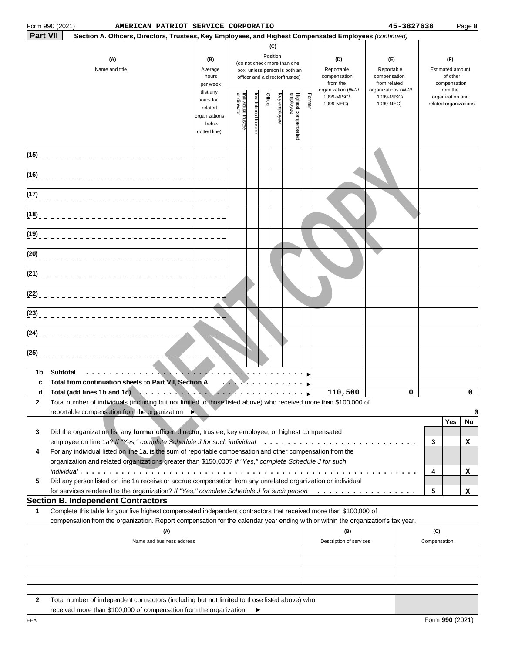#### **Example 18 and 18 and 19 and 19 and 19 and 19 and 19 and 19 and 19 and 19 and 19 and 19 and 19 and 19 and 19 and 19 and 19 and 19 and 19 and 19 and 19 and 19 and 19 and 19 and 19 and 19 and 19 and 19 and 19 and 19 and 19 Part VII Section B. Independent Contractors (15) (16) (17) (18) (19) (20)**  $(21)$ **(22) (23) (24) (25) 1b Subtotal c Total from continuation sheets to Part VII, Section A d Total (add lines 1b and 1c) ................................. 2 Yes No 3 3 4 4 5 5 1** Form 990 (2021) Page **8 AMERICAN PATRIOT SERVICE CORPORATIO 45-3827638 Section A. Officers, Directors, Trustees, Key Employees, and Highest Compensated Employees** (continued) Total number of individuals (including but not limited to those listed above) who received more than \$100,000 of reportable compensation from the organization Did the organization list any **former** officer, director, trustee, key employee, or highest compensated employee on line 1a? If "Yes," complete Schedule J for such individual  $\ldots\ldots\ldots\ldots\ldots\ldots\ldots\ldots\ldots\ldots\ldots$ For any individual listed on line 1a, is the sum of reportable compensation and other compensation from the organization and related organizations greater than \$150,000? If "Yes," complete Schedule J for such individual ......................................................... Did any person listed on line 1a receive or accrue compensation from any unrelated organization or individual for services rendered to the organization? If "Yes," complete Schedule J for such person . . . . . . . . . . . . . . . . . Complete this table for your five highest compensated independent contractors that received more than \$100,000 of compensation from the organization. Report compensation for the calendar year ending with or within the organization's tax year. **(C) (A) (B) (D) (E) (F)** (do not check more than one **(A) (B) (C)** Position Name and title **Average** Average box, unless person is both an Reportable Reportable Reportable Estimated amount<br>
officer and a director/trustee) compensation compensation compensation of other officer and a director/trustee) compensation compensation compensation compensation compensation of other other other compensation compensation compensation compensation compensation compensation compensation compensation per week **from related** compensation<br>  $f$  from related compensation<br>  $f$  from the compensation (W-2/ organizations (W-2/ **from the** Highest compensated<br>employee<br>Institutional trustee<br>Institutional trustee<br>Individual trustee For its case.<br>
(list any the contract of  $\begin{array}{|c|c|c|c|c|c|}\n\hline\n\text{S} & \text{S} & \text{S} & \text{S} & \text{S} & \text{S} \\
\hline\n\text{S} & \text{S} & \text{S} & \text{S} & \text{S} & \text{S} & \text{S} \\
\hline\n\end{array}$  organizations (W-2/ organizations (W-2/ from the organization  $\frac{1}{2}$  hours for  $\frac{1}{2}$   $\frac{1}{2}$   $\frac{1}{2}$   $\frac{1}{2}$   $\frac{1}{2}$   $\frac{1}{2}$   $\frac{1}{2}$   $\frac{1}{2}$   $\frac{1}{2}$   $\frac{1}{2}$   $\frac{1}{2}$   $\frac{1}{2}$   $\frac{1}{2}$   $\frac{1}{2}$   $\frac{1}{2}$   $\frac{1}{2}$   $\frac{1}{2}$   $\frac{1}{2}$   $\frac{1}{2}$   $\frac{1}{2}$  1099-NEC) 1099-NEC) related organizations related organizations below dotted line) Name and business address **Description of services** Description of services Compensation ..................................... .............. **110,500 0 0 0 X X X**

**2** Total number of independent contractors (including but not limited to those listed above) who received more than \$100,000 of compensation from the organization  $\blacktriangleright$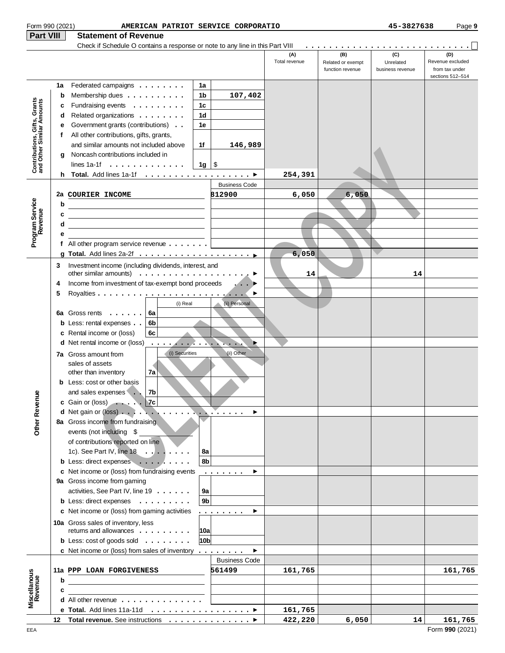| Form 990 (2021)                                           |             | AMERICAN PATRIOT SERVICE CORPORATIO                                                                                                                                                                                                                                                                                                                                                            |                                        |                      |                                              | 45-3827638                           | Page 9                                    |
|-----------------------------------------------------------|-------------|------------------------------------------------------------------------------------------------------------------------------------------------------------------------------------------------------------------------------------------------------------------------------------------------------------------------------------------------------------------------------------------------|----------------------------------------|----------------------|----------------------------------------------|--------------------------------------|-------------------------------------------|
| <b>Part VIII</b>                                          |             | <b>Statement of Revenue</b>                                                                                                                                                                                                                                                                                                                                                                    |                                        |                      |                                              |                                      |                                           |
|                                                           |             |                                                                                                                                                                                                                                                                                                                                                                                                |                                        | (A)<br>Total revenue | (B)<br>Related or exempt<br>function revenue | (C)<br>Unrelated<br>business revenue | (D)<br>Revenue excluded<br>from tax under |
|                                                           | 1a<br>b     | Federated campaigns<br>Membership dues                                                                                                                                                                                                                                                                                                                                                         | 1a<br>1b<br>107,402                    |                      |                                              |                                      | sections 512-514                          |
| Contributions, Gifts, Grants<br>and Other Similar Amounts | c<br>d<br>е | Fundraising events<br>Related organizations<br>Government grants (contributions)                                                                                                                                                                                                                                                                                                               | 1 <sub>c</sub><br>1 <sub>d</sub><br>1e |                      |                                              |                                      |                                           |
|                                                           | f<br>q      | All other contributions, gifts, grants,<br>and similar amounts not included above<br>Noncash contributions included in                                                                                                                                                                                                                                                                         | 1f<br>146,989                          |                      |                                              |                                      |                                           |
|                                                           |             | lines 1a-1f $\ldots$ , $\ldots$ , $\ldots$ , $\ldots$                                                                                                                                                                                                                                                                                                                                          | $1g \mid$ \$                           | 254,391              |                                              |                                      |                                           |
|                                                           |             | 2a COURIER INCOME                                                                                                                                                                                                                                                                                                                                                                              | <b>Business Code</b><br>812900         | 6,050                | 6,050                                        |                                      |                                           |
| Program Service<br>Revenue                                | b<br>c<br>d | <u> 1989 - Johann Barn, mars eta bainar eta baina eta baina eta baina eta baina eta baina eta baina eta baina e</u><br><u> 1989 - Johann Barn, amerikansk politiker (</u> † 1920)                                                                                                                                                                                                              |                                        |                      |                                              |                                      |                                           |
|                                                           | е           | f All other program service revenue $\ldots$                                                                                                                                                                                                                                                                                                                                                   |                                        |                      |                                              |                                      |                                           |
|                                                           | 3           | Investment income (including dividends, interest, and<br>other similar amounts) $\ldots \ldots \ldots \ldots \ldots \ldots$                                                                                                                                                                                                                                                                    |                                        | 6,050<br>14          |                                              | 14                                   |                                           |
|                                                           | 4<br>5      | Income from investment of tax-exempt bond proceeds                                                                                                                                                                                                                                                                                                                                             | $\mathcal{L}$ , $\mathcal{L}$          |                      |                                              |                                      |                                           |
| Other Revenue                                             |             | (i) Real<br>6a Gross rents $\ldots$<br>6a<br><b>b</b> Less: rental expenses<br>6b<br>6c<br>c Rental income or (loss)<br><b>d</b> Net rental income or (loss)<br>and the company of the company of the company of the company of the company of the company of the company of the company of the company of the company of the company of the company of the company of the company of the comp | (ii) Personal                          |                      |                                              |                                      |                                           |
|                                                           |             | (i) Securities<br><b>7a</b> Gross amount from<br>sales of assets<br>7a<br>other than inventory<br><b>b</b> Less: cost or other basis<br>and sales expenses 7b<br>c Gain or (loss) $\ldots$ 7c                                                                                                                                                                                                  | (ii) Other                             |                      |                                              |                                      |                                           |
|                                                           |             | 8a Gross income from fundraising<br>events (not including \$<br>of contributions reported on line<br>1c). See Part IV, line $18 \ldots \ldots$<br>b Less: direct expenses                                                                                                                                                                                                                      | 8a<br>8b                               |                      |                                              |                                      |                                           |
|                                                           |             | c Net income or (loss) from fundraising events<br>9a Gross income from gaming<br>activities, See Part IV, line 19<br>b Less: direct expenses<br>c Net income or (loss) from gaming activities                                                                                                                                                                                                  | .<br>9a<br>9 <sub>b</sub><br>.         |                      |                                              |                                      |                                           |
|                                                           |             | 10a Gross sales of inventory, less<br>returns and allowances<br><b>b</b> Less: cost of goods sold $\ldots$                                                                                                                                                                                                                                                                                     | 10a <br>10bl                           |                      |                                              |                                      |                                           |
|                                                           |             | c Net income or (loss) from sales of inventory $\dots \dots$                                                                                                                                                                                                                                                                                                                                   | ▶<br><b>Business Code</b>              |                      |                                              |                                      |                                           |
| Miscellanous<br>Revenue                                   | b<br>c      | 11a PPP LOAN FORGIVENESS<br><u> 1989 - Johann Barbara, martin amerikan basal dan berasal dalam basal dalam basal dalam basal dalam basal dala</u>                                                                                                                                                                                                                                              | 561499                                 | 161,765              |                                              |                                      | 161,765                                   |
|                                                           |             | <b>d</b> All other revenue $\ldots$ , $\ldots$ , $\ldots$ , $\ldots$                                                                                                                                                                                                                                                                                                                           |                                        |                      |                                              |                                      |                                           |
|                                                           |             |                                                                                                                                                                                                                                                                                                                                                                                                |                                        | 161,765              |                                              |                                      |                                           |
|                                                           |             |                                                                                                                                                                                                                                                                                                                                                                                                |                                        | 422,220              | 6,050                                        | 14                                   | 161,765                                   |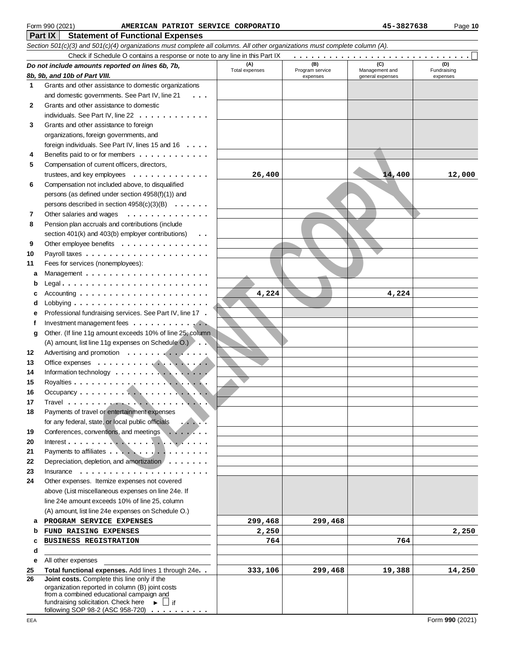#### **Part IX Statement of Functional Expenses** Form 990 (2021) Page **10 AMERICAN PATRIOT SERVICE CORPORATIO 45-3827638**

|              | Section 501(c)(3) and 501(c)(4) organizations must complete all columns. All other organizations must complete column (A). |                       |                        |                       |                    |  |  |  |  |  |
|--------------|----------------------------------------------------------------------------------------------------------------------------|-----------------------|------------------------|-----------------------|--------------------|--|--|--|--|--|
|              | Check if Schedule O contains a response or note to any line in this Part IX                                                |                       |                        |                       |                    |  |  |  |  |  |
|              | Do not include amounts reported on lines 6b, 7b,                                                                           | (A)<br>Total expenses | (B)<br>Program service | (C)<br>Management and | (D)<br>Fundraising |  |  |  |  |  |
|              | 8b, 9b, and 10b of Part VIII.                                                                                              |                       | expenses               | general expenses      | expenses           |  |  |  |  |  |
| $\mathbf{1}$ | Grants and other assistance to domestic organizations                                                                      |                       |                        |                       |                    |  |  |  |  |  |
|              | and domestic governments. See Part IV, line 21<br>$\cdots$                                                                 |                       |                        |                       |                    |  |  |  |  |  |
| 2            | Grants and other assistance to domestic                                                                                    |                       |                        |                       |                    |  |  |  |  |  |
|              | individuals. See Part IV, line 22                                                                                          |                       |                        |                       |                    |  |  |  |  |  |
| 3            | Grants and other assistance to foreign                                                                                     |                       |                        |                       |                    |  |  |  |  |  |
|              | organizations, foreign governments, and                                                                                    |                       |                        |                       |                    |  |  |  |  |  |
|              | foreign individuals. See Part IV, lines 15 and 16                                                                          |                       |                        |                       |                    |  |  |  |  |  |
| 4            | Benefits paid to or for members                                                                                            |                       |                        |                       |                    |  |  |  |  |  |
| 5            | Compensation of current officers, directors,                                                                               |                       |                        |                       |                    |  |  |  |  |  |
|              | trustees, and key employees $\dots \dots \dots \dots$                                                                      | 26,400                |                        | 14,400                | 12,000             |  |  |  |  |  |
| 6            | Compensation not included above, to disqualified                                                                           |                       |                        |                       |                    |  |  |  |  |  |
|              | persons (as defined under section 4958(f)(1)) and                                                                          |                       |                        |                       |                    |  |  |  |  |  |
|              | persons described in section $4958(c)(3)(B) \ldots \ldots$                                                                 |                       |                        |                       |                    |  |  |  |  |  |
| 7            | Other salaries and wages                                                                                                   |                       |                        |                       |                    |  |  |  |  |  |
| 8            | Pension plan accruals and contributions (include                                                                           |                       |                        |                       |                    |  |  |  |  |  |
|              | section 401(k) and 403(b) employer contributions)<br>$\cdot$ $\cdot$                                                       |                       |                        |                       |                    |  |  |  |  |  |
| 9            | Other employee benefits                                                                                                    |                       |                        |                       |                    |  |  |  |  |  |
| 10           |                                                                                                                            |                       |                        |                       |                    |  |  |  |  |  |
| 11           | Fees for services (nonemployees):                                                                                          |                       |                        |                       |                    |  |  |  |  |  |
| a            |                                                                                                                            |                       |                        |                       |                    |  |  |  |  |  |
| b            |                                                                                                                            |                       |                        |                       |                    |  |  |  |  |  |
| c            |                                                                                                                            | 4,224                 |                        | 4,224                 |                    |  |  |  |  |  |
| d            |                                                                                                                            |                       |                        |                       |                    |  |  |  |  |  |
| е            | Professional fundraising services. See Part IV, line 17.                                                                   |                       |                        |                       |                    |  |  |  |  |  |
| f            | Investment management fees                                                                                                 |                       |                        |                       |                    |  |  |  |  |  |
| g            | Other. (If line 11g amount exceeds 10% of line 25, column                                                                  |                       |                        |                       |                    |  |  |  |  |  |
|              | (A) amount, list line 11g expenses on Schedule O.)                                                                         |                       |                        |                       |                    |  |  |  |  |  |
| 12           | Advertising and promotion                                                                                                  |                       |                        |                       |                    |  |  |  |  |  |
| 13           |                                                                                                                            |                       |                        |                       |                    |  |  |  |  |  |
| 14           |                                                                                                                            |                       |                        |                       |                    |  |  |  |  |  |
| 15           |                                                                                                                            |                       |                        |                       |                    |  |  |  |  |  |
| 16           |                                                                                                                            |                       |                        |                       |                    |  |  |  |  |  |
| 17           |                                                                                                                            |                       |                        |                       |                    |  |  |  |  |  |
| 18           | Payments of travel or entertainment expenses                                                                               |                       |                        |                       |                    |  |  |  |  |  |
|              | for any federal, state, or local public officials                                                                          |                       |                        |                       |                    |  |  |  |  |  |
|              |                                                                                                                            |                       |                        |                       |                    |  |  |  |  |  |
| 19           | Conferences, conventions, and meetings                                                                                     |                       |                        |                       |                    |  |  |  |  |  |
| 20<br>21     | Payments to affiliates                                                                                                     |                       |                        |                       |                    |  |  |  |  |  |
|              |                                                                                                                            |                       |                        |                       |                    |  |  |  |  |  |
| 22           | Depreciation, depletion, and amortization                                                                                  |                       |                        |                       |                    |  |  |  |  |  |
| 23           | Insurance $\ldots \ldots \ldots \ldots \ldots$                                                                             |                       |                        |                       |                    |  |  |  |  |  |
| 24           | Other expenses. Itemize expenses not covered<br>above (List miscellaneous expenses on line 24e. If                         |                       |                        |                       |                    |  |  |  |  |  |
|              |                                                                                                                            |                       |                        |                       |                    |  |  |  |  |  |
|              | line 24e amount exceeds 10% of line 25, column                                                                             |                       |                        |                       |                    |  |  |  |  |  |
|              | (A) amount, list line 24e expenses on Schedule O.)                                                                         |                       |                        |                       |                    |  |  |  |  |  |
| a            | PROGRAM SERVICE EXPENSES                                                                                                   | 299,468               | 299,468                |                       |                    |  |  |  |  |  |
| b            | FUND RAISING EXPENSES                                                                                                      | 2,250                 |                        |                       | 2,250              |  |  |  |  |  |
| c            | <b>BUSINESS REGISTRATION</b>                                                                                               | 764                   |                        | 764                   |                    |  |  |  |  |  |
| d            |                                                                                                                            |                       |                        |                       |                    |  |  |  |  |  |
| е            | All other expenses                                                                                                         |                       |                        |                       |                    |  |  |  |  |  |
| 25           | Total functional expenses. Add lines 1 through 24e. .                                                                      | 333,106               | 299,468                | 19,388                | 14,250             |  |  |  |  |  |
| 26           | Joint costs. Complete this line only if the<br>organization reported in column (B) joint costs                             |                       |                        |                       |                    |  |  |  |  |  |
|              | from a combined educational campaign and                                                                                   |                       |                        |                       |                    |  |  |  |  |  |
|              | fundraising solicitation. Check here $\longrightarrow$ $\Box$ if                                                           |                       |                        |                       |                    |  |  |  |  |  |
|              | following SOP 98-2 (ASC 958-720)                                                                                           |                       |                        |                       |                    |  |  |  |  |  |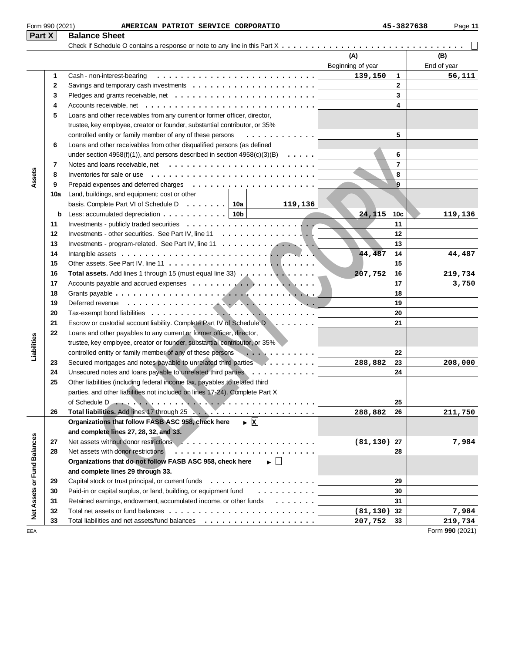| Part $X$                    |              | <b>Balance Sheet</b>                                                                                 |                   |                 |                 |
|-----------------------------|--------------|------------------------------------------------------------------------------------------------------|-------------------|-----------------|-----------------|
|                             |              |                                                                                                      |                   |                 |                 |
|                             |              |                                                                                                      | (A)               |                 | (B)             |
|                             | $\mathbf{1}$ | Cash - non-interest-bearing                                                                          | Beginning of year | 1               | End of year     |
|                             | 2            |                                                                                                      | 139,150           | $\mathbf{2}$    | 56,111          |
|                             |              |                                                                                                      |                   | 3               |                 |
|                             | 3            |                                                                                                      |                   | 4               |                 |
|                             | 4            | Accounts receivable, net $\ldots \ldots \ldots \ldots \ldots \ldots \ldots \ldots \ldots \ldots$     |                   |                 |                 |
|                             | 5            | Loans and other receivables from any current or former officer, director,                            |                   |                 |                 |
|                             |              | trustee, key employee, creator or founder, substantial contributor, or 35%                           |                   |                 |                 |
|                             |              | controlled entity or family member of any of these persons<br>.                                      |                   | 5               |                 |
|                             | 6            | Loans and other receivables from other disqualified persons (as defined                              |                   |                 |                 |
|                             |              | under section 4958(f)(1)), and persons described in section $4958(c)(3)(B) \ldots \ldots$            |                   | 6               |                 |
|                             | 7            |                                                                                                      |                   | $\overline{7}$  |                 |
| Assets                      | 8            | Inventories for sale or use $\dots\dots\dots\dots\dots\dots\dots\dots\dots\dots\dots\dots\dots\dots$ |                   | 8               |                 |
|                             | 9            |                                                                                                      |                   | 9               |                 |
|                             | 10a          | Land, buildings, and equipment: cost or other                                                        |                   |                 |                 |
|                             |              | basis. Complete Part VI of Schedule D $\ldots \ldots$ 10a<br>119,136                                 |                   |                 |                 |
|                             | b            | Less: accumulated depreciation $\ldots \ldots \ldots \ldots$   10b                                   | 24,115            | 10 <sub>c</sub> | 119,136         |
|                             | 11           |                                                                                                      |                   | 11              |                 |
|                             | 12           | Investments - other securities. See Part IV, line 11 $\dots$ ,                                       |                   | 12              |                 |
|                             | 13           | Investments - program-related. See Part IV, line 11                                                  |                   | 13              |                 |
|                             | 14           |                                                                                                      | 44,487            | 14              | 44,487          |
|                             | 15           |                                                                                                      |                   | 15              |                 |
|                             | 16           | Total assets. Add lines 1 through 15 (must equal line 33)                                            | 207,752           | 16<br>17        | 219,734         |
|                             | 17<br>18     |                                                                                                      |                   | 18              | 3,750           |
|                             | 19           |                                                                                                      |                   | 19              |                 |
|                             | 20           |                                                                                                      |                   | 20              |                 |
|                             | 21           | Escrow or custodial account liability. Complete Part IV of Schedule D                                |                   | 21              |                 |
|                             | 22           | Loans and other payables to any current or former officer, director,                                 |                   |                 |                 |
| Liabilities                 |              | trustee, key employee, creator or founder, substantial contributor, or 35%                           |                   |                 |                 |
|                             |              | controlled entity or family member of any of these persons<br>.                                      |                   | 22              |                 |
|                             | 23           | Secured mortgages and notes payable to unrelated third parties                                       | 288,882           | 23              | 208,000         |
|                             | 24           | Unsecured notes and loans payable to unrelated third parties                                         |                   | 24              |                 |
|                             | 25           | Other liabilities (including federal income tax, payables to related third                           |                   |                 |                 |
|                             |              | parties, and other liabilities not included on lines 17-24). Complete Part X                         |                   |                 |                 |
|                             |              |                                                                                                      |                   | 25              |                 |
|                             | 26           |                                                                                                      | 288,882           | 26              | 211,750         |
|                             |              | $\triangleright$ X<br>Organizations that follow FASB ASC 958, check here                             |                   |                 |                 |
|                             |              | and complete lines 27, 28, 32, and 33.                                                               |                   |                 |                 |
|                             | 27           |                                                                                                      | (81, 130)         | 27              | 7,984           |
|                             | 28           | Net assets with donor restrictions                                                                   |                   | 28              |                 |
|                             |              | Organizations that do not follow FASB ASC 958, check here $\longrightarrow$                          |                   |                 |                 |
|                             |              | and complete lines 29 through 33.                                                                    |                   |                 |                 |
|                             | 29           |                                                                                                      |                   | 29              |                 |
|                             | 30           | Paid-in or capital surplus, or land, building, or equipment fund                                     |                   | 30              |                 |
|                             | 31           | Retained earnings, endowment, accumulated income, or other funds                                     |                   | 31              |                 |
| Net Assets or Fund Balances | 32           |                                                                                                      | (81, 130)         | 32              | 7,984           |
|                             | 33           |                                                                                                      | 207,752           | 33              | 219,734         |
| EEA                         |              |                                                                                                      |                   |                 | Form 990 (2021) |

Form 990 (2021) Page **11 AMERICAN PATRIOT SERVICE CORPORATIO 45-3827638**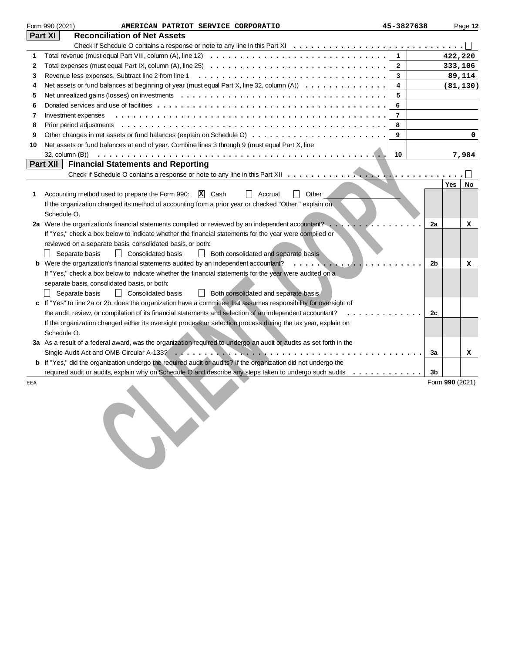|     | Form 990 (2021)<br>AMERICAN PATRIOT SERVICE CORPORATIO                                                                                  | 45-3827638     |                 |            | Page 12   |
|-----|-----------------------------------------------------------------------------------------------------------------------------------------|----------------|-----------------|------------|-----------|
|     | Part XI<br><b>Reconciliation of Net Assets</b>                                                                                          |                |                 |            |           |
|     |                                                                                                                                         |                |                 |            |           |
| 1   |                                                                                                                                         | $\mathbf{1}$   |                 | 422,220    |           |
| 2   | Total expenses (must equal Part IX, column (A), line 25) $\ldots \ldots \ldots \ldots \ldots \ldots \ldots \ldots \ldots \ldots \ldots$ | $\overline{2}$ |                 | 333,106    |           |
| 3   |                                                                                                                                         | 3              |                 | 89,114     |           |
| 4   | Net assets or fund balances at beginning of year (must equal Part X, line 32, column $(A)$ )                                            | 4              |                 |            | (81, 130) |
| 5   |                                                                                                                                         | 5              |                 |            |           |
| 6   |                                                                                                                                         | 6              |                 |            |           |
| 7   | Investment expenses                                                                                                                     | $\overline{7}$ |                 |            |           |
| 8   |                                                                                                                                         | 8              |                 |            |           |
| 9   |                                                                                                                                         | 9              |                 |            | 0         |
| 10  | Net assets or fund balances at end of year. Combine lines 3 through 9 (must equal Part X, line                                          |                |                 |            |           |
|     |                                                                                                                                         | 10             |                 |            | 7,984     |
|     | Part XII<br><b>Financial Statements and Reporting</b>                                                                                   |                |                 |            |           |
|     |                                                                                                                                         |                |                 |            |           |
|     |                                                                                                                                         |                |                 | <b>Yes</b> | No        |
| 1   | $\Box$ Other<br>X Cash<br>Accounting method used to prepare the Form 990:<br>Accrual                                                    |                |                 |            |           |
|     | If the organization changed its method of accounting from a prior year or checked "Other," explain on                                   |                |                 |            |           |
|     | Schedule O.                                                                                                                             |                |                 |            |           |
|     | 2a Were the organization's financial statements compiled or reviewed by an independent accountant?                                      |                | 2a              |            | x         |
|     | If "Yes," check a box below to indicate whether the financial statements for the year were compiled or                                  |                |                 |            |           |
|     | reviewed on a separate basis, consolidated basis, or both:                                                                              |                |                 |            |           |
|     | Separate basis<br>  Consolidated basis<br><b>Both consolidated and separate basis</b>                                                   |                |                 |            |           |
|     | Were the organization's financial statements audited by an independent accountant?                                                      |                | 2b              |            | x         |
|     | If "Yes," check a box below to indicate whether the financial statements for the year were audited on a                                 |                |                 |            |           |
|     | separate basis, consolidated basis, or both:                                                                                            |                |                 |            |           |
|     | Separate basis<br>  Consolidated basis<br>  Both consolidated and separate basis                                                        |                |                 |            |           |
|     | If "Yes" to line 2a or 2b, does the organization have a committee that assumes responsibility for oversight of                          |                |                 |            |           |
|     | the audit, review, or compilation of its financial statements and selection of an independent accountant?                               |                | 2c              |            |           |
|     | If the organization changed either its oversight process or selection process during the tax year, explain on<br>Schedule O.            |                |                 |            |           |
|     | 3a As a result of a federal award, was the organization required to undergo an audit or audits as set forth in the                      |                |                 |            |           |
|     |                                                                                                                                         |                | За              |            | x         |
|     | b If "Yes," did the organization undergo the required audit or audits? If the organization did not undergo the                          |                |                 |            |           |
|     | required audit or audits, explain why on Schedule O and describe any steps taken to undergo such audits                                 |                | 3b              |            |           |
| EEA |                                                                                                                                         |                | Form 990 (2021) |            |           |
|     |                                                                                                                                         |                |                 |            |           |
|     |                                                                                                                                         |                |                 |            |           |
|     |                                                                                                                                         |                |                 |            |           |
|     |                                                                                                                                         |                |                 |            |           |
|     |                                                                                                                                         |                |                 |            |           |
|     |                                                                                                                                         |                |                 |            |           |
|     |                                                                                                                                         |                |                 |            |           |
|     |                                                                                                                                         |                |                 |            |           |
|     |                                                                                                                                         |                |                 |            |           |
|     |                                                                                                                                         |                |                 |            |           |
|     |                                                                                                                                         |                |                 |            |           |
|     |                                                                                                                                         |                |                 |            |           |
|     |                                                                                                                                         |                |                 |            |           |
|     |                                                                                                                                         |                |                 |            |           |
|     |                                                                                                                                         |                |                 |            |           |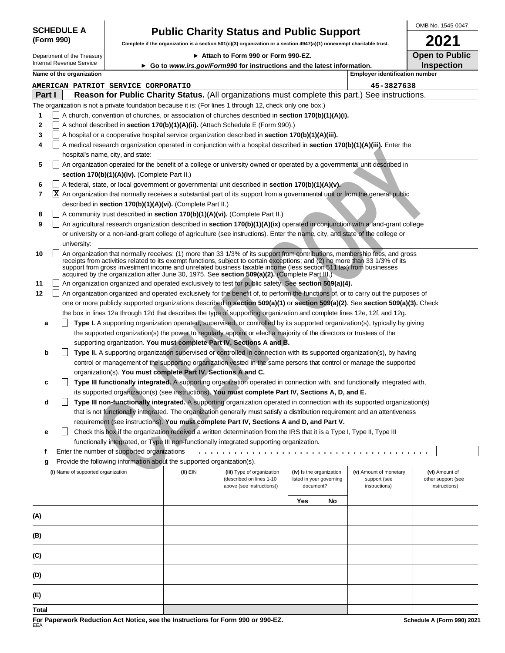|            | <b>SCHEDULE A</b> |  |
|------------|-------------------|--|
| (Form 990) |                   |  |

# **Public Charity Status and Public Support** the organization is a section 501(c)(3) organization or a section 4947(a)(1) nonexempt char

**Complete if the organization is a section 501(c)(3) organization or a section 4947(a)(1) nonexempt charitable trust.**

Department of the Treasury

#### **Attach to Form 990 or Form 990-EZ.**

|  | OMB No. 1545-0047 |
|--|-------------------|
|  |                   |

**Open to Public**

|        |   | Department of the Treasury         |                                                                        |          | ▶ Attach to Form 990 or Form 990-EZ.                                                                                                                                                                                                                                                                                                                                                                                                                                              |                          |    |                                       | Open to Public     |
|--------|---|------------------------------------|------------------------------------------------------------------------|----------|-----------------------------------------------------------------------------------------------------------------------------------------------------------------------------------------------------------------------------------------------------------------------------------------------------------------------------------------------------------------------------------------------------------------------------------------------------------------------------------|--------------------------|----|---------------------------------------|--------------------|
|        |   | <b>Internal Revenue Service</b>    |                                                                        |          | ► Go to www.irs.gov/Form990 for instructions and the latest information.                                                                                                                                                                                                                                                                                                                                                                                                          |                          |    |                                       | <b>Inspection</b>  |
|        |   | Name of the organization           |                                                                        |          |                                                                                                                                                                                                                                                                                                                                                                                                                                                                                   |                          |    | <b>Employer identification number</b> |                    |
|        |   |                                    | AMERICAN PATRIOT SERVICE CORPORATIO                                    |          |                                                                                                                                                                                                                                                                                                                                                                                                                                                                                   |                          |    | 45-3827638                            |                    |
| Part I |   |                                    |                                                                        |          | Reason for Public Charity Status. (All organizations must complete this part.) See instructions.                                                                                                                                                                                                                                                                                                                                                                                  |                          |    |                                       |                    |
|        |   |                                    |                                                                        |          | The organization is not a private foundation because it is: (For lines 1 through 12, check only one box.)                                                                                                                                                                                                                                                                                                                                                                         |                          |    |                                       |                    |
| 1      |   |                                    |                                                                        |          | A church, convention of churches, or association of churches described in section 170(b)(1)(A)(i).                                                                                                                                                                                                                                                                                                                                                                                |                          |    |                                       |                    |
| 2      |   |                                    |                                                                        |          | A school described in section 170(b)(1)(A)(ii). (Attach Schedule E (Form 990).)                                                                                                                                                                                                                                                                                                                                                                                                   |                          |    |                                       |                    |
| 3      |   |                                    |                                                                        |          | A hospital or a cooperative hospital service organization described in section 170(b)(1)(A)(iii).                                                                                                                                                                                                                                                                                                                                                                                 |                          |    |                                       |                    |
| 4      |   |                                    |                                                                        |          | A medical research organization operated in conjunction with a hospital described in section 170(b)(1)(A)(iii). Enter the                                                                                                                                                                                                                                                                                                                                                         |                          |    |                                       |                    |
|        |   |                                    | hospital's name, city, and state:                                      |          |                                                                                                                                                                                                                                                                                                                                                                                                                                                                                   |                          |    |                                       |                    |
| 5      |   |                                    |                                                                        |          | An organization operated for the benefit of a college or university owned or operated by a governmental unit described in                                                                                                                                                                                                                                                                                                                                                         |                          |    |                                       |                    |
|        |   |                                    | section 170(b)(1)(A)(iv). (Complete Part II.)                          |          |                                                                                                                                                                                                                                                                                                                                                                                                                                                                                   |                          |    |                                       |                    |
| 6      |   |                                    |                                                                        |          | A federal, state, or local government or governmental unit described in section 170(b)(1)(A)(y).                                                                                                                                                                                                                                                                                                                                                                                  |                          |    |                                       |                    |
| 7      | x |                                    |                                                                        |          | An organization that normally receives a substantial part of its support from a governmental unit or from the general public                                                                                                                                                                                                                                                                                                                                                      |                          |    |                                       |                    |
|        |   |                                    | described in section 170(b)(1)(A)(vi). (Complete Part II.)             |          |                                                                                                                                                                                                                                                                                                                                                                                                                                                                                   |                          |    |                                       |                    |
| 8      |   |                                    |                                                                        |          | A community trust described in section 170(b)(1)(A)(vi). (Complete Part II.)                                                                                                                                                                                                                                                                                                                                                                                                      |                          |    |                                       |                    |
| 9      |   |                                    |                                                                        |          | An agricultural research organization described in section 170(b)(1)(A)(ix) operated in conjunction with a land-grant college                                                                                                                                                                                                                                                                                                                                                     |                          |    |                                       |                    |
|        |   |                                    |                                                                        |          | or university or a non-land-grant college of agriculture (see instructions). Enter the name, city, and state of the college or                                                                                                                                                                                                                                                                                                                                                    |                          |    |                                       |                    |
|        |   | university:                        |                                                                        |          |                                                                                                                                                                                                                                                                                                                                                                                                                                                                                   |                          |    |                                       |                    |
| 10     |   |                                    |                                                                        |          | An organization that normally receives: (1) more than 33 1/3% of its support from contributions, membership fees, and gross<br>receipts from activities related to its exempt functions, subject to certain exceptions; and (2) no more than 33 1/3% of its<br>support from gross investment income and unrelated business taxable income (less section 511 tax) from businesses<br>acquired by the organization after June 30, 1975. See section 509(a)(2). (Complete Part III.) |                          |    |                                       |                    |
| 11     |   |                                    |                                                                        |          | An organization organized and operated exclusively to test for public safety. See section 509(a)(4).                                                                                                                                                                                                                                                                                                                                                                              |                          |    |                                       |                    |
| 12     |   |                                    |                                                                        |          | An organization organized and operated exclusively for the benefit of, to perform the functions of, or to carry out the purposes of                                                                                                                                                                                                                                                                                                                                               |                          |    |                                       |                    |
|        |   |                                    |                                                                        |          | one or more publicly supported organizations described in section 509(a)(1) or section 509(a)(2). See section 509(a)(3). Check                                                                                                                                                                                                                                                                                                                                                    |                          |    |                                       |                    |
|        |   |                                    |                                                                        |          | the box in lines 12a through 12d that describes the type of supporting organization and complete lines 12e, 12f, and 12g.                                                                                                                                                                                                                                                                                                                                                         |                          |    |                                       |                    |
| а      |   |                                    |                                                                        |          | Type I. A supporting organization operated, supervised, or controlled by its supported organization(s), typically by giving                                                                                                                                                                                                                                                                                                                                                       |                          |    |                                       |                    |
|        |   |                                    |                                                                        |          | the supported organization(s) the power to regularly appoint or elect a majority of the directors or trustees of the                                                                                                                                                                                                                                                                                                                                                              |                          |    |                                       |                    |
|        |   |                                    |                                                                        |          | supporting organization. You must complete Part IV, Sections A and B.                                                                                                                                                                                                                                                                                                                                                                                                             |                          |    |                                       |                    |
| b      |   |                                    |                                                                        |          | Type II. A supporting organization supervised or controlled in connection with its supported organization(s), by having                                                                                                                                                                                                                                                                                                                                                           |                          |    |                                       |                    |
|        |   |                                    |                                                                        |          | control or management of the supporting organization vested in the same persons that control or manage the supported                                                                                                                                                                                                                                                                                                                                                              |                          |    |                                       |                    |
|        |   |                                    | organization(s). You must complete Part IV, Sections A and C.          |          |                                                                                                                                                                                                                                                                                                                                                                                                                                                                                   |                          |    |                                       |                    |
| c      |   |                                    |                                                                        |          | Type III functionally integrated. A supporting organization operated in connection with, and functionally integrated with,                                                                                                                                                                                                                                                                                                                                                        |                          |    |                                       |                    |
|        |   |                                    |                                                                        |          | its supported organization(s) (see instructions). You must complete Part IV, Sections A, D, and E.                                                                                                                                                                                                                                                                                                                                                                                |                          |    |                                       |                    |
| d      |   |                                    |                                                                        |          | Type III non-functionally integrated. A supporting organization operated in connection with its supported organization(s)                                                                                                                                                                                                                                                                                                                                                         |                          |    |                                       |                    |
|        |   |                                    |                                                                        |          | that is not functionally integrated. The organization generally must satisfy a distribution requirement and an attentiveness                                                                                                                                                                                                                                                                                                                                                      |                          |    |                                       |                    |
|        |   |                                    |                                                                        |          | requirement (see instructions). You must complete Part IV, Sections A and D, and Part V.                                                                                                                                                                                                                                                                                                                                                                                          |                          |    |                                       |                    |
| е      |   |                                    |                                                                        |          | Check this box if the organization received a written determination from the IRS that it is a Type I, Type II, Type III                                                                                                                                                                                                                                                                                                                                                           |                          |    |                                       |                    |
|        |   |                                    |                                                                        |          | functionally integrated, or Type III non-functionally integrated supporting organization.                                                                                                                                                                                                                                                                                                                                                                                         |                          |    |                                       |                    |
| f      |   |                                    | Enter the number of supported organizations                            |          | .                                                                                                                                                                                                                                                                                                                                                                                                                                                                                 |                          |    |                                       |                    |
| g      |   |                                    | Provide the following information about the supported organization(s). |          |                                                                                                                                                                                                                                                                                                                                                                                                                                                                                   |                          |    |                                       |                    |
|        |   | (i) Name of supported organization |                                                                        | (ii) EIN | (iii) Type of organization                                                                                                                                                                                                                                                                                                                                                                                                                                                        | (iv) Is the organization |    | (v) Amount of monetary                | (vi) Amount of     |
|        |   |                                    |                                                                        |          | (described on lines 1-10                                                                                                                                                                                                                                                                                                                                                                                                                                                          | listed in your governing |    | support (see                          | other support (see |
|        |   |                                    |                                                                        |          | above (see instructions))                                                                                                                                                                                                                                                                                                                                                                                                                                                         | document?                |    | instructions)                         | instructions)      |
|        |   |                                    |                                                                        |          |                                                                                                                                                                                                                                                                                                                                                                                                                                                                                   | Yes                      | No |                                       |                    |
|        |   |                                    |                                                                        |          |                                                                                                                                                                                                                                                                                                                                                                                                                                                                                   |                          |    |                                       |                    |
| (A)    |   |                                    |                                                                        |          |                                                                                                                                                                                                                                                                                                                                                                                                                                                                                   |                          |    |                                       |                    |
|        |   |                                    |                                                                        |          |                                                                                                                                                                                                                                                                                                                                                                                                                                                                                   |                          |    |                                       |                    |
| (B)    |   |                                    |                                                                        |          |                                                                                                                                                                                                                                                                                                                                                                                                                                                                                   |                          |    |                                       |                    |
|        |   |                                    |                                                                        |          |                                                                                                                                                                                                                                                                                                                                                                                                                                                                                   |                          |    |                                       |                    |
| (C)    |   |                                    |                                                                        |          |                                                                                                                                                                                                                                                                                                                                                                                                                                                                                   |                          |    |                                       |                    |
|        |   |                                    |                                                                        |          |                                                                                                                                                                                                                                                                                                                                                                                                                                                                                   |                          |    |                                       |                    |
| (D)    |   |                                    |                                                                        |          |                                                                                                                                                                                                                                                                                                                                                                                                                                                                                   |                          |    |                                       |                    |
|        |   |                                    |                                                                        |          |                                                                                                                                                                                                                                                                                                                                                                                                                                                                                   |                          |    |                                       |                    |
| (E)    |   |                                    |                                                                        |          |                                                                                                                                                                                                                                                                                                                                                                                                                                                                                   |                          |    |                                       |                    |
| Total  |   |                                    |                                                                        |          |                                                                                                                                                                                                                                                                                                                                                                                                                                                                                   |                          |    |                                       |                    |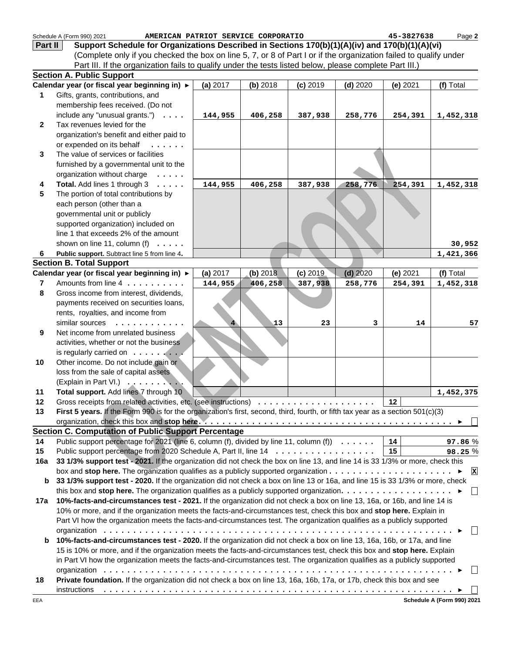|                         | Schedule A (Form 990) 2021<br>AMERICAN PATRIOT SERVICE CORPORATIO                                                                                                                                                                                |          |            |            |            | 45-3827638 | Page 2        |
|-------------------------|--------------------------------------------------------------------------------------------------------------------------------------------------------------------------------------------------------------------------------------------------|----------|------------|------------|------------|------------|---------------|
| Part II                 | Support Schedule for Organizations Described in Sections 170(b)(1)(A)(iv) and 170(b)(1)(A)(vi)                                                                                                                                                   |          |            |            |            |            |               |
|                         | (Complete only if you checked the box on line 5, 7, or 8 of Part I or if the organization failed to qualify under                                                                                                                                |          |            |            |            |            |               |
|                         | Part III. If the organization fails to qualify under the tests listed below, please complete Part III.)                                                                                                                                          |          |            |            |            |            |               |
|                         | <b>Section A. Public Support</b>                                                                                                                                                                                                                 |          |            |            |            |            |               |
|                         | Calendar year (or fiscal year beginning in) ►                                                                                                                                                                                                    | (a) 2017 | $(b)$ 2018 | $(c)$ 2019 | $(d)$ 2020 | (e) 2021   | (f) Total     |
| 1                       | Gifts, grants, contributions, and                                                                                                                                                                                                                |          |            |            |            |            |               |
|                         | membership fees received. (Do not                                                                                                                                                                                                                |          |            |            |            |            |               |
|                         | include any "unusual grants.") $\ldots$                                                                                                                                                                                                          | 144,955  | 406,258    | 387,938    | 258,776    | 254,391    | 1,452,318     |
| $\mathbf{2}$            | Tax revenues levied for the                                                                                                                                                                                                                      |          |            |            |            |            |               |
|                         | organization's benefit and either paid to                                                                                                                                                                                                        |          |            |            |            |            |               |
|                         | or expended on its behalf<br>$\mathbf{1}$                                                                                                                                                                                                        |          |            |            |            |            |               |
| 3                       | The value of services or facilities                                                                                                                                                                                                              |          |            |            |            |            |               |
|                         | furnished by a governmental unit to the                                                                                                                                                                                                          |          |            |            |            |            |               |
|                         | organization without charge<br>$\cdot \cdot \cdot \cdot$                                                                                                                                                                                         |          |            |            |            |            |               |
| 4                       | Total. Add lines 1 through 3                                                                                                                                                                                                                     | 144,955  | 406,258    | 387,938    | 258,776    | 254,391    | 1,452,318     |
| 5                       | The portion of total contributions by                                                                                                                                                                                                            |          |            |            |            |            |               |
|                         | each person (other than a                                                                                                                                                                                                                        |          |            |            |            |            |               |
|                         | governmental unit or publicly                                                                                                                                                                                                                    |          |            |            |            |            |               |
|                         | supported organization) included on                                                                                                                                                                                                              |          |            |            |            |            |               |
|                         | line 1 that exceeds 2% of the amount                                                                                                                                                                                                             |          |            |            |            |            |               |
|                         | shown on line 11, column (f) $\ldots$ .                                                                                                                                                                                                          |          |            |            |            |            | 30,952        |
| 6                       | Public support. Subtract line 5 from line 4.                                                                                                                                                                                                     |          |            |            |            |            | 1,421,366     |
|                         | <b>Section B. Total Support</b>                                                                                                                                                                                                                  |          |            |            |            |            |               |
|                         | Calendar year (or fiscal year beginning in) ▶                                                                                                                                                                                                    | (a) 2017 | (b) 2018   | (c) 2019   | $(d)$ 2020 | (e) 2021   | (f) Total     |
| $\overline{\mathbf{r}}$ | Amounts from line 4                                                                                                                                                                                                                              | 144,955  | 406,258    | 387,938    | 258,776    | 254,391    | 1,452,318     |
| 8                       | Gross income from interest, dividends,                                                                                                                                                                                                           |          |            |            |            |            |               |
|                         | payments received on securities loans,                                                                                                                                                                                                           |          |            |            |            |            |               |
|                         | rents, royalties, and income from                                                                                                                                                                                                                |          |            |            |            |            |               |
|                         | similar sources<br>.                                                                                                                                                                                                                             |          | 13         | 23         | 3          | 14         | 57            |
| 9                       | Net income from unrelated business                                                                                                                                                                                                               |          |            |            |            |            |               |
|                         | activities, whether or not the business                                                                                                                                                                                                          |          |            |            |            |            |               |
|                         |                                                                                                                                                                                                                                                  |          |            |            |            |            |               |
| 10                      | Other income. Do not include gain or                                                                                                                                                                                                             |          |            |            |            |            |               |
|                         | loss from the sale of capital assets                                                                                                                                                                                                             |          |            |            |            |            |               |
|                         | (Explain in Part VI.) 7                                                                                                                                                                                                                          |          |            |            |            |            |               |
| 11                      | Total support. Add lines 7 through 10                                                                                                                                                                                                            |          |            |            |            |            | 1,452,375     |
| 12                      | Gross receipts from related activities, etc. (see instructions)                                                                                                                                                                                  |          |            |            |            | 12         |               |
| 13                      | First 5 years. If the Form 990 is for the organization's first, second, third, fourth, or fifth tax year as a section 501(c)(3)                                                                                                                  |          |            |            |            |            |               |
|                         |                                                                                                                                                                                                                                                  |          |            |            |            |            |               |
|                         | <b>Section C. Computation of Public Support Percentage</b>                                                                                                                                                                                       |          |            |            |            |            |               |
| 14                      | Public support percentage for 2021 (line 6, column (f), divided by line 11, column (f) $\ldots \ldots$                                                                                                                                           |          |            |            |            | 14         | 97.86%        |
| 15                      | Public support percentage from 2020 Schedule A, Part II, line 14                                                                                                                                                                                 |          |            |            |            | 15         | 98.25%        |
| 16a                     | 33 1/3% support test - 2021. If the organization did not check the box on line 13, and line 14 is 33 1/3% or more, check this                                                                                                                    |          |            |            |            |            |               |
|                         | box and stop here. The organization qualifies as a publicly supported organization $\dots \dots \dots \dots \dots \dots \dots$                                                                                                                   |          |            |            |            |            | $\mathbf{x}$  |
| b                       | 33 1/3% support test - 2020. If the organization did not check a box on line 13 or 16a, and line 15 is 33 1/3% or more, check                                                                                                                    |          |            |            |            |            |               |
|                         | this box and stop here. The organization qualifies as a publicly supported organization. $\dots \dots \dots \dots \dots \dots$                                                                                                                   |          |            |            |            |            | $\Box$        |
| 17a                     | 10%-facts-and-circumstances test - 2021. If the organization did not check a box on line 13, 16a, or 16b, and line 14 is                                                                                                                         |          |            |            |            |            |               |
|                         |                                                                                                                                                                                                                                                  |          |            |            |            |            |               |
|                         | 10% or more, and if the organization meets the facts-and-circumstances test, check this box and stop here. Explain in<br>Part VI how the organization meets the facts-and-circumstances test. The organization qualifies as a publicly supported |          |            |            |            |            |               |
|                         |                                                                                                                                                                                                                                                  |          |            |            |            |            | $\vert \vert$ |
| b                       | 10%-facts-and-circumstances test - 2020. If the organization did not check a box on line 13, 16a, 16b, or 17a, and line                                                                                                                          |          |            |            |            |            |               |
|                         | 15 is 10% or more, and if the organization meets the facts-and-circumstances test, check this box and stop here. Explain                                                                                                                         |          |            |            |            |            |               |
|                         | in Part VI how the organization meets the facts-and-circumstances test. The organization qualifies as a publicly supported                                                                                                                       |          |            |            |            |            |               |
|                         |                                                                                                                                                                                                                                                  |          |            |            |            |            |               |
| 18                      | Private foundation. If the organization did not check a box on line 13, 16a, 16b, 17a, or 17b, check this box and see                                                                                                                            |          |            |            |            |            |               |
|                         |                                                                                                                                                                                                                                                  |          |            |            |            |            |               |
|                         |                                                                                                                                                                                                                                                  |          |            |            |            |            |               |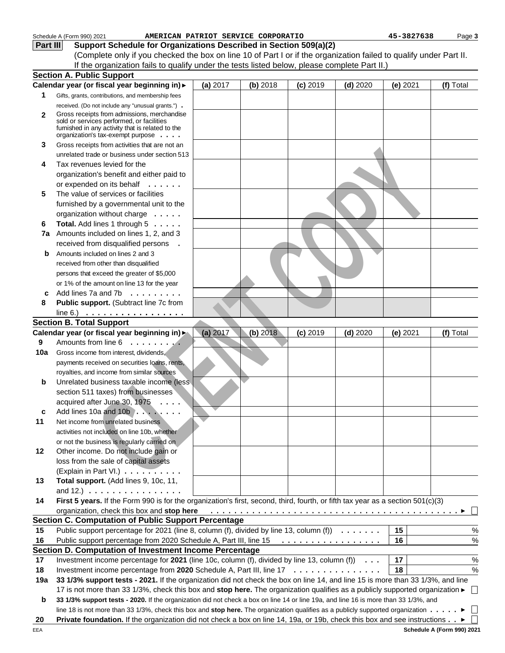|              | Schedule A (Form 990) 2021<br>AMERICAN PATRIOT SERVICE CORPORATIO                                                                                                                |          |          |            |            | 45-3827638 | Pag      |  |
|--------------|----------------------------------------------------------------------------------------------------------------------------------------------------------------------------------|----------|----------|------------|------------|------------|----------|--|
| Part III     | Support Schedule for Organizations Described in Section 509(a)(2)                                                                                                                |          |          |            |            |            |          |  |
|              | (Complete only if you checked the box on line 10 of Part I or if the organization failed to qualify under Part II.                                                               |          |          |            |            |            |          |  |
|              | If the organization fails to qualify under the tests listed below, please complete Part II.)                                                                                     |          |          |            |            |            |          |  |
|              | <b>Section A. Public Support</b>                                                                                                                                                 |          |          |            |            |            |          |  |
|              | Calendar year (or fiscal year beginning in) >                                                                                                                                    | (a) 2017 | (b) 2018 | $(c)$ 2019 | $(d)$ 2020 | (e) 2021   | (f) Tota |  |
| 1            | Gifts, grants, contributions, and membership fees                                                                                                                                |          |          |            |            |            |          |  |
|              | received. (Do not include any "unusual grants.").                                                                                                                                |          |          |            |            |            |          |  |
| $\mathbf{2}$ | Gross receipts from admissions, merchandise<br>sold or services performed, or facilities<br>fumished in any activity that is related to the<br>organization's tax-exempt purpose |          |          |            |            |            |          |  |
| 3            | Gross receipts from activities that are not an                                                                                                                                   |          |          |            |            |            |          |  |
|              | unrelated trade or business under section 513                                                                                                                                    |          |          |            |            |            |          |  |
| 4            | Tax revenues levied for the                                                                                                                                                      |          |          |            |            |            |          |  |
|              | organization's benefit and either paid to                                                                                                                                        |          |          |            |            |            |          |  |
|              | or expended on its behalf                                                                                                                                                        |          |          |            |            |            |          |  |
| 5            | The value of services or facilities                                                                                                                                              |          |          |            |            |            |          |  |
|              | furnished by a governmental unit to the                                                                                                                                          |          |          |            |            |            |          |  |
|              | organization without charge                                                                                                                                                      |          |          |            |            |            |          |  |
| 6            | Total. Add lines 1 through 5                                                                                                                                                     |          |          |            |            |            |          |  |
|              | 7a Amounts included on lines 1, 2, and 3                                                                                                                                         |          |          |            |            |            |          |  |
|              | received from disqualified persons .                                                                                                                                             |          |          |            |            |            |          |  |
| b            | Amounts included on lines 2 and 3                                                                                                                                                |          |          |            |            |            |          |  |
|              | received from other than disqualified                                                                                                                                            |          |          |            |            |            |          |  |
|              | persons that exceed the greater of \$5,000                                                                                                                                       |          |          |            |            |            |          |  |
|              | or 1% of the amount on line 13 for the year                                                                                                                                      |          |          |            |            |            |          |  |
| C            | Add lines 7a and 7b $\ldots \ldots$                                                                                                                                              |          |          |            |            |            |          |  |
| 8            | Public support. (Subtract line 7c from                                                                                                                                           |          |          |            |            |            |          |  |
|              | line 6.) $\ldots \ldots \ldots \ldots \ldots$                                                                                                                                    |          |          |            |            |            |          |  |
|              | <b>Section B. Total Support</b>                                                                                                                                                  |          |          |            |            |            |          |  |
|              | Calendar year (or fiscal year beginning in)                                                                                                                                      |          | (b) 2018 |            |            |            |          |  |
| 9            | Amounts from line 6                                                                                                                                                              | (a) 2017 |          | $(c)$ 2019 | $(d)$ 2020 | (e) 2021   | (f) Tota |  |
|              |                                                                                                                                                                                  |          |          |            |            |            |          |  |
| 10a          | Gross income from interest, dividends,                                                                                                                                           |          |          |            |            |            |          |  |
|              | payments received on securities loans, rents,                                                                                                                                    |          |          |            |            |            |          |  |
|              | royalties, and income from similar sources                                                                                                                                       |          |          |            |            |            |          |  |
| b            | Unrelated business taxable income (less                                                                                                                                          |          |          |            |            |            |          |  |
|              | section 511 taxes) from businesses                                                                                                                                               |          |          |            |            |            |          |  |
|              | acquired after June 30, 1975                                                                                                                                                     |          |          |            |            |            |          |  |
| c            | Add lines 10a and 10b $\ldots$ , $\ldots$                                                                                                                                        |          |          |            |            |            |          |  |
| 11           | Net income from unrelated business                                                                                                                                               |          |          |            |            |            |          |  |
|              | activities not included on line 10b, whether                                                                                                                                     |          |          |            |            |            |          |  |
|              | or not the business is regularly carried on                                                                                                                                      |          |          |            |            |            |          |  |
| 12           | Other income. Do not include gain or                                                                                                                                             |          |          |            |            |            |          |  |
|              | loss from the sale of capital assets                                                                                                                                             |          |          |            |            |            |          |  |
|              | (Explain in Part VI.)                                                                                                                                                            |          |          |            |            |            |          |  |
| 13           | Total support. (Add lines 9, 10c, 11,                                                                                                                                            |          |          |            |            |            |          |  |
|              | and 12.) $\ldots \ldots \ldots \ldots \ldots$                                                                                                                                    |          |          |            |            |            |          |  |
| 14           |                                                                                                                                                                                  |          |          |            |            |            |          |  |
|              | First 5 years. If the Form 990 is for the organization's first, second, third, fourth, or fifth tax year as a section 501(c)(3)<br>organization, check this box and stop here    |          |          |            |            |            |          |  |
|              |                                                                                                                                                                                  |          |          |            |            |            |          |  |

#### **13** loss from the sale of capital assets (Explain in Part VI.) . . . . . . . . . . **Total support.** (Add lines 9, 10c, 11, and 12.) . . . . . . . . . . . . . . . .

| 14 First 5 years. If the Form 990 is for the organization's first, second, third, fourth, or fifth tax year as a section 501(c)(3)      |  |  |  |      |  |
|-----------------------------------------------------------------------------------------------------------------------------------------|--|--|--|------|--|
| organization, check this box and stop here $\ldots \ldots \ldots \ldots \ldots \ldots \ldots \ldots \ldots \ldots \ldots \ldots \vdots$ |  |  |  |      |  |
| <b>Section C. Computation of Public Support Percentage</b>                                                                              |  |  |  |      |  |
| 15 Public support percentage for 2021 (line 8, column (f), divided by line 13, column (f) $\ldots \ldots$   15                          |  |  |  | $\%$ |  |

#### **16** Public support percentage from 2020 Schedule A, Part III, line 15  $\ldots \ldots \ldots \ldots \ldots$  16 **17** Investment income percentage for 2021 (line 10c, column (f), divided by line 13, column (f))  $\dots$  17 **Section D. Computation of Investment Income Percentage** ................. ...

18 Investment income percentage from 2020 Schedule A, Part III, line 17  $\dots\dots\dots\dots\dots$  | 18

**19a 33 1/3% support tests - 2021.** If the organization did not check the box on line 14, and line 15 is more than 33 1/3%, and line 17 is not more than 33 1/3%, check this box and **stop here.** The organization qualifies as a publicly supported organization

**b 20** Private foundation. If the organization did not check a box on line 14, 19a, or 19b, check this box and see instructions . . **33 1/3% support tests - 2020.** If the organization did not check a box on line 14 or line 19a, and line 16 is more than 33 1/3%, and line 18 is not more than 33 1/3%, check this box and stop here. The organization qualifies as a publicly supported organization . . . . .

Page **3**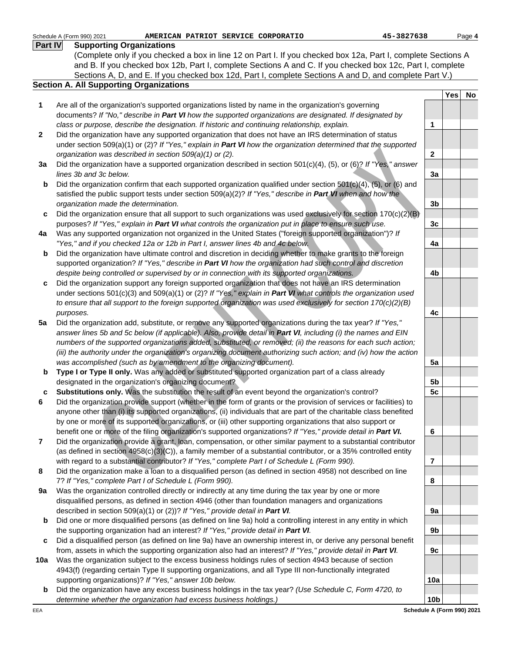Page **4**

**Yes No**

**1**

**2**

**3a**

**3b**

**3c**

**4a**

**4b**

**4c**

**5a**

**5b**

**6**

**7**

**8**

**9a**

**9b**

**9c**

**10a**

**10b**

#### Color coording to the Car make the Consumer neutral wind the transformation of the consumer and the consumer and the consumer and the consumer and the consumer and the consumer and the consumer and the consumer and the con Schedule A (Form 990) 2021 **1 2 3a b c 4a b c** Did the organization support any foreign supported organization that does not have an IRS determination **5a b** Type I or Type II only. Was any added or substituted supported organization part of a class already **c 5c Substitutions only.** Was the substitution the result of an event beyond the organization's control? **6 7 8 9a b c** Are all of the organization's supported organizations listed by name in the organization's governing documents? If "No," describe in **Part VI** how the supported organizations are designated. If designated by class or purpose, describe the designation. If historic and continuing relationship, explain. Did the organization have any supported organization that does not have an IRS determination of status under section 509(a)(1) or (2)? If "Yes," explain in **Part VI** how the organization determined that the supported organization was described in section 509(a)(1) or (2). Did the organization have a supported organization described in section  $501(c)(4)$ , (5), or (6)? If "Yes," answer lines 3b and 3c below. Did the organization confirm that each supported organization qualified under section 501(c)(4), (5), or (6) and satisfied the public support tests under section 509(a)(2)? If "Yes," describe in **Part VI** when and how the organization made the determination. Did the organization ensure that all support to such organizations was used exclusively for section  $170(c)(2)(B)$ purposes? If "Yes," explain in **Part VI** what controls the organization put in place to ensure such use. Was any supported organization not organized in the United States ("foreign supported organization")? If "Yes," and if you checked 12a or 12b in Part I, answer lines 4b and 4c below. Did the organization have ultimate control and discretion in deciding whether to make grants to the foreign supported organization? If "Yes," describe in **Part VI** how the organization had such control and discretion despite being controlled or supervised by or in connection with its supported organizations. under sections 501(c)(3) and 509(a)(1) or (2)? If "Yes," explain in **Part VI** what controls the organization used to ensure that all support to the foreign supported organization was used exclusively for section 170(c)(2)(B) purposes. Did the organization add, substitute, or remove any supported organizations during the tax year? If "Yes," answer lines 5b and 5c below (if applicable). Also, provide detail in **Part VI**, including (i) the names and EIN numbers of the supported organizations added, substituted, or removed; (ii) the reasons for each such action; (iii) the authority under the organization's organizing document authorizing such action; and (iv) how the action was accomplished (such as by amendment to the organizing document). designated in the organization's organizing document? Did the organization provide support (whether in the form of grants or the provision of services or facilities) to anyone other than (i) its supported organizations, (ii) individuals that are part of the charitable class benefited by one or more of its supported organizations, or (iii) other supporting organizations that also support or benefit one or more of the filing organization's supported organizations? If "Yes," provide detail in **Part VI.** Did the organization provide a grant, loan, compensation, or other similar payment to a substantial contributor (as defined in section 4958(c)(3)(C)), a family member of a substantial contributor, or a 35% controlled entity with regard to a substantial contributor? If "Yes," complete Part I of Schedule L (Form 990). Did the organization make a loan to a disqualified person (as defined in section 4958) not described on line 7? If "Yes," complete Part I of Schedule L (Form 990). Was the organization controlled directly or indirectly at any time during the tax year by one or more disqualified persons, as defined in section 4946 (other than foundation managers and organizations described in section 509(a)(1) or (2))? If "Yes," provide detail in **Part VI**. Did one or more disqualified persons (as defined on line 9a) hold a controlling interest in any entity in which the supporting organization had an interest? If "Yes," provide detail in **Part VI**. Did a disqualified person (as defined on line 9a) have an ownership interest in, or derive any personal benefit **Part IV Supporting Organizations Section A. All Supporting Organizations** (Complete only if you checked a box in line 12 on Part I. If you checked box 12a, Part I, complete Sections A and B. If you checked box 12b, Part I, complete Sections A and C. If you checked box 12c, Part I, complete Sections A, D, and E. If you checked box 12d, Part I, complete Sections A and D, and complete Part V.) **AMERICAN PATRIOT SERVICE CORPORATIO 45-3827638**

- **10a** Was the organization subject to the excess business holdings rules of section 4943 because of section from, assets in which the supporting organization also had an interest? If "Yes," provide detail in **Part VI**.
- 4943(f) (regarding certain Type II supporting organizations, and all Type III non-functionally integrated supporting organizations)? If "Yes," answer 10b below.
- **b** Did the organization have any excess business holdings in the tax year? (Use Schedule C, Form 4720, to determine whether the organization had excess business holdings.)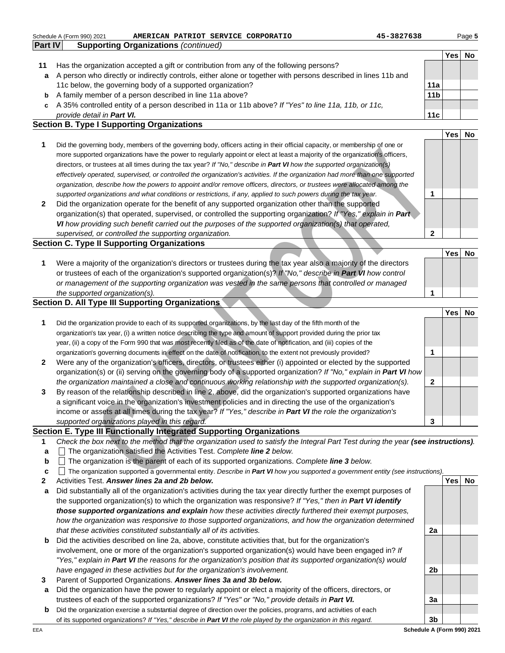|                | Schedule A (Form 990) 2021<br>AMERICAN PATRIOT SERVICE CORPORATIO                                              | 45-3827638      |     | Page 5 |
|----------------|----------------------------------------------------------------------------------------------------------------|-----------------|-----|--------|
| <b>Part IV</b> | <b>Supporting Organizations (continued)</b>                                                                    |                 |     |        |
|                |                                                                                                                |                 | Yes | No     |
| 11             | Has the organization accepted a gift or contribution from any of the following persons?                        |                 |     |        |
| a              | A person who directly or indirectly controls, either alone or together with persons described in lines 11b and |                 |     |        |
|                | 11c below, the governing body of a supported organization?                                                     | 11a             |     |        |
|                | <b>b</b> A family member of a person described in line 11a above?                                              | 11 <sub>b</sub> |     |        |
| C              | A 35% controlled entity of a person described in 11a or 11b above? If "Yes" to line 11a, 11b, or 11c,          |                 |     |        |
|                | provide detail in <b>Part VI.</b>                                                                              | 11c             |     |        |
|                | <b>Section B. Type I Supporting Organizations</b>                                                              |                 |     |        |
|                |                                                                                                                |                 | Yes |        |

- **1 2** Did the governing body, members of the governing body, officers acting in their official capacity, or membership of one or more supported organizations have the power to regularly appoint or elect at least a majority of the organization's officers, directors, or trustees at all times during the tax year? If "No," describe in **Part VI** how the supported organization(s) effectively operated, supervised, or controlled the organization's activities. If the organization had more than one supported organization, describe how the powers to appoint and/or remove officers, directors, or trustees were allocated among the supported organizations and what conditions or restrictions, if any, applied to such powers during the tax year.
- Did the organization operate for the benefit of any supported organization other than the supported organization(s) that operated, supervised, or controlled the supporting organization? If "Yes," explain in **Part VI** how providing such benefit carried out the purposes of the supported organization(s) that operated, supervised, or controlled the supporting organization.

#### **Section C. Type II Supporting Organizations**

#### **Section D. All Type III Supporting Organizations**

|              | Did the governing body, members of the governing body, onicers acting in their onicial capacity, or membership of one or<br>more supported organizations have the power to regularly appoint or elect at least a majority of the organization's officers, |              |            |           |
|--------------|-----------------------------------------------------------------------------------------------------------------------------------------------------------------------------------------------------------------------------------------------------------|--------------|------------|-----------|
|              | directors, or trustees at all times during the tax year? If "No," describe in Part VI how the supported organization(s)                                                                                                                                   |              |            |           |
|              | effectively operated, supervised, or controlled the organization's activities. If the organization had more than one supported                                                                                                                            |              |            |           |
|              | organization, describe how the powers to appoint and/or remove officers, directors, or trustees were allocated among the                                                                                                                                  |              |            |           |
|              | supported organizations and what conditions or restrictions, if any, applied to such powers during the tax year.                                                                                                                                          | 1            |            |           |
| $\mathbf{2}$ | Did the organization operate for the benefit of any supported organization other than the supported                                                                                                                                                       |              |            |           |
|              | organization(s) that operated, supervised, or controlled the supporting organization? If "Yes," explain in Part                                                                                                                                           |              |            |           |
|              | VI how providing such benefit carried out the purposes of the supported organization(s) that operated,                                                                                                                                                    |              |            |           |
|              | supervised, or controlled the supporting organization.                                                                                                                                                                                                    | $\mathbf 2$  |            |           |
|              | ection C. Type II Supporting Organizations                                                                                                                                                                                                                |              |            |           |
|              |                                                                                                                                                                                                                                                           |              | Yes        | No        |
| 1            | Were a majority of the organization's directors or trustees during the tax year also a majority of the directors                                                                                                                                          |              |            |           |
|              | or trustees of each of the organization's supported organization(s)? If "No," describe in Part VI how control                                                                                                                                             |              |            |           |
|              | or management of the supporting organization was vested in the same persons that controlled or managed                                                                                                                                                    |              |            |           |
|              | the supported organization(s).                                                                                                                                                                                                                            | 1            |            |           |
|              | ection D. All Type III Supporting Organizations                                                                                                                                                                                                           |              | <b>Yes</b> |           |
| 1            | Did the organization provide to each of its supported organizations, by the last day of the fifth month of the                                                                                                                                            |              |            | No        |
|              | organization's tax year, (i) a written notice describing the type and amount of support provided during the prior tax                                                                                                                                     |              |            |           |
|              | year, (ii) a copy of the Form 990 that was most recently filed as of the date of notification, and (iii) copies of the                                                                                                                                    |              |            |           |
|              | organization's governing documents in effect on the date of notification, to the extent not previously provided?                                                                                                                                          | 1            |            |           |
| $\mathbf{2}$ | Were any of the organization's officers, directors, or trustees either (i) appointed or elected by the supported                                                                                                                                          |              |            |           |
|              | organization(s) or (ii) serving on the governing body of a supported organization? If "No," explain in Part VI how                                                                                                                                        |              |            |           |
|              | the organization maintained a close and continuous working relationship with the supported organization(s).                                                                                                                                               | $\mathbf{2}$ |            |           |
| 3            | By reason of the relationship described in line 2, above, did the organization's supported organizations have                                                                                                                                             |              |            |           |
|              | a significant voice in the organization's investment policies and in directing the use of the organization's                                                                                                                                              |              |            |           |
|              | income or assets at all times during the tax year? If "Yes," describe in Part VI the role the organization's                                                                                                                                              |              |            |           |
|              | supported organizations played in this regard.                                                                                                                                                                                                            | 3            |            |           |
|              | ection E. Type III Functionally Integrated Supporting Organizations                                                                                                                                                                                       |              |            |           |
| 1            | Check the box next to the method that the organization used to satisfy the Integral Part Test during the year (see instructions).                                                                                                                         |              |            |           |
| a            | $\Box$ The organization satisfied the Activities Test. Complete line 2 below.                                                                                                                                                                             |              |            |           |
| b            | $\Box$ The organization is the parent of each of its supported organizations. Complete line 3 below.                                                                                                                                                      |              |            |           |
| c            | The organization supported a governmental entity. Describe in Part VI how you supported a government entity (see instructions).                                                                                                                           |              |            |           |
| 2            | Activities Test. Answer lines 2a and 2b below.                                                                                                                                                                                                            |              | Yes        | <b>No</b> |
| a            | Did substantially all of the organization's activities during the tax year directly further the exempt purposes of                                                                                                                                        |              |            |           |
|              | the supported organization(s) to which the organization was responsive? If "Yes," then in Part VI identify                                                                                                                                                |              |            |           |
|              | those supported organizations and explain how these activities directly furthered their exempt purposes,                                                                                                                                                  |              |            |           |
|              | how the organization was responsive to those supported organizations, and how the organization determined                                                                                                                                                 |              |            |           |
|              | that these activities constituted substantially all of its activities.                                                                                                                                                                                    | 2a           |            |           |
|              |                                                                                                                                                                                                                                                           |              |            |           |

#### **Section E. Type III Functionally Integrated Supporting Organizations**

- **1** Check the box next to the method that the organization used to satisfy the Integral Part Test during the year **(see instructions)**.
- **a** The organization satisfied the Activities Test. Complete **line 2** below.
- **b** The organization is the parent of each of its supported organizations. Complete **line 3** below.
- **c** The organization supported a governmental entity. Describe in **Part VI** how you supported a government entity (see instructions).
- **2 Yes No** Activities Test. **Answer lines 2a and 2b below.**
- **a** Did substantially all of the organization's activities during the tax year directly further the exempt purposes of the supported organization(s) to which the organization was responsive? If "Yes," then in **Part VI identify those supported organizations and explain** how these activities directly furthered their exempt purposes, how the organization was responsive to those supported organizations, and how the organization determined that these activities constituted substantially all of its activities.
- **b** Did the activities described on line 2a, above, constitute activities that, but for the organization's involvement, one or more of the organization's supported organization(s) would have been engaged in? If "Yes," explain in **Part VI** the reasons for the organization's position that its supported organization(s) would have engaged in these activities but for the organization's involvement.
- **3** Parent of Supported Organizations. **Answer lines 3a and 3b below.**
- **a** Did the organization have the power to regularly appoint or elect a majority of the officers, directors, or trustees of each of the supported organizations? If "Yes" or "No," provide details in **Part VI.**
- **b** Did the organization exercise a substantial degree of direction over the policies, programs, and activities of each of its supported organizations? If "Yes," describe in **Part VI** the role played by the organization in this regard.

**Schedule A (Form 990) 2021**

**2b**

**3a**

**3b**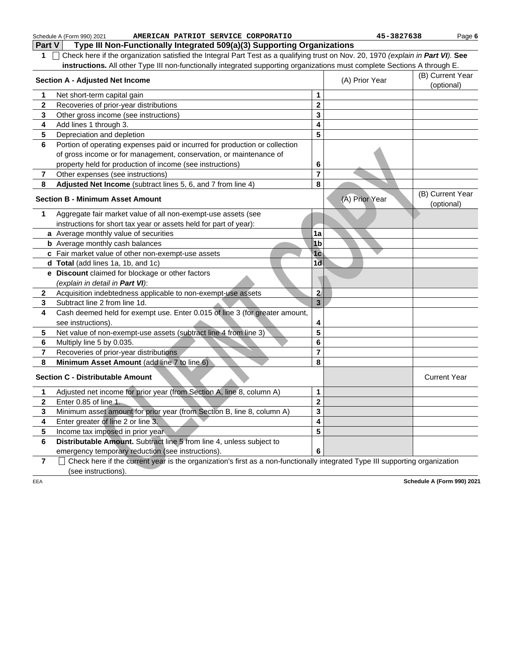|                         | Schedule A (Form 990) 2021<br>AMERICAN PATRIOT SERVICE CORPORATIO                                                                                   |                         | 45-3827638     | Page 6                         |
|-------------------------|-----------------------------------------------------------------------------------------------------------------------------------------------------|-------------------------|----------------|--------------------------------|
| Part V                  | Type III Non-Functionally Integrated 509(a)(3) Supporting Organizations                                                                             |                         |                |                                |
| 1                       | Check here if the organization satisfied the Integral Part Test as a qualifying trust on Nov. 20, 1970 (explain in Part VI). See                    |                         |                |                                |
|                         | instructions. All other Type III non-functionally integrated supporting organizations must complete Sections A through E.                           |                         |                |                                |
|                         | <b>Section A - Adjusted Net Income</b>                                                                                                              |                         | (A) Prior Year | (B) Current Year               |
|                         |                                                                                                                                                     |                         |                | (optional)                     |
| 1                       | Net short-term capital gain                                                                                                                         | 1                       |                |                                |
| $\mathbf{2}$            | Recoveries of prior-year distributions                                                                                                              | $\overline{\mathbf{2}}$ |                |                                |
| 3                       | Other gross income (see instructions)                                                                                                               | 3                       |                |                                |
| 4                       | Add lines 1 through 3.                                                                                                                              | 4                       |                |                                |
| 5                       | Depreciation and depletion                                                                                                                          | 5                       |                |                                |
| 6                       | Portion of operating expenses paid or incurred for production or collection                                                                         |                         |                |                                |
|                         | of gross income or for management, conservation, or maintenance of                                                                                  |                         |                |                                |
|                         | property held for production of income (see instructions)                                                                                           | 6                       |                |                                |
| 7                       | Other expenses (see instructions)                                                                                                                   | $\overline{7}$          |                |                                |
| 8                       | Adjusted Net Income (subtract lines 5, 6, and 7 from line 4)                                                                                        | 8                       |                |                                |
|                         | <b>Section B - Minimum Asset Amount</b>                                                                                                             |                         | (A) Prior Year | (B) Current Year<br>(optional) |
| 1                       | Aggregate fair market value of all non-exempt-use assets (see                                                                                       |                         |                |                                |
|                         | instructions for short tax year or assets held for part of year):                                                                                   |                         |                |                                |
|                         | a Average monthly value of securities                                                                                                               | 1a                      |                |                                |
|                         | <b>b</b> Average monthly cash balances                                                                                                              | 1 <sub>b</sub>          |                |                                |
|                         | c Fair market value of other non-exempt-use assets                                                                                                  | 1 <sub>c</sub>          |                |                                |
|                         | d Total (add lines 1a, 1b, and 1c)                                                                                                                  | 1d                      |                |                                |
|                         | e Discount claimed for blockage or other factors                                                                                                    |                         |                |                                |
|                         | (explain in detail in Part VI):                                                                                                                     |                         |                |                                |
| $\mathbf{2}$            | Acquisition indebtedness applicable to non-exempt-use assets                                                                                        | $\mathbf{2}$            |                |                                |
| 3                       | Subtract line 2 from line 1d.                                                                                                                       | $\overline{\mathbf{3}}$ |                |                                |
| 4                       | Cash deemed held for exempt use. Enter 0.015 of line 3 (for greater amount,                                                                         |                         |                |                                |
|                         | see instructions).                                                                                                                                  | 4                       |                |                                |
| 5                       | Net value of non-exempt-use assets (subtract line 4 from line 3)                                                                                    | 5                       |                |                                |
| 6                       | Multiply line 5 by 0.035.                                                                                                                           | 6                       |                |                                |
| $\overline{\mathbf{r}}$ | Recoveries of prior-year distributions                                                                                                              | $\overline{7}$          |                |                                |
| 8                       | Minimum Asset Amount (add line 7 to line 6)                                                                                                         | 8                       |                |                                |
|                         | <b>Section C - Distributable Amount</b>                                                                                                             |                         |                | <b>Current Year</b>            |
| 1                       | Adjusted net income for prior year (from Section A, line 8, column A)                                                                               | 1                       |                |                                |
| 2                       | Enter 0.85 of line 1.                                                                                                                               | $\mathbf{2}$            |                |                                |
| 3                       | Minimum asset amount for prior year (from Section B, line 8, column A)                                                                              | 3                       |                |                                |
| 4                       | Enter greater of line 2 or line 3.                                                                                                                  | 4                       |                |                                |
| 5                       | Income tax imposed in prior year                                                                                                                    | 5                       |                |                                |
| 6                       | Distributable Amount. Subtract line 5 from line 4, unless subject to                                                                                |                         |                |                                |
|                         | emergency temporary reduction (see instructions).                                                                                                   | 6                       |                |                                |
| $\overline{\mathbf{r}}$ | Check here if the current year is the organization's first as a non-functionally integrated Type III supporting organization<br>(see instructions). |                         |                |                                |
| EEA                     |                                                                                                                                                     |                         |                | Schedule A (Form 990) 2021     |
|                         |                                                                                                                                                     |                         |                |                                |
|                         |                                                                                                                                                     |                         |                |                                |
|                         |                                                                                                                                                     |                         |                |                                |
|                         |                                                                                                                                                     |                         |                |                                |
|                         |                                                                                                                                                     |                         |                |                                |
|                         |                                                                                                                                                     |                         |                |                                |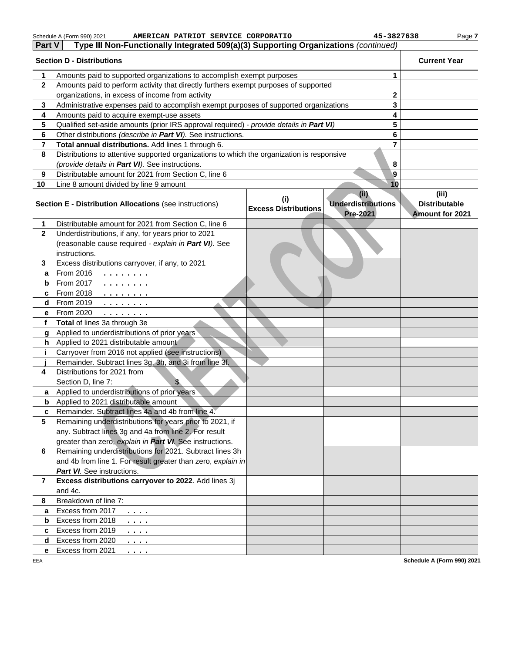|              | Schedule A (Form 990) 2021<br>AMERICAN PATRIOT SERVICE CORPORATIO                          |                             | 45-3827638                | Page 7                     |
|--------------|--------------------------------------------------------------------------------------------|-----------------------------|---------------------------|----------------------------|
| Part V       | Type III Non-Functionally Integrated 509(a)(3) Supporting Organizations (continued)        |                             |                           |                            |
|              | <b>Section D - Distributions</b>                                                           |                             |                           | <b>Current Year</b>        |
| 1            | Amounts paid to supported organizations to accomplish exempt purposes                      |                             | 1                         |                            |
| $\mathbf{2}$ | Amounts paid to perform activity that directly furthers exempt purposes of supported       |                             |                           |                            |
|              | organizations, in excess of income from activity                                           |                             | $\mathbf 2$               |                            |
| 3            | Administrative expenses paid to accomplish exempt purposes of supported organizations      |                             | 3                         |                            |
| 4            | Amounts paid to acquire exempt-use assets                                                  |                             | 4                         |                            |
| 5            | Qualified set-aside amounts (prior IRS approval required) - provide details in Part VI)    |                             | 5                         |                            |
| 6            | Other distributions (describe in Part VI). See instructions.                               |                             | 6                         |                            |
| 7            | Total annual distributions. Add lines 1 through 6.                                         |                             | 7                         |                            |
| 8            | Distributions to attentive supported organizations to which the organization is responsive |                             |                           |                            |
|              | (provide details in Part VI). See instructions.                                            |                             | 8                         |                            |
| 9            | Distributable amount for 2021 from Section C, line 6                                       |                             | 9                         |                            |
| 10           | Line 8 amount divided by line 9 amount                                                     |                             | 10                        |                            |
|              |                                                                                            | (i)                         | (ii)                      | (iii)                      |
|              | <b>Section E - Distribution Allocations (see instructions)</b>                             | <b>Excess Distributions</b> | <b>Underdistributions</b> | <b>Distributable</b>       |
| 1            | Distributable amount for 2021 from Section C, line 6                                       |                             | <b>Pre-2021</b>           | <b>Amount for 2021</b>     |
| $\mathbf{2}$ | Underdistributions, if any, for years prior to 2021                                        |                             |                           |                            |
|              | (reasonable cause required - explain in Part VI). See                                      |                             |                           |                            |
|              | instructions.                                                                              |                             |                           |                            |
| 3            | Excess distributions carryover, if any, to 2021                                            |                             |                           |                            |
| a            | From 2016                                                                                  |                             |                           |                            |
| b            | $\mathcal{L}$ , and $\mathcal{L}$ , and $\mathcal{L}$ , and $\mathcal{L}$<br>From 2017     |                             |                           |                            |
| c            | .<br>From 2018                                                                             |                             |                           |                            |
| d            | .<br>From 2019                                                                             |                             |                           |                            |
| е            | .<br>From 2020<br>.                                                                        |                             |                           |                            |
| f            | Total of lines 3a through 3e                                                               |                             |                           |                            |
| g            | Applied to underdistributions of prior years                                               |                             |                           |                            |
| h.           | Applied to 2021 distributable amount                                                       |                             |                           |                            |
| j.           | Carryover from 2016 not applied (see instructions)                                         |                             |                           |                            |
|              | Remainder. Subtract lines 3g, 3h, and 3i from line 3f.                                     |                             |                           |                            |
| 4            | Distributions for 2021 from                                                                |                             |                           |                            |
|              | Section D, line 7:<br>$\mathbf{E}$                                                         |                             |                           |                            |
|              | a Applied to underdistributions of prior years                                             |                             |                           |                            |
|              | <b>b</b> Applied to 2021 distributable amount                                              |                             |                           |                            |
| c            | Remainder, Subtract lines 4a and 4b from line 4.                                           |                             |                           |                            |
| 5            | Remaining underdistributions for years prior to 2021, if                                   |                             |                           |                            |
|              | any. Subtract lines 3g and 4a from line 2. For result                                      |                             |                           |                            |
|              | greater than zero, explain in Part VI. See instructions.                                   |                             |                           |                            |
| 6            | Remaining underdistributions for 2021. Subtract lines 3h                                   |                             |                           |                            |
|              | and 4b from line 1. For result greater than zero, explain in                               |                             |                           |                            |
|              | <b>Part VI.</b> See instructions.                                                          |                             |                           |                            |
| 7            | Excess distributions carryover to 2022. Add lines 3j                                       |                             |                           |                            |
|              | and 4c.                                                                                    |                             |                           |                            |
| 8            | Breakdown of line 7:                                                                       |                             |                           |                            |
| a            | Excess from 2017<br>.                                                                      |                             |                           |                            |
| b            | Excess from 2018<br>$\cdots$ .                                                             |                             |                           |                            |
| c            | Excess from 2019<br>$\cdots$                                                               |                             |                           |                            |
| d            | Excess from 2020<br>.                                                                      |                             |                           |                            |
| е            | Excess from 2021<br>.                                                                      |                             |                           |                            |
| EEA          |                                                                                            |                             |                           | Schedule A (Form 990) 2021 |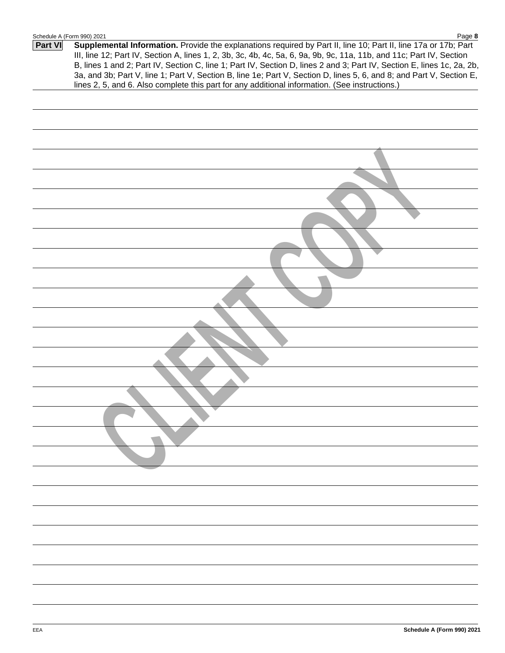|         | Schedule A (Form 990) 2021<br>Page 8                                                                                                                                                                                                                                                                                                                                                                                                                                                      |
|---------|-------------------------------------------------------------------------------------------------------------------------------------------------------------------------------------------------------------------------------------------------------------------------------------------------------------------------------------------------------------------------------------------------------------------------------------------------------------------------------------------|
| Part VI | Supplemental Information. Provide the explanations required by Part II, line 10; Part II, line 17a or 17b; Part<br>III, line 12; Part IV, Section A, lines 1, 2, 3b, 3c, 4b, 4c, 5a, 6, 9a, 9b, 9c, 11a, 11b, and 11c; Part IV, Section<br>B, lines 1 and 2; Part IV, Section C, line 1; Part IV, Section D, lines 2 and 3; Part IV, Section E, lines 1c, 2a, 2b,<br>3a, and 3b; Part V, line 1; Part V, Section B, line 1e; Part V, Section D, lines 5, 6, and 8; and Part V, Section E, |
|         | lines 2, 5, and 6. Also complete this part for any additional information. (See instructions.)                                                                                                                                                                                                                                                                                                                                                                                            |
|         |                                                                                                                                                                                                                                                                                                                                                                                                                                                                                           |
|         |                                                                                                                                                                                                                                                                                                                                                                                                                                                                                           |
|         |                                                                                                                                                                                                                                                                                                                                                                                                                                                                                           |
|         |                                                                                                                                                                                                                                                                                                                                                                                                                                                                                           |
|         |                                                                                                                                                                                                                                                                                                                                                                                                                                                                                           |
|         |                                                                                                                                                                                                                                                                                                                                                                                                                                                                                           |
|         |                                                                                                                                                                                                                                                                                                                                                                                                                                                                                           |
|         |                                                                                                                                                                                                                                                                                                                                                                                                                                                                                           |
|         |                                                                                                                                                                                                                                                                                                                                                                                                                                                                                           |
|         |                                                                                                                                                                                                                                                                                                                                                                                                                                                                                           |
|         |                                                                                                                                                                                                                                                                                                                                                                                                                                                                                           |
|         |                                                                                                                                                                                                                                                                                                                                                                                                                                                                                           |
|         |                                                                                                                                                                                                                                                                                                                                                                                                                                                                                           |
|         |                                                                                                                                                                                                                                                                                                                                                                                                                                                                                           |
|         |                                                                                                                                                                                                                                                                                                                                                                                                                                                                                           |
|         |                                                                                                                                                                                                                                                                                                                                                                                                                                                                                           |
|         |                                                                                                                                                                                                                                                                                                                                                                                                                                                                                           |
|         |                                                                                                                                                                                                                                                                                                                                                                                                                                                                                           |
|         |                                                                                                                                                                                                                                                                                                                                                                                                                                                                                           |
|         |                                                                                                                                                                                                                                                                                                                                                                                                                                                                                           |
|         |                                                                                                                                                                                                                                                                                                                                                                                                                                                                                           |
|         |                                                                                                                                                                                                                                                                                                                                                                                                                                                                                           |
|         |                                                                                                                                                                                                                                                                                                                                                                                                                                                                                           |
|         |                                                                                                                                                                                                                                                                                                                                                                                                                                                                                           |
|         |                                                                                                                                                                                                                                                                                                                                                                                                                                                                                           |
|         |                                                                                                                                                                                                                                                                                                                                                                                                                                                                                           |
|         |                                                                                                                                                                                                                                                                                                                                                                                                                                                                                           |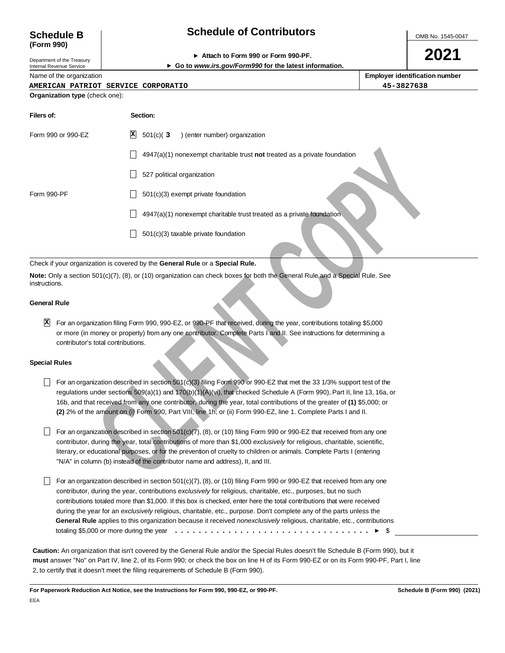## **Schedule of Contributors**

OMB No. 1545-0047

**2021**

| <b>Schedule B</b> |  |
|-------------------|--|
| (Form 990)        |  |

#### **Attach to Form 990 or Form 990-PF.**

Department of the Treasury Internal Revenue Service

**Go to www.irs.gov/Form990 for the latest information.**

Name of the organization

| Employer identification number |  |
|--------------------------------|--|

#### **AMERICAN PATRIOT SERVICE CORPORATIO 45-3827638**

#### **Organization type** (check one):

| Filers of:           |                                    | Section:                                                                                                                                                                                                                                                                                                                                                                                                                                                                                                                                                                                                                                                                                            |
|----------------------|------------------------------------|-----------------------------------------------------------------------------------------------------------------------------------------------------------------------------------------------------------------------------------------------------------------------------------------------------------------------------------------------------------------------------------------------------------------------------------------------------------------------------------------------------------------------------------------------------------------------------------------------------------------------------------------------------------------------------------------------------|
| Form 990 or 990-EZ   |                                    | X <br>$501(c)$ $(3)$<br>) (enter number) organization                                                                                                                                                                                                                                                                                                                                                                                                                                                                                                                                                                                                                                               |
|                      |                                    | $4947(a)(1)$ nonexempt charitable trust <b>not</b> treated as a private foundation                                                                                                                                                                                                                                                                                                                                                                                                                                                                                                                                                                                                                  |
|                      |                                    | 527 political organization                                                                                                                                                                                                                                                                                                                                                                                                                                                                                                                                                                                                                                                                          |
| Form 990-PF          |                                    | $501(c)(3)$ exempt private foundation                                                                                                                                                                                                                                                                                                                                                                                                                                                                                                                                                                                                                                                               |
|                      |                                    | 4947(a)(1) nonexempt charitable trust treated as a private foundation                                                                                                                                                                                                                                                                                                                                                                                                                                                                                                                                                                                                                               |
|                      |                                    | $501(c)(3)$ taxable private foundation                                                                                                                                                                                                                                                                                                                                                                                                                                                                                                                                                                                                                                                              |
|                      |                                    | Check if your organization is covered by the General Rule or a Special Rule.                                                                                                                                                                                                                                                                                                                                                                                                                                                                                                                                                                                                                        |
| instructions.        |                                    | Note: Only a section 501(c)(7), (8), or (10) organization can check boxes for both the General Rule and a Special Rule. See                                                                                                                                                                                                                                                                                                                                                                                                                                                                                                                                                                         |
| <b>General Rule</b>  |                                    |                                                                                                                                                                                                                                                                                                                                                                                                                                                                                                                                                                                                                                                                                                     |
| X                    | contributor's total contributions. | For an organization filing Form 990, 990-EZ, or 990-PF that received, during the year, contributions totaling \$5,000<br>or more (in money or property) from any one contributor. Complete Parts I and II. See instructions for determining a                                                                                                                                                                                                                                                                                                                                                                                                                                                       |
| <b>Special Rules</b> |                                    |                                                                                                                                                                                                                                                                                                                                                                                                                                                                                                                                                                                                                                                                                                     |
|                      |                                    | For an organization described in section 501(c)(3) filing Form 990 or 990-EZ that met the 33 1/3% support test of the<br>regulations under sections 509(a)(1) and 170(b)(1)(A)(vi), that checked Schedule A (Form 990), Part II, line 13, 16a, or<br>16b, and that received from any one contributor, during the year, total contributions of the greater of (1) \$5,000; or<br>(2) 2% of the amount on (i) Form 990, Part VIII, line 1h; or (ii) Form 990-EZ, line 1. Complete Parts I and II.                                                                                                                                                                                                     |
|                      |                                    | For an organization described in section 501(c)(7), (8), or (10) filing Form 990 or 990-EZ that received from any one<br>contributor, during the year, total contributions of more than \$1,000 exclusively for religious, charitable, scientific,<br>literary, or educational purposes, or for the prevention of cruelty to children or animals. Complete Parts I (entering<br>"N/A" in column (b) instead of the contributor name and address), II, and III.                                                                                                                                                                                                                                      |
|                      |                                    | For an organization described in section 501(c)(7), (8), or (10) filing Form 990 or 990-EZ that received from any one<br>contributor, during the year, contributions <i>exclusively</i> for religious, charitable, etc., purposes, but no such<br>contributions totaled more than \$1,000. If this box is checked, enter here the total contributions that were received<br>during the year for an exclusively religious, charitable, etc., purpose. Don't complete any of the parts unless the<br>General Rule applies to this organization because it received <i>nonexclusively</i> religious, charitable, etc., contributions<br>totaling \$5,000 or more during the year $\ldots \ldots$<br>\$ |

#### Check if your organization is covered by the **General Rule** or a **Special Rule.**

#### **General Rule**

#### **Special Rules**

- For an organization described in section 501(c)(3) filing Form 990 or 990-EZ that met the 33 1/3% support test of the regulations under sections 509(a)(1) and 170(b)(1)(A)(vi), that checked Schedule A (Form 990), Part II, line 13, 16a, or 16b, and that received from any one contributor, during the year, total contributions of the greater of **(1)** \$5,000; or **(2)** 2% of the amount on (i) Form 990, Part VIII, line 1h; or (ii) Form 990-EZ, line 1. Complete Parts I and II.
- $\Box$  For an organization described in section 501(c)(7), (8), or (10) filing Form 990 or 990-EZ that received from any one contributor, during the year, total contributions of more than \$1,000 exclusively for religious, charitable, scientific, literary, or educational purposes, or for the prevention of cruelty to children or animals. Complete Parts I (entering "N/A" in column (b) instead of the contributor name and address), II, and III.
- For an organization described in section 501(c)(7),  $(8)$ , or (10) filing Form 990 or 990-EZ that received from any one contributor, during the year, contributions exclusively for religious, charitable, etc., purposes, but no such contributions totaled more than \$1,000. If this box is checked, enter here the total contributions that were received during the year for an exclusively religious, charitable, etc., purpose. Don't complete any of the parts unless the **General Rule** applies to this organization because it received nonexclusively religious, charitable, etc., contributions totaling \$5,000 or more during the year \$ .................................

**Caution:** An organization that isn't covered by the General Rule and/or the Special Rules doesn't file Schedule B (Form 990), but it **must** answer "No" on Part IV, line 2, of its Form 990; or check the box on line H of its Form 990-EZ or on its Form 990-PF, Part I, line 2, to certify that it doesn't meet the filing requirements of Schedule B (Form 990).

**For Paperwork Reduction Act Notice, see the Instructions for Form 990, 990-EZ, or 990-PF. Schedule B (Form 990) (2021)**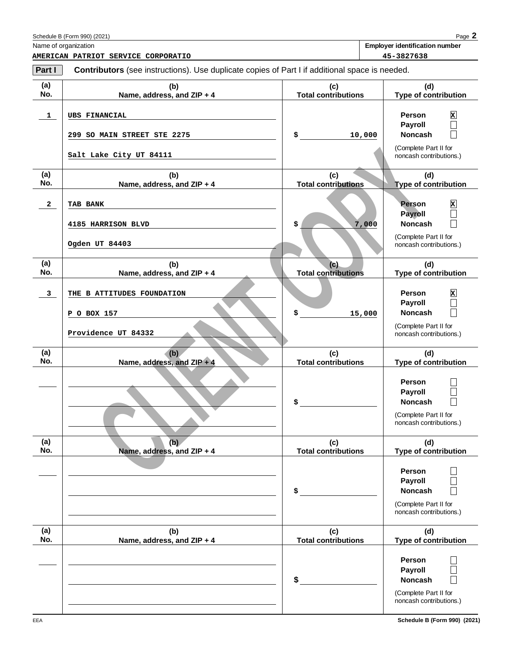| Part I     | Contributors (see instructions). Use duplicate copies of Part I if additional space is needed. |                                   |                                                                                                |
|------------|------------------------------------------------------------------------------------------------|-----------------------------------|------------------------------------------------------------------------------------------------|
| (a)<br>No. | (b)<br>Name, address, and ZIP + 4                                                              | (c)<br><b>Total contributions</b> | (d)<br>Type of contribution                                                                    |
| 1          | <b>UBS FINANCIAL</b>                                                                           | \$                                | Person<br>$\mathbf{x}$<br>$\Box$<br><b>Payroll</b><br><b>Noncash</b>                           |
|            | 299 SO MAIN STREET STE 2275<br>Salt Lake City UT 84111                                         | 10,000                            | (Complete Part II for<br>noncash contributions.)                                               |
| (a)<br>No. | (b)<br>Name, address, and ZIP + 4                                                              | (c)<br><b>Total contributions</b> | (d)<br><b>Type of contribution</b>                                                             |
| 2          | TAB BANK<br>4185 HARRISON BLVD                                                                 | \$<br>7,000                       | <b>Person</b><br>$\mathbf{x}$<br><b>Payroll</b><br><b>Noncash</b>                              |
|            | Ogden UT 84403                                                                                 |                                   | (Complete Part II for<br>noncash contributions.)                                               |
| (a)<br>No. | (b)<br>Name, address, and ZIP + 4                                                              | (c)<br><b>Total contributions</b> | (d)<br>Type of contribution                                                                    |
| 3          | THE B ATTITUDES FOUNDATION<br>P O BOX 157                                                      | \$<br>15,000                      | Person<br>$\mathbf{x}$<br><b>Payroll</b><br><b>Noncash</b>                                     |
|            | Providence UT 84332                                                                            |                                   | (Complete Part II for<br>noncash contributions.)                                               |
| (a)<br>No. | (b)<br>Name, address, and ZIP + 4                                                              | (c)<br><b>Total contributions</b> | (d)<br>Type of contribution                                                                    |
|            |                                                                                                | \$                                | Person<br><b>Payroll</b><br><b>Noncash</b><br>(Complete Part II for<br>noncash contributions.) |
| (a)<br>No. | (b)<br>Name, address, and ZIP + 4                                                              | (c)<br><b>Total contributions</b> | (d)<br>Type of contribution                                                                    |
|            |                                                                                                | \$                                | Person<br><b>Payroll</b><br><b>Noncash</b><br>(Complete Part II for<br>noncash contributions.) |
| (a)<br>No. | (b)<br>Name, address, and ZIP + 4                                                              | (c)<br><b>Total contributions</b> | (d)<br>Type of contribution                                                                    |
|            |                                                                                                | \$                                | Person<br><b>Payroll</b><br><b>Noncash</b><br>(Complete Part II for<br>noncash contributions.) |

| (2021)<br>$-$ Form 000).<br>adule<br>sc nr<br>- 01111<br>-2201 | $\sum$<br>aut |
|----------------------------------------------------------------|---------------|
|                                                                |               |

Name of organization **Employer identification number**

**AMERICAN PATRIOT SERVICE CORPORATIO 45-3827638**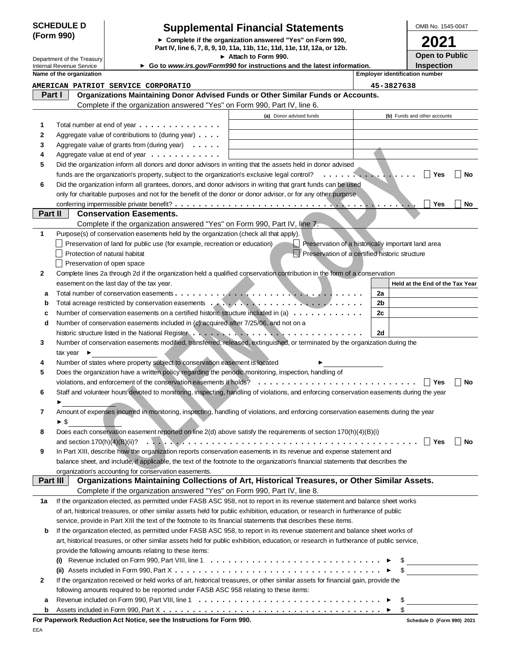#### **SCHEDULE D (Form 990)**

### **Supplemental Financial Statements**

**Complete if the organization answered "Yes" on Form 990, Part IV, line 6, 7, 8, 9, 10, 11a, 11b, 11c, 11d, 11e, 11f, 12a, or 12b.**

**Attach to Form 990.**

|  | OMB No. 1545-0047 |
|--|-------------------|
|  |                   |

**Open to Public 2021**

| Internal Revenue Service   |  |
|----------------------------|--|
| Department of the Treasury |  |

**Example is the constrained and one of our constrained and interaction in the constrained in the constrained and interaction in the constrained and interaction in the constrained and interaction in the constrained and inte Name of the organization Employer identification number Employer identification number Held at the End of the Tax Year** Department of the Treasury **Inspection Organizations Maintaining Donor Advised Funds or Other Similar Funds or Accounts.** Complete if the organization answered "Yes" on Form 990, Part IV, line 6. Complete if the organization answered "Yes" on Form 990, Part IV, line 7. Complete if the organization answered "Yes" on Form 990, Part IV, line 8. **Part I Part II Conservation Easements. Part III Organizations Maintaining Collections of Art, Historical Treasures, or Other Similar Assets. 1 2 3 4 5 Yes No 6 Yes No 1 2 a 2a** Total number of conservation easements ................................ **b** Total acreage restricted by conservation easements **and the set of the set of the set of the set of the set of the set of the set of the set of the set of the set of the set of the set of the set of the set of the set c** Number of conservation easements on a certified historic structure included in (a)  $\dots \dots \dots$ **d 2d 3 4 5 Yes No 6 7 8 Yes No** and section 170(h)(4)(B)(ii)? .............................................. **9 1a b** (i) Revenue included on Form 990, Part VIII, line 1  $\dots \dots \dots \dots \dots \dots \dots \dots \dots \dots \dots \dots \dots \dots$ **(ii)** Assets included in Form 990, Part X \$ **Go to www.irs.gov/Form990 for instructions and the latest information.** Total number at end of year . . . . . . . . . . . . . . Aggregate value of contributions to (during year) . . . . Aggregate value of grants from (during year) . . . . . Aggregate value at end of year . . . . . . . . . . . . Did the organization inform all donors and donor advisors in writing that the assets held in donor advised funds are the organization's property, subject to the organization's exclusive legal control? Did the organization inform all grantees, donors, and donor advisors in writing that grant funds can be used only for charitable purposes and not for the benefit of the donor or donor advisor, or for any other purpose conferring impermissible private benefit? ......................................... Purpose(s) of conservation easements held by the organization (check all that apply). Preservation of land for public use (for example, recreation or education) Preservation of a historically important land area Protection of natural habitat **Protection of a certified historic structure** Preservation of open space Complete lines 2a through 2d if the organization held a qualified conservation contribution in the form of a conservation easement on the last day of the tax year. Number of conservation easements included in (c) acquired after 7/25/06, and not on a historic structure listed in the National Register ............................. Number of conservation easements modified, transferred, released, extinguished, or terminated by the organization during the tax year  $\blacktriangleright$ Number of states where property subject to conservation easement is located Does the organization have a written policy regarding the periodic monitoring, inspection, handling of violations, and enforcement of the conservation easements if holds?<br> Staff and volunteer hours devoted to monitoring, inspecting, handling of violations, and enforcing conservation easements during the year Amount of expenses incurred in monitoring, inspecting, handling of violations, and enforcing conservation easements during the year  $\blacktriangleright$  \$ Does each conservation easement reported on line 2(d) above satisfy the requirements of section 170(h)(4)(B)(i) In Part XIII, describe how the organization reports conservation easements in its revenue and expense statement and balance sheet, and include, if applicable, the text of the footnote to the organization's financial statements that describes the organization's accounting for conservation easements. If the organization elected, as permitted under FASB ASC 958, not to report in its revenue statement and balance sheet works of art, historical treasures, or other similar assets held for public exhibition, education, or research in furtherance of public service, provide in Part XIII the text of the footnote to its financial statements that describes these items. If the organization elected, as permitted under FASB ASC 958, to report in its revenue statement and balance sheet works of art, historical treasures, or other similar assets held for public exhibition, education, or research in furtherance of public service, provide the following amounts relating to these items: (a) Donor advised funds (b) Funds and other accounts ................ ................................... **AMERICAN PATRIOT SERVICE CORPORATIO 45-3827638**

| 2 If the organization received or held works of art, historical treasures, or other similar assets for financial gain, provide the |
|------------------------------------------------------------------------------------------------------------------------------------|
| following amounts required to be reported under FASB ASC 958 relating to these items:                                              |
|                                                                                                                                    |

| Assets included in Form 990. I<br>`^ Part ∧ . |  |  |  |  |  |  |  |  |  |  |  |  |  |  |  |  | аħ |
|-----------------------------------------------|--|--|--|--|--|--|--|--|--|--|--|--|--|--|--|--|----|
|                                               |  |  |  |  |  |  |  |  |  |  |  |  |  |  |  |  |    |

**b**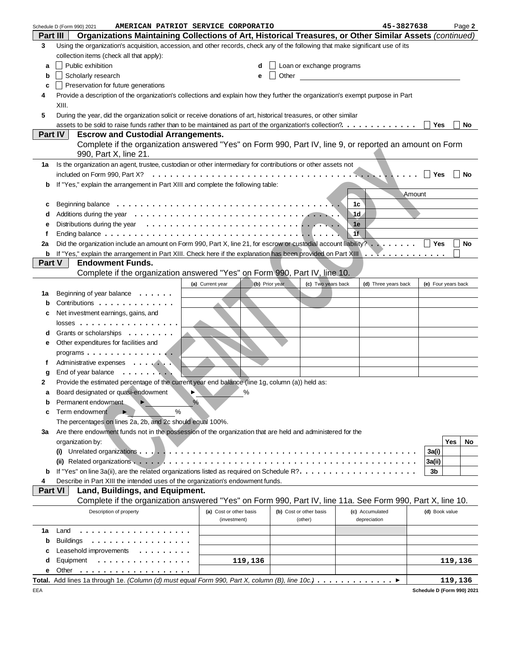|                | AMERICAN PATRIOT SERVICE CORPORATIO<br>Schedule D (Form 990) 2021                                                               |                                    |                                  | 45-3827638           | Page 2              |
|----------------|---------------------------------------------------------------------------------------------------------------------------------|------------------------------------|----------------------------------|----------------------|---------------------|
| Part III       | Organizations Maintaining Collections of Art, Historical Treasures, or Other Similar Assets (continued)                         |                                    |                                  |                      |                     |
| 3              | Using the organization's acquisition, accession, and other records, check any of the following that make significant use of its |                                    |                                  |                      |                     |
|                | collection items (check all that apply):                                                                                        |                                    |                                  |                      |                     |
| а              | Public exhibition                                                                                                               | d                                  | $\Box$ Loan or exchange programs |                      |                     |
| b              | Scholarly research                                                                                                              | е                                  | Other                            |                      |                     |
| c              | Preservation for future generations                                                                                             |                                    |                                  |                      |                     |
|                |                                                                                                                                 |                                    |                                  |                      |                     |
| 4              | Provide a description of the organization's collections and explain how they further the organization's exempt purpose in Part  |                                    |                                  |                      |                     |
|                | XIII.                                                                                                                           |                                    |                                  |                      |                     |
| 5              | During the year, did the organization solicit or receive donations of art, historical treasures, or other similar               |                                    |                                  |                      |                     |
|                | assets to be sold to raise funds rather than to be maintained as part of the organization's collection?.                        |                                    |                                  |                      | No<br>Yes           |
| Part IV        | <b>Escrow and Custodial Arrangements.</b>                                                                                       |                                    |                                  |                      |                     |
|                | Complete if the organization answered "Yes" on Form 990, Part IV, line 9, or reported an amount on Form                         |                                    |                                  |                      |                     |
|                | 990, Part X, line 21.                                                                                                           |                                    |                                  |                      |                     |
| 1a             | Is the organization an agent, trustee, custodian or other intermediary for contributions or other assets not                    |                                    |                                  |                      |                     |
|                |                                                                                                                                 |                                    |                                  |                      | Yes<br>No           |
| b              | If "Yes," explain the arrangement in Part XIII and complete the following table:                                                |                                    |                                  |                      |                     |
|                |                                                                                                                                 |                                    |                                  | Amount               |                     |
| с              |                                                                                                                                 |                                    |                                  | 1с                   |                     |
| d              |                                                                                                                                 |                                    |                                  | 1d                   |                     |
| е              |                                                                                                                                 |                                    |                                  | 1e                   |                     |
| f              |                                                                                                                                 |                                    |                                  | 1f                   |                     |
| 2a             | Did the organization include an amount on Form 990, Part X, line 21, for escrow or custodial account liability? $\Box$ Yes      |                                    |                                  |                      | No                  |
| b              |                                                                                                                                 |                                    |                                  |                      |                     |
| Part V         | <b>Endowment Funds.</b>                                                                                                         |                                    |                                  |                      |                     |
|                | Complete if the organization answered "Yes" on Form 990, Part IV, line 10.                                                      |                                    |                                  |                      |                     |
|                |                                                                                                                                 |                                    |                                  |                      |                     |
|                |                                                                                                                                 | (a) Current year<br>(b) Prior year | (c) Two years back               | (d) Three years back | (e) Four years back |
| 1а             | Beginning of year balance $\ldots \ldots$                                                                                       |                                    |                                  |                      |                     |
| b              | Contributions                                                                                                                   |                                    |                                  |                      |                     |
| c              | Net investment earnings, gains, and                                                                                             |                                    |                                  |                      |                     |
|                | $losses$                                                                                                                        |                                    |                                  |                      |                     |
| d              | Grants or scholarships                                                                                                          |                                    |                                  |                      |                     |
| е              | Other expenditures for facilities and                                                                                           |                                    |                                  |                      |                     |
|                | programs                                                                                                                        |                                    |                                  |                      |                     |
| f              | Administrative expenses                                                                                                         |                                    |                                  |                      |                     |
| g              | End of year balance                                                                                                             |                                    |                                  |                      |                     |
| 2              | Provide the estimated percentage of the current year end balance (line 1g, column (a)) held as:                                 |                                    |                                  |                      |                     |
|                | <b>EX</b><br>Board designated or quasi-endowment                                                                                |                                    |                                  |                      |                     |
| b              | Permanent endowment                                                                                                             | %                                  |                                  |                      |                     |
| с              | %<br>Term endowment                                                                                                             |                                    |                                  |                      |                     |
|                | The percentages on lines 2a, 2b, and 2c should equal 100%.                                                                      |                                    |                                  |                      |                     |
| За             | Are there endowment funds not in the possession of the organization that are held and administered for the                      |                                    |                                  |                      |                     |
|                |                                                                                                                                 |                                    |                                  |                      | Yes<br>No           |
|                | organization by:                                                                                                                |                                    |                                  |                      |                     |
|                | $\left( 1\right)$                                                                                                               |                                    |                                  |                      | 3a(i)               |
|                |                                                                                                                                 |                                    |                                  |                      | 3a(ii)              |
| b              |                                                                                                                                 |                                    |                                  |                      | 3b                  |
| 4              | Describe in Part XIII the intended uses of the organization's endowment funds.                                                  |                                    |                                  |                      |                     |
| <b>Part VI</b> | Land, Buildings, and Equipment.                                                                                                 |                                    |                                  |                      |                     |
|                | Complete if the organization answered "Yes" on Form 990, Part IV, line 11a. See Form 990, Part X, line 10.                      |                                    |                                  |                      |                     |
|                | Description of property                                                                                                         | (a) Cost or other basis            | (b) Cost or other basis          | (c) Accumulated      | (d) Book value      |
|                |                                                                                                                                 | (investment)                       | (other)                          | depreciation         |                     |
| 1а             | Land<br>.                                                                                                                       |                                    |                                  |                      |                     |
| b              | <b>Buildings</b><br>.                                                                                                           |                                    |                                  |                      |                     |
| с              | Leasehold improvements                                                                                                          |                                    |                                  |                      |                     |
| d              | Equipment<br>.                                                                                                                  | 119,136                            |                                  |                      | 119,136             |
| е              | Other<br>.                                                                                                                      |                                    |                                  |                      |                     |
|                | Total. Add lines 1a through 1e. (Column (d) must equal Form 990, Part X, column (B), line 10c.)                                 |                                    |                                  |                      | 119,136             |

EEA

| Schedule D (Form 990) 2021 |  |
|----------------------------|--|
|                            |  |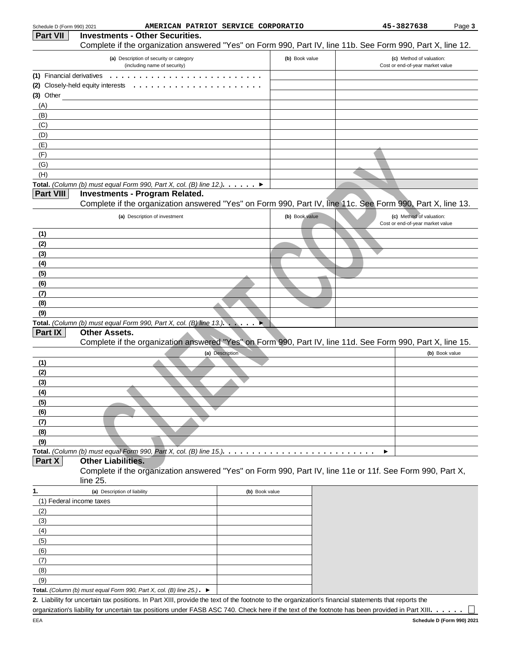| Schedule D (Form 990) 2021 |                                                                                                                                                      | AMERICAN PATRIOT SERVICE CORPORATIO |                | 45-3827638                                                   | Page 3         |
|----------------------------|------------------------------------------------------------------------------------------------------------------------------------------------------|-------------------------------------|----------------|--------------------------------------------------------------|----------------|
| <b>Part VII</b>            | <b>Investments - Other Securities.</b>                                                                                                               |                                     |                |                                                              |                |
|                            | Complete if the organization answered "Yes" on Form 990, Part IV, line 11b. See Form 990, Part X, line 12.                                           |                                     |                |                                                              |                |
|                            | (a) Description of security or category<br>(including name of security)                                                                              |                                     | (b) Book value | (c) Method of valuation:<br>Cost or end-of-year market value |                |
| (1) Financial derivatives  |                                                                                                                                                      |                                     |                |                                                              |                |
|                            | (2) Closely-held equity interests<br>$\cdots$                                                                                                        |                                     |                |                                                              |                |
| $(3)$ Other                |                                                                                                                                                      |                                     |                |                                                              |                |
| (A)                        |                                                                                                                                                      |                                     |                |                                                              |                |
| (B)                        |                                                                                                                                                      |                                     |                |                                                              |                |
| (C)                        |                                                                                                                                                      |                                     |                |                                                              |                |
| (D)                        |                                                                                                                                                      |                                     |                |                                                              |                |
| (E)                        |                                                                                                                                                      |                                     |                |                                                              |                |
| (F)                        |                                                                                                                                                      |                                     |                |                                                              |                |
| (G)                        |                                                                                                                                                      |                                     |                |                                                              |                |
| (H)                        |                                                                                                                                                      |                                     |                |                                                              |                |
|                            | Total. (Column (b) must equal Form 990, Part X, col. (B) line 12.). $\dots$ . $\blacktriangleright$                                                  |                                     |                |                                                              |                |
| Part VIII                  | <b>Investments - Program Related.</b><br>Complete if the organization answered "Yes" on Form 990, Part IV, line 11c. See Form 990, Part X, line 13.  |                                     |                |                                                              |                |
|                            |                                                                                                                                                      |                                     |                |                                                              |                |
|                            | (a) Description of investment                                                                                                                        |                                     | (b) Book value | (c) Method of valuation:<br>Cost or end-of-year market value |                |
| (1)                        |                                                                                                                                                      |                                     |                |                                                              |                |
| (2)                        |                                                                                                                                                      |                                     |                |                                                              |                |
| (3)                        |                                                                                                                                                      |                                     |                |                                                              |                |
| (4)                        |                                                                                                                                                      |                                     |                |                                                              |                |
| (5)                        |                                                                                                                                                      |                                     |                |                                                              |                |
| (6)                        |                                                                                                                                                      |                                     |                |                                                              |                |
| (7)                        |                                                                                                                                                      |                                     |                |                                                              |                |
| (8)                        |                                                                                                                                                      |                                     |                |                                                              |                |
| (9)                        |                                                                                                                                                      |                                     |                |                                                              |                |
|                            | <b>Total.</b> (Column (b) must equal Form 990, Part X, col. (B) line $13$ .). $\ldots$ .                                                             |                                     |                |                                                              |                |
| Part IX                    | <b>Other Assets.</b>                                                                                                                                 |                                     |                |                                                              |                |
|                            | Complete if the organization answered "Yes" on Form 990, Part IV, line 11d. See Form 990, Part X, line 15.                                           |                                     |                |                                                              |                |
|                            |                                                                                                                                                      | (a) Description                     |                |                                                              | (b) Book value |
| (1)                        |                                                                                                                                                      |                                     |                |                                                              |                |
| (2)                        |                                                                                                                                                      |                                     |                |                                                              |                |
| (3)                        |                                                                                                                                                      |                                     |                |                                                              |                |
| (4)                        |                                                                                                                                                      |                                     |                |                                                              |                |
| (5)                        |                                                                                                                                                      |                                     |                |                                                              |                |
| (6)                        |                                                                                                                                                      |                                     |                |                                                              |                |
| (7)                        |                                                                                                                                                      |                                     |                |                                                              |                |
| (8)                        |                                                                                                                                                      |                                     |                |                                                              |                |
| (9)                        |                                                                                                                                                      |                                     |                |                                                              |                |
| Part X                     | Total. (Column (b) must equal Form 990, Part X, col. (B) line 15.). $\dots \dots \dots \dots \dots \dots$<br><b>Other Liabilities.</b>               |                                     |                |                                                              |                |
|                            | Complete if the organization answered "Yes" on Form 990, Part IV, line 11e or 11f. See Form 990, Part X,<br>line $25$ .                              |                                     |                |                                                              |                |
| 1.                         | (a) Description of liability                                                                                                                         | (b) Book value                      |                |                                                              |                |
|                            | (1) Federal income taxes                                                                                                                             |                                     |                |                                                              |                |
| (2)                        |                                                                                                                                                      |                                     |                |                                                              |                |
| (3)                        |                                                                                                                                                      |                                     |                |                                                              |                |
| (4)                        |                                                                                                                                                      |                                     |                |                                                              |                |
| (5)                        |                                                                                                                                                      |                                     |                |                                                              |                |
| (6)                        |                                                                                                                                                      |                                     |                |                                                              |                |
| (7)                        |                                                                                                                                                      |                                     |                |                                                              |                |
| (8)                        |                                                                                                                                                      |                                     |                |                                                              |                |
| (9)                        |                                                                                                                                                      |                                     |                |                                                              |                |
|                            | Total. (Column (b) must equal Form 990, Part X, col. (B) line $25$ .). $\blacktriangleright$                                                         |                                     |                |                                                              |                |
|                            | 2. Liability for uncertain tax positions. In Part XIII, provide the text of the footnote to the organization's financial statements that reports the |                                     |                |                                                              |                |

organization's liability for uncertain tax positions under FASB ASC 740. Check here if the text of the footnote has been provided in Part XIII . . . . . .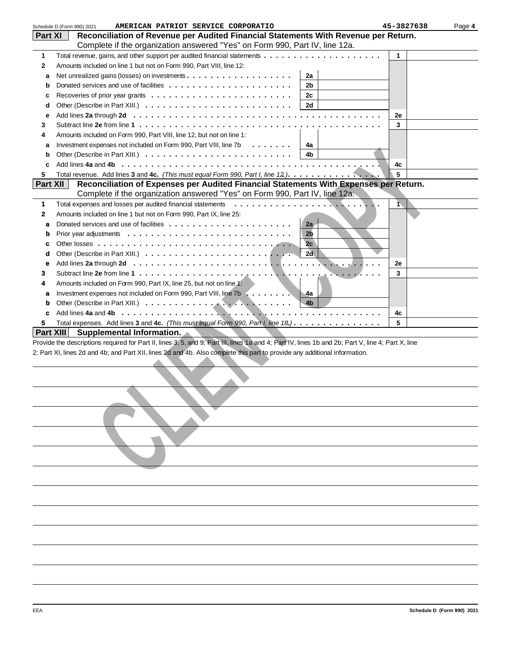|                | AMERICAN PATRIOT SERVICE CORPORATIO<br>Schedule D (Form 990) 2021                                                                                  | 45-3827638 | Page 4 |
|----------------|----------------------------------------------------------------------------------------------------------------------------------------------------|------------|--------|
| <b>Part XI</b> | Reconciliation of Revenue per Audited Financial Statements With Revenue per Return.                                                                |            |        |
|                | Complete if the organization answered "Yes" on Form 990, Part IV, line 12a.                                                                        |            |        |
| 1              |                                                                                                                                                    | 1          |        |
| $\mathbf{2}$   | Amounts included on line 1 but not on Form 990, Part VIII, line 12:                                                                                |            |        |
| а              | 2a                                                                                                                                                 |            |        |
| b              | 2b                                                                                                                                                 |            |        |
|                | 2c                                                                                                                                                 |            |        |
| c              |                                                                                                                                                    |            |        |
| d              | 2d                                                                                                                                                 |            |        |
| е              |                                                                                                                                                    | 2e         |        |
| 3              |                                                                                                                                                    | 3          |        |
| 4              | Amounts included on Form 990, Part VIII, line 12, but not on line 1:                                                                               |            |        |
| а              | Investment expenses not included on Form 990, Part VIII, line 7b<br>4a                                                                             |            |        |
| $\mathbf b$    | 4b                                                                                                                                                 |            |        |
| c              |                                                                                                                                                    | 4c         |        |
| 5              | Total revenue. Add lines 3 and 4c. (This must equal Form 990, Part I, line 12.).                                                                   | 5          |        |
| Part XII       | Reconciliation of Expenses per Audited Financial Statements With Expenses per Return.                                                              |            |        |
|                | Complete if the organization answered "Yes" on Form 990, Part IV, line 12a.                                                                        |            |        |
| 1              | Total expenses and losses per audited financial statements                                                                                         | 1.         |        |
| $\mathbf{2}$   | Amounts included on line 1 but not on Form 990, Part IX, line 25:                                                                                  |            |        |
| a              | 2a                                                                                                                                                 |            |        |
| b              | 2 <sub>b</sub>                                                                                                                                     |            |        |
| c              | 2c                                                                                                                                                 |            |        |
|                | 2d                                                                                                                                                 |            |        |
| d              |                                                                                                                                                    |            |        |
| е              |                                                                                                                                                    | 2e         |        |
| 3              |                                                                                                                                                    | 3          |        |
| 4              | Amounts included on Form 990, Part IX, line 25, but not on line 1:                                                                                 |            |        |
| a              | Investment expenses not included on Form 990, Part VIII, line 7b<br>$-4a$                                                                          |            |        |
| b              | 4 <sub>b</sub>                                                                                                                                     |            |        |
| c              |                                                                                                                                                    | 4c         |        |
| 5              | Total expenses. Add lines 3 and 4c. (This must equal Form 990, Part I, line 18.).                                                                  | 5          |        |
| Part XIII      | Supplemental Information.                                                                                                                          |            |        |
|                | Provide the descriptions required for Part II, lines 3, 5, and 9; Part III, lines 1a and 4; Part IV, lines 1b and 2b; Part V, line 4; Part X, line |            |        |
|                | 2; Part XI, lines 2d and 4b; and Part XII, lines 2d and 4b. Also complete this part to provide any additional information.                         |            |        |
|                |                                                                                                                                                    |            |        |
|                |                                                                                                                                                    |            |        |
|                |                                                                                                                                                    |            |        |
|                |                                                                                                                                                    |            |        |
|                |                                                                                                                                                    |            |        |
|                |                                                                                                                                                    |            |        |
|                |                                                                                                                                                    |            |        |
|                |                                                                                                                                                    |            |        |
|                |                                                                                                                                                    |            |        |
|                |                                                                                                                                                    |            |        |
|                |                                                                                                                                                    |            |        |
|                |                                                                                                                                                    |            |        |
|                |                                                                                                                                                    |            |        |
|                |                                                                                                                                                    |            |        |
|                |                                                                                                                                                    |            |        |
|                |                                                                                                                                                    |            |        |
|                |                                                                                                                                                    |            |        |
|                |                                                                                                                                                    |            |        |
|                |                                                                                                                                                    |            |        |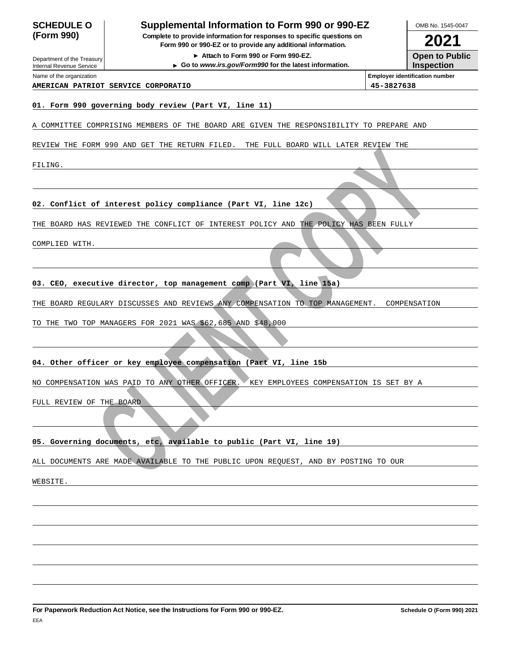| <b>SCHEDULE O</b>                                      | Supplemental Information to Form 990 or 990-EZ                                                                                         | OMB No. 1545-0047                          |
|--------------------------------------------------------|----------------------------------------------------------------------------------------------------------------------------------------|--------------------------------------------|
| (Form 990)                                             | Complete to provide information for responses to specific questions on<br>Form 990 or 990-EZ or to provide any additional information. | 2021                                       |
| Department of the Treasury<br>Internal Revenue Service | Attach to Form 990 or Form 990-EZ.<br>Go to www.irs.gov/Form990 for the latest information.                                            | <b>Open to Public</b><br><b>Inspection</b> |
| Name of the organization                               |                                                                                                                                        | <b>Employer identification number</b>      |
|                                                        | AMERICAN PATRIOT SERVICE CORPORATIO                                                                                                    | 45-3827638                                 |
|                                                        | 01. Form 990 governing body review (Part VI, line 11)                                                                                  |                                            |
|                                                        | A COMMITTEE COMPRISING MEMBERS OF THE BOARD ARE GIVEN THE RESPONSIBILITY TO PREPARE AND                                                |                                            |
|                                                        | REVIEW THE FORM 990 AND GET THE RETURN FILED.<br>THE FULL BOARD WILL LATER REVIEW THE                                                  |                                            |
| FILING.                                                |                                                                                                                                        |                                            |
|                                                        |                                                                                                                                        |                                            |
|                                                        |                                                                                                                                        |                                            |
|                                                        | 02. Conflict of interest policy compliance (Part VI, line 12c)                                                                         |                                            |
|                                                        | THE BOARD HAS REVIEWED THE CONFLICT OF INTEREST POLICY AND THE POLICY HAS BEEN FULLY                                                   |                                            |
| COMPLIED WITH.                                         |                                                                                                                                        |                                            |
|                                                        |                                                                                                                                        |                                            |
|                                                        |                                                                                                                                        |                                            |
|                                                        | 03. CEO, executive director, top management comp (Part VI, line 15a)                                                                   |                                            |
|                                                        | THE BOARD REGULARY DISCUSSES AND REVIEWS ANY COMPENSATION TO TOP MANAGEMENT.                                                           | COMPENSATION                               |
|                                                        | TO THE TWO TOP MANAGERS FOR 2021 WAS \$62,685 AND \$48,000                                                                             |                                            |
|                                                        |                                                                                                                                        |                                            |
|                                                        | 04. Other officer or key employee compensation (Part VI, line 15b                                                                      |                                            |
|                                                        | NO COMPENSATION WAS PAID TO ANY OTHER OFFICER. KEY EMPLOYEES COMPENSATION IS SET BY A                                                  |                                            |
| FULL REVIEW OF THE BOARD                               |                                                                                                                                        |                                            |
|                                                        |                                                                                                                                        |                                            |
|                                                        |                                                                                                                                        |                                            |
|                                                        | 05. Governing documents, etc, available to public (Part VI, line 19)                                                                   |                                            |
|                                                        | ALL DOCUMENTS ARE MADE AVAILABLE TO THE PUBLIC UPON REQUEST, AND BY POSTING TO OUR                                                     |                                            |
| WEBSITE.                                               |                                                                                                                                        |                                            |
|                                                        |                                                                                                                                        |                                            |
|                                                        |                                                                                                                                        |                                            |
|                                                        |                                                                                                                                        |                                            |
|                                                        |                                                                                                                                        |                                            |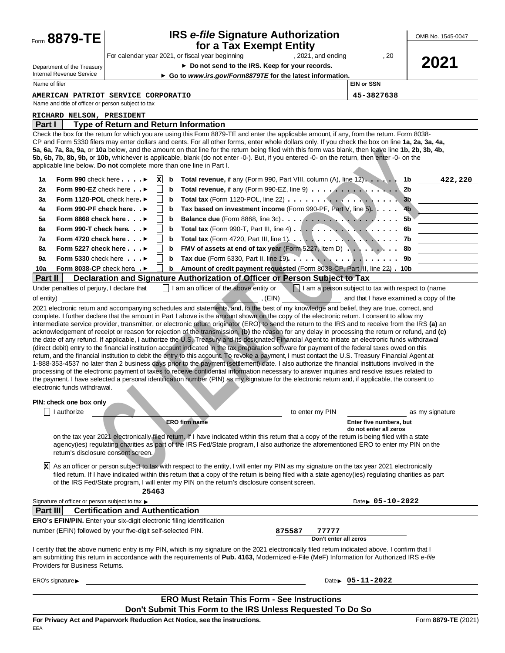| Form 8879-TE                                                                                                                                                                                                                                                                                                                                            |                                         | OMB No. 1545-0047 |                                                                                                                                                                                                                                                                                                                                                                                                                                                                                                                                                                                                                                                                                                                                                                                                                                                                                                                                                                                                                                                                           |                                                             |                                        |                 |  |  |  |  |  |
|---------------------------------------------------------------------------------------------------------------------------------------------------------------------------------------------------------------------------------------------------------------------------------------------------------------------------------------------------------|-----------------------------------------|-------------------|---------------------------------------------------------------------------------------------------------------------------------------------------------------------------------------------------------------------------------------------------------------------------------------------------------------------------------------------------------------------------------------------------------------------------------------------------------------------------------------------------------------------------------------------------------------------------------------------------------------------------------------------------------------------------------------------------------------------------------------------------------------------------------------------------------------------------------------------------------------------------------------------------------------------------------------------------------------------------------------------------------------------------------------------------------------------------|-------------------------------------------------------------|----------------------------------------|-----------------|--|--|--|--|--|
|                                                                                                                                                                                                                                                                                                                                                         |                                         |                   | for a Tax Exempt Entity<br>For calendar year 2021, or fiscal year beginning                                                                                                                                                                                                                                                                                                                                                                                                                                                                                                                                                                                                                                                                                                                                                                                                                                                                                                                                                                                               | , 2021, and ending                                          | , 20                                   |                 |  |  |  |  |  |
| Department of the Treasury                                                                                                                                                                                                                                                                                                                              |                                         |                   | ▶ Do not send to the IRS. Keep for your records.                                                                                                                                                                                                                                                                                                                                                                                                                                                                                                                                                                                                                                                                                                                                                                                                                                                                                                                                                                                                                          |                                                             |                                        | 2021            |  |  |  |  |  |
| Internal Revenue Service                                                                                                                                                                                                                                                                                                                                |                                         |                   | Go to www.irs.gov/Form8879TE for the latest information.                                                                                                                                                                                                                                                                                                                                                                                                                                                                                                                                                                                                                                                                                                                                                                                                                                                                                                                                                                                                                  |                                                             |                                        |                 |  |  |  |  |  |
| Name of filer                                                                                                                                                                                                                                                                                                                                           |                                         |                   |                                                                                                                                                                                                                                                                                                                                                                                                                                                                                                                                                                                                                                                                                                                                                                                                                                                                                                                                                                                                                                                                           |                                                             | <b>EIN or SSN</b>                      |                 |  |  |  |  |  |
| <b>AMERICAN PATRIOT SERVICE CORPORATIO</b><br>Name and title of officer or person subject to tax                                                                                                                                                                                                                                                        |                                         |                   |                                                                                                                                                                                                                                                                                                                                                                                                                                                                                                                                                                                                                                                                                                                                                                                                                                                                                                                                                                                                                                                                           |                                                             |                                        |                 |  |  |  |  |  |
| RICHARD NELSON, PRESIDENT                                                                                                                                                                                                                                                                                                                               |                                         |                   |                                                                                                                                                                                                                                                                                                                                                                                                                                                                                                                                                                                                                                                                                                                                                                                                                                                                                                                                                                                                                                                                           |                                                             |                                        |                 |  |  |  |  |  |
| Part I                                                                                                                                                                                                                                                                                                                                                  |                                         |                   | <b>Type of Return and Return Information</b>                                                                                                                                                                                                                                                                                                                                                                                                                                                                                                                                                                                                                                                                                                                                                                                                                                                                                                                                                                                                                              |                                                             |                                        |                 |  |  |  |  |  |
| applicable line below. Do not complete more than one line in Part I.                                                                                                                                                                                                                                                                                    |                                         |                   | Check the box for the retum for which you are using this Form 8879-TE and enter the applicable amount, if any, from the retum. Form 8038-<br>CP and Form 5330 filers may enter dollars and cents. For all other forms, enter whole dollars only. If you check the box on line 1a, 2a, 3a, 4a,<br>5a, 6a, 7a, 8a, 9a, or 10a below, and the amount on that line for the return being filed with this form was blank, then leave line 1b, 2b, 3b, 4b,<br>5b, 6b, 7b, 8b, 9b, or 10b, whichever is applicable, blank (do not enter -0-). But, if you entered -0- on the return, then enter -0- on the                                                                                                                                                                                                                                                                                                                                                                                                                                                                        |                                                             |                                        |                 |  |  |  |  |  |
| Form 990 check here $\ldots$ .<br>1a                                                                                                                                                                                                                                                                                                                    |                                         | x<br>b            | Total revenue, if any (Form 990, Part VIII, column (A), line 12).                                                                                                                                                                                                                                                                                                                                                                                                                                                                                                                                                                                                                                                                                                                                                                                                                                                                                                                                                                                                         |                                                             |                                        | 1b<br>422,220   |  |  |  |  |  |
| Form 990-EZ check here $\ldots$<br>2a                                                                                                                                                                                                                                                                                                                   |                                         |                   | Total revenue, if any (Form 990-EZ, line 9)                                                                                                                                                                                                                                                                                                                                                                                                                                                                                                                                                                                                                                                                                                                                                                                                                                                                                                                                                                                                                               |                                                             |                                        | 2b              |  |  |  |  |  |
| Form 1120-POL check here.<br>За                                                                                                                                                                                                                                                                                                                         |                                         |                   |                                                                                                                                                                                                                                                                                                                                                                                                                                                                                                                                                                                                                                                                                                                                                                                                                                                                                                                                                                                                                                                                           |                                                             |                                        | 3b              |  |  |  |  |  |
| Form 990-PF check here▶<br>4a                                                                                                                                                                                                                                                                                                                           |                                         |                   | Tax based on investment income (Form 990-PF, Part V, line 5).                                                                                                                                                                                                                                                                                                                                                                                                                                                                                                                                                                                                                                                                                                                                                                                                                                                                                                                                                                                                             |                                                             |                                        | 4 <sub>b</sub>  |  |  |  |  |  |
| 5a<br>Form 8868 check here $\ldots$                                                                                                                                                                                                                                                                                                                     |                                         |                   |                                                                                                                                                                                                                                                                                                                                                                                                                                                                                                                                                                                                                                                                                                                                                                                                                                                                                                                                                                                                                                                                           |                                                             |                                        | 5b              |  |  |  |  |  |
| Form 990-T check here. ►<br>6a                                                                                                                                                                                                                                                                                                                          |                                         |                   | Total tax (Form 990-T, Part III, line 4) $\ldots$ , $\ldots$ , $\ldots$ , $\ldots$ , $\ldots$                                                                                                                                                                                                                                                                                                                                                                                                                                                                                                                                                                                                                                                                                                                                                                                                                                                                                                                                                                             |                                                             |                                        | 6b              |  |  |  |  |  |
| 7a<br>Form 4720 check here $\ldots$                                                                                                                                                                                                                                                                                                                     |                                         |                   |                                                                                                                                                                                                                                                                                                                                                                                                                                                                                                                                                                                                                                                                                                                                                                                                                                                                                                                                                                                                                                                                           |                                                             |                                        |                 |  |  |  |  |  |
| Form 5227 check here $\ldots$<br>8a                                                                                                                                                                                                                                                                                                                     |                                         |                   | FMV of assets at end of tax year (Form 5227, Item D) 8b                                                                                                                                                                                                                                                                                                                                                                                                                                                                                                                                                                                                                                                                                                                                                                                                                                                                                                                                                                                                                   |                                                             |                                        |                 |  |  |  |  |  |
| Form 5330 check here $\ldots$<br>9a                                                                                                                                                                                                                                                                                                                     |                                         |                   |                                                                                                                                                                                                                                                                                                                                                                                                                                                                                                                                                                                                                                                                                                                                                                                                                                                                                                                                                                                                                                                                           |                                                             |                                        |                 |  |  |  |  |  |
| Form 8038-CP check here .<br>10a                                                                                                                                                                                                                                                                                                                        |                                         |                   | Amount of credit payment requested (Form 8038-CP, Part III, line 22) . 10b                                                                                                                                                                                                                                                                                                                                                                                                                                                                                                                                                                                                                                                                                                                                                                                                                                                                                                                                                                                                |                                                             |                                        |                 |  |  |  |  |  |
| Part II                                                                                                                                                                                                                                                                                                                                                 |                                         |                   | Declaration and Signature Authorization of Officer or Person Subject to Tax                                                                                                                                                                                                                                                                                                                                                                                                                                                                                                                                                                                                                                                                                                                                                                                                                                                                                                                                                                                               |                                                             |                                        |                 |  |  |  |  |  |
| Under penalties of perjury, I declare that<br>of entity)                                                                                                                                                                                                                                                                                                |                                         |                   | I am an officer of the above entity or                                                                                                                                                                                                                                                                                                                                                                                                                                                                                                                                                                                                                                                                                                                                                                                                                                                                                                                                                                                                                                    | I am a person subject to tax with respect to (name<br>(EIN) | and that I have examined a copy of the |                 |  |  |  |  |  |
| electronic funds withdrawal.                                                                                                                                                                                                                                                                                                                            |                                         |                   | acknowledgement of receipt or reason for rejection of the transmission, (b) the reason for any delay in processing the return or refund, and (c)<br>the date of any refund. If applicable, I authorize the U.S. Treasury and its designated Financial Agent to initiate an electronic funds withdrawal<br>(direct debit) entry to the financial institution account indicated in the tax preparation software for payment of the federal taxes owed on this<br>retum, and the financial institution to debit the entry to this account. To revoke a payment, I must contact the U.S. Treasury Financial Agent at<br>1-888-353-4537 no later than 2 business days prior to the payment (settlement) date. I also authorize the financial institutions involved in the<br>processing of the electronic payment of taxes to receive confidential information necessary to answer inquiries and resolve issues related to<br>the payment. I have selected a personal identification number (PIN) as my signature for the electronic return and, if applicable, the consent to |                                                             |                                        |                 |  |  |  |  |  |
| PIN: check one box only                                                                                                                                                                                                                                                                                                                                 |                                         |                   |                                                                                                                                                                                                                                                                                                                                                                                                                                                                                                                                                                                                                                                                                                                                                                                                                                                                                                                                                                                                                                                                           |                                                             |                                        |                 |  |  |  |  |  |
| I authorize                                                                                                                                                                                                                                                                                                                                             |                                         |                   |                                                                                                                                                                                                                                                                                                                                                                                                                                                                                                                                                                                                                                                                                                                                                                                                                                                                                                                                                                                                                                                                           | to enter my PIN                                             |                                        | as my signature |  |  |  |  |  |
|                                                                                                                                                                                                                                                                                                                                                         |                                         |                   | <b>ERO firm name</b>                                                                                                                                                                                                                                                                                                                                                                                                                                                                                                                                                                                                                                                                                                                                                                                                                                                                                                                                                                                                                                                      |                                                             | Enter five numbers, but                |                 |  |  |  |  |  |
| do not enter all zeros<br>on the tax year 2021 electronically filed return. If I have indicated within this return that a copy of the return is being filed with a state<br>agency(ies) regulating charities as part of the IRS Fed/State program, I also authorize the aforementioned ERO to enter my PIN on the<br>retum's disclosure consent screen. |                                         |                   |                                                                                                                                                                                                                                                                                                                                                                                                                                                                                                                                                                                                                                                                                                                                                                                                                                                                                                                                                                                                                                                                           |                                                             |                                        |                 |  |  |  |  |  |
| b۲l                                                                                                                                                                                                                                                                                                                                                     |                                         | 25463             | As an officer or person subject to tax with respect to the entity, I will enter my PIN as my signature on the tax year 2021 electronically<br>filed retum. If I have indicated within this retum that a copy of the retum is being filed with a state agency(ies) regulating charities as part<br>of the IRS Fed/State program, I will enter my PIN on the retum's disclosure consent screen.                                                                                                                                                                                                                                                                                                                                                                                                                                                                                                                                                                                                                                                                             |                                                             |                                        |                 |  |  |  |  |  |
| Signature of officer or person subject to tax ▶                                                                                                                                                                                                                                                                                                         |                                         |                   |                                                                                                                                                                                                                                                                                                                                                                                                                                                                                                                                                                                                                                                                                                                                                                                                                                                                                                                                                                                                                                                                           |                                                             | Date $\rightarrow$ 05-10-2022          |                 |  |  |  |  |  |
| Part III                                                                                                                                                                                                                                                                                                                                                | <b>Certification and Authentication</b> |                   |                                                                                                                                                                                                                                                                                                                                                                                                                                                                                                                                                                                                                                                                                                                                                                                                                                                                                                                                                                                                                                                                           |                                                             |                                        |                 |  |  |  |  |  |
| <b>ERO's EFIN/PIN.</b> Enter your six-digit electronic filing identification                                                                                                                                                                                                                                                                            |                                         |                   |                                                                                                                                                                                                                                                                                                                                                                                                                                                                                                                                                                                                                                                                                                                                                                                                                                                                                                                                                                                                                                                                           |                                                             |                                        |                 |  |  |  |  |  |
| number (EFIN) followed by your five-digit self-selected PIN.                                                                                                                                                                                                                                                                                            |                                         |                   |                                                                                                                                                                                                                                                                                                                                                                                                                                                                                                                                                                                                                                                                                                                                                                                                                                                                                                                                                                                                                                                                           | 875587<br>77777                                             |                                        |                 |  |  |  |  |  |
| Providers for Business Returns.                                                                                                                                                                                                                                                                                                                         |                                         |                   | I certify that the above numeric entry is my PIN, which is my signature on the 2021 electronically filed retum indicated above. I confirm that I<br>am submitting this return in accordance with the requirements of Pub. 4163, Modernized e-File (MeF) Information for Authorized IRS e-file                                                                                                                                                                                                                                                                                                                                                                                                                                                                                                                                                                                                                                                                                                                                                                             | Don't enter all zeros                                       |                                        |                 |  |  |  |  |  |
| ERO's signature ►                                                                                                                                                                                                                                                                                                                                       |                                         |                   |                                                                                                                                                                                                                                                                                                                                                                                                                                                                                                                                                                                                                                                                                                                                                                                                                                                                                                                                                                                                                                                                           |                                                             | Date $\rightarrow$ 05-11-2022          |                 |  |  |  |  |  |
|                                                                                                                                                                                                                                                                                                                                                         |                                         |                   |                                                                                                                                                                                                                                                                                                                                                                                                                                                                                                                                                                                                                                                                                                                                                                                                                                                                                                                                                                                                                                                                           |                                                             |                                        |                 |  |  |  |  |  |
| <b>ERO Must Retain This Form - See Instructions</b><br>Don't Submit This Form to the IRS Unless Requested To Do So                                                                                                                                                                                                                                      |                                         |                   |                                                                                                                                                                                                                                                                                                                                                                                                                                                                                                                                                                                                                                                                                                                                                                                                                                                                                                                                                                                                                                                                           |                                                             |                                        |                 |  |  |  |  |  |